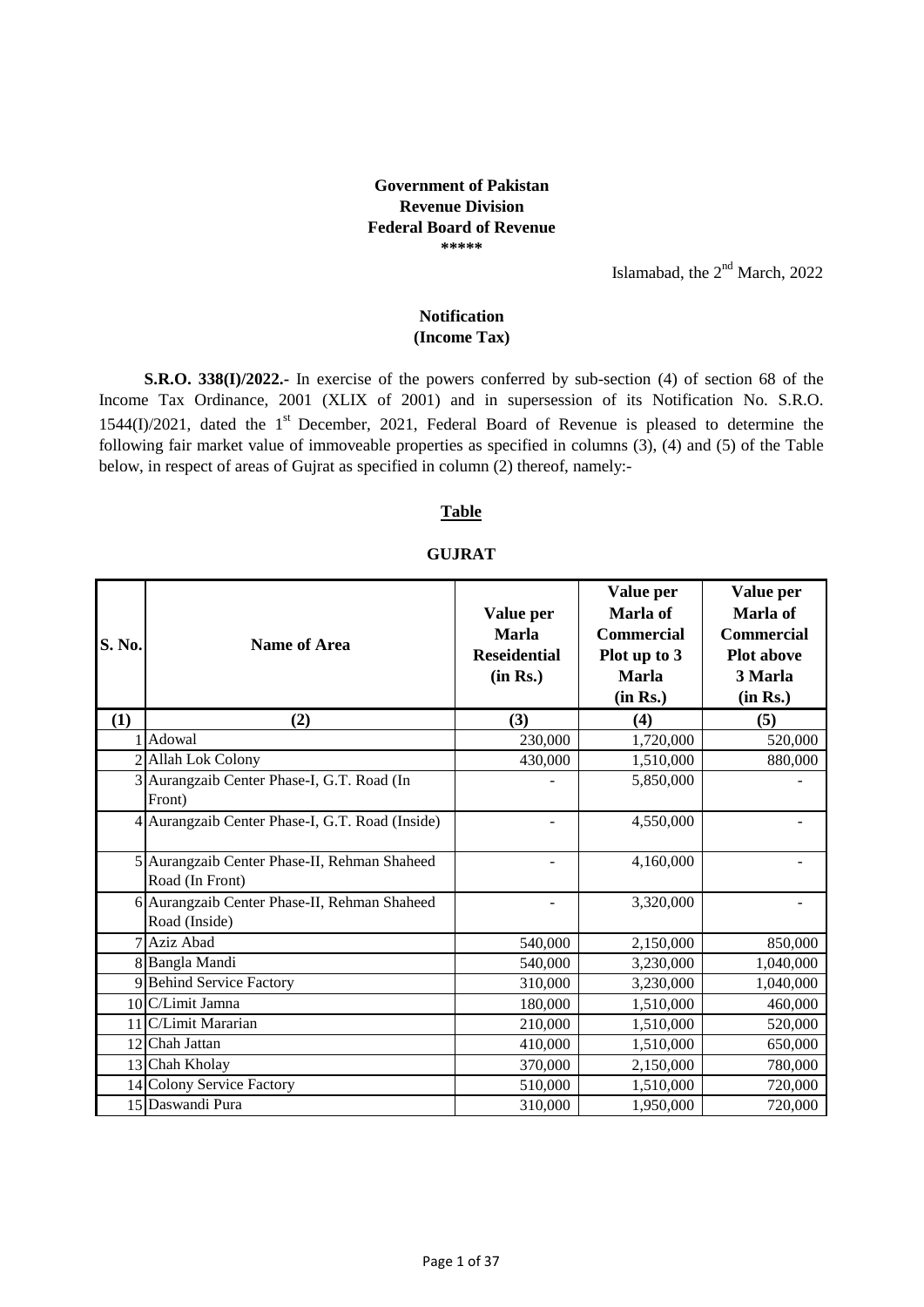### **Government of Pakistan Revenue Division Federal Board of Revenue \*\*\*\*\***

Islamabad, the  $2<sup>nd</sup>$  March, 2022

## **(Income Tax) Notification**

**S.R.O. 338(I)/2022.-** In exercise of the powers conferred by sub-section (4) of section 68 of the Income Tax Ordinance, 2001 (XLIX of 2001) and in supersession of its Notification No. S.R.O. 1544(I)/2021, dated the  $1<sup>st</sup>$  December, 2021, Federal Board of Revenue is pleased to determine the following fair market value of immoveable properties as specified in columns (3), (4) and (5) of the Table below, in respect of areas of Gujrat as specified in column (2) thereof, namely:-

### **Table**

### **GUJRAT**

| S. No. | <b>Name of Area</b>                                             | Value per<br><b>Marla</b><br><b>Reseidential</b><br>(in Rs.) | Value per<br>Marla of<br><b>Commercial</b><br>Plot up to 3<br><b>Marla</b><br>(in Rs.) | Value per<br>Marla of<br><b>Commercial</b><br><b>Plot above</b><br>3 Marla<br>(in Rs.) |
|--------|-----------------------------------------------------------------|--------------------------------------------------------------|----------------------------------------------------------------------------------------|----------------------------------------------------------------------------------------|
| (1)    | (2)                                                             | (3)                                                          | (4)                                                                                    | (5)                                                                                    |
|        | Adowal                                                          | 230,000                                                      | 1,720,000                                                                              | 520,000                                                                                |
|        | 2 Allah Lok Colony                                              | 430,000                                                      | 1,510,000                                                                              | 880,000                                                                                |
|        | 3 Aurangzaib Center Phase-I, G.T. Road (In<br>Front)            |                                                              | 5,850,000                                                                              |                                                                                        |
|        | 4 Aurangzaib Center Phase-I, G.T. Road (Inside)                 |                                                              | 4,550,000                                                                              |                                                                                        |
|        | 5 Aurangzaib Center Phase-II, Rehman Shaheed<br>Road (In Front) |                                                              | 4,160,000                                                                              |                                                                                        |
|        | 6 Aurangzaib Center Phase-II, Rehman Shaheed<br>Road (Inside)   |                                                              | 3,320,000                                                                              |                                                                                        |
|        | 7 Aziz Abad                                                     | 540,000                                                      | 2,150,000                                                                              | 850,000                                                                                |
|        | 8 Bangla Mandi                                                  | 540,000                                                      | 3,230,000                                                                              | 1,040,000                                                                              |
|        | 9 Behind Service Factory                                        | 310,000                                                      | 3,230,000                                                                              | 1,040,000                                                                              |
|        | 10 C/Limit Jamna                                                | 180,000                                                      | 1,510,000                                                                              | 460,000                                                                                |
|        | 11 C/Limit Mararian                                             | 210,000                                                      | 1,510,000                                                                              | 520,000                                                                                |
|        | 12 Chah Jattan                                                  | 410,000                                                      | 1,510,000                                                                              | 650,000                                                                                |
|        | 13 Chah Kholay                                                  | 370,000                                                      | 2,150,000                                                                              | 780,000                                                                                |
|        | 14 Colony Service Factory                                       | 510,000                                                      | 1,510,000                                                                              | 720,000                                                                                |
|        | 15 Daswandi Pura                                                | 310,000                                                      | 1,950,000                                                                              | 720,000                                                                                |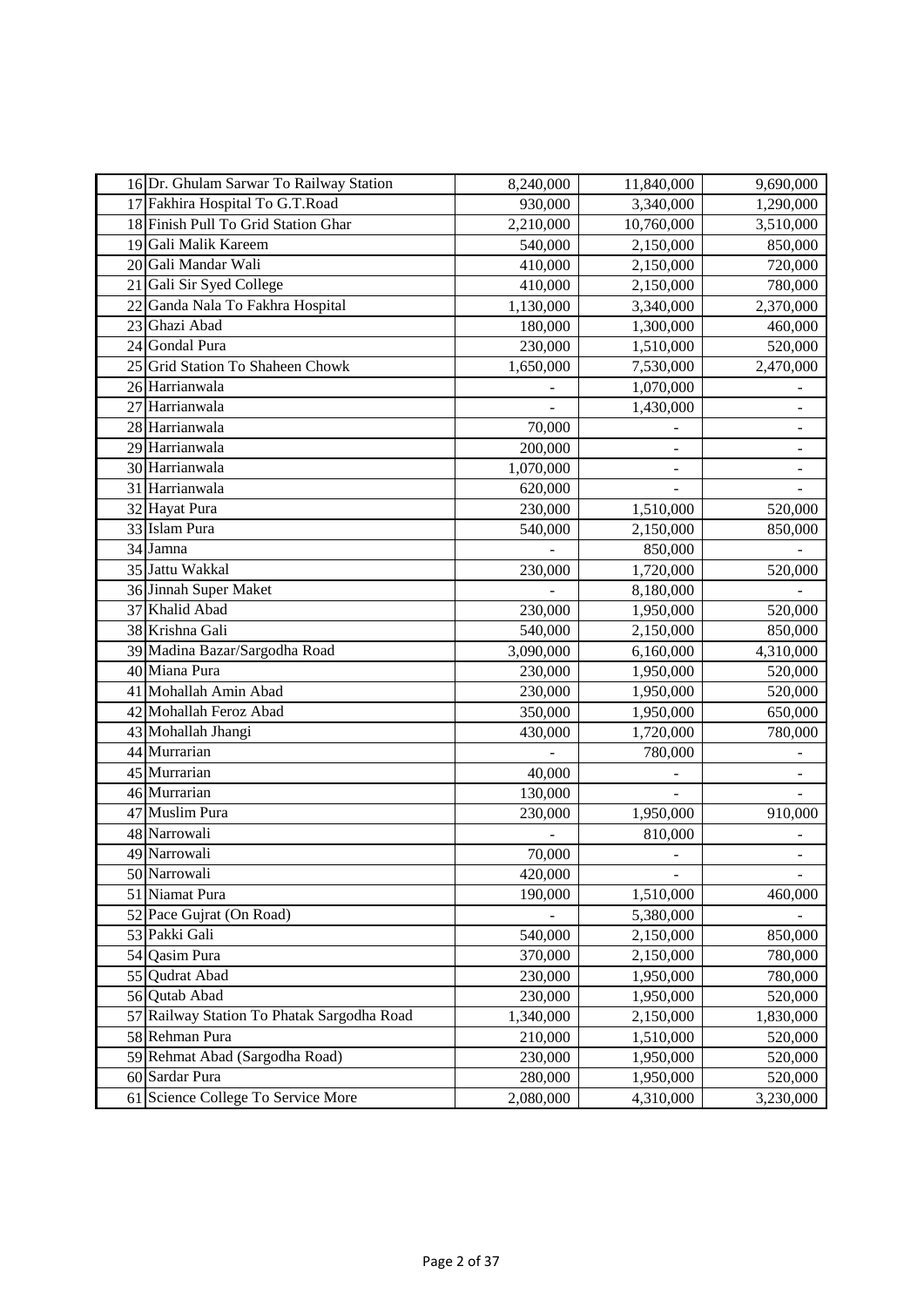|    | 16 Dr. Ghulam Sarwar To Railway Station    | 8,240,000 | 11,840,000 | 9,690,000     |
|----|--------------------------------------------|-----------|------------|---------------|
|    | 17 Fakhira Hospital To G.T.Road            | 930,000   | 3,340,000  | 1,290,000     |
|    | 18 Finish Pull To Grid Station Ghar        | 2,210,000 | 10,760,000 | 3,510,000     |
|    | 19 Gali Malik Kareem                       | 540,000   | 2,150,000  | 850,000       |
|    | 20 Gali Mandar Wali                        | 410,000   | 2,150,000  | 720,000       |
| 21 | Gali Sir Syed College                      | 410,000   | 2,150,000  | 780,000       |
|    | 22 Ganda Nala To Fakhra Hospital           | 1,130,000 | 3,340,000  | 2,370,000     |
|    | 23 Ghazi Abad                              | 180,000   | 1,300,000  | 460,000       |
|    | 24 Gondal Pura                             | 230,000   | 1,510,000  | 520,000       |
|    | 25 Grid Station To Shaheen Chowk           | 1,650,000 | 7,530,000  | 2,470,000     |
|    | 26 Harrianwala                             |           | 1,070,000  |               |
|    | 27 Harrianwala                             |           | 1,430,000  | $\frac{1}{2}$ |
|    | 28 Harrianwala                             | 70,000    |            |               |
|    | 29 Harrianwala                             | 200,000   |            |               |
|    | 30 Harrianwala                             | 1,070,000 |            |               |
|    | 31 Harrianwala                             | 620,000   |            |               |
|    | 32 Hayat Pura                              | 230,000   | 1,510,000  | 520,000       |
|    | 33 Islam Pura                              | 540,000   | 2,150,000  | 850,000       |
|    | 34 Jamna                                   |           | 850,000    |               |
|    | 35 Jattu Wakkal                            | 230,000   | 1,720,000  | 520,000       |
|    | 36 Jinnah Super Maket                      |           | 8,180,000  |               |
|    | 37 Khalid Abad                             | 230,000   | 1,950,000  | 520,000       |
|    | 38 Krishna Gali                            | 540,000   | 2,150,000  | 850,000       |
|    | 39 Madina Bazar/Sargodha Road              | 3,090,000 | 6,160,000  | 4,310,000     |
|    | 40 Miana Pura                              | 230,000   | 1,950,000  | 520,000       |
|    | 41 Mohallah Amin Abad                      | 230,000   | 1,950,000  | 520,000       |
|    | 42 Mohallah Feroz Abad                     | 350,000   | 1,950,000  | 650,000       |
|    | 43 Mohallah Jhangi                         | 430,000   | 1,720,000  | 780,000       |
|    | 44 Murrarian                               |           | 780,000    |               |
|    | 45 Murrarian                               | 40,000    |            |               |
|    | 46 Murrarian                               | 130,000   |            |               |
|    | 47 Muslim Pura                             | 230,000   | 1,950,000  | 910,000       |
|    | 48 Narrowali                               |           | 810,000    |               |
|    | 49 Narrowali                               | 70,000    |            | $\frac{1}{2}$ |
|    | 50 Narrowali                               | 420,000   |            |               |
|    | 51 Niamat Pura                             | 190,000   | 1,510,000  | 460,000       |
|    | 52 Pace Gujrat (On Road)                   |           | 5,380,000  |               |
|    | 53 Pakki Gali                              | 540,000   | 2,150,000  | 850,000       |
|    | 54 Qasim Pura                              | 370,000   | 2,150,000  | 780,000       |
|    | 55 Qudrat Abad                             | 230,000   | 1,950,000  | 780,000       |
|    | 56 Qutab Abad                              | 230,000   | 1,950,000  | 520,000       |
|    | 57 Railway Station To Phatak Sargodha Road | 1,340,000 | 2,150,000  | 1,830,000     |
|    | 58 Rehman Pura                             | 210,000   | 1,510,000  | 520,000       |
|    | 59 Rehmat Abad (Sargodha Road)             | 230,000   | 1,950,000  | 520,000       |
|    | 60 Sardar Pura                             | 280,000   | 1,950,000  | 520,000       |
|    | 61 Science College To Service More         | 2,080,000 | 4,310,000  | 3,230,000     |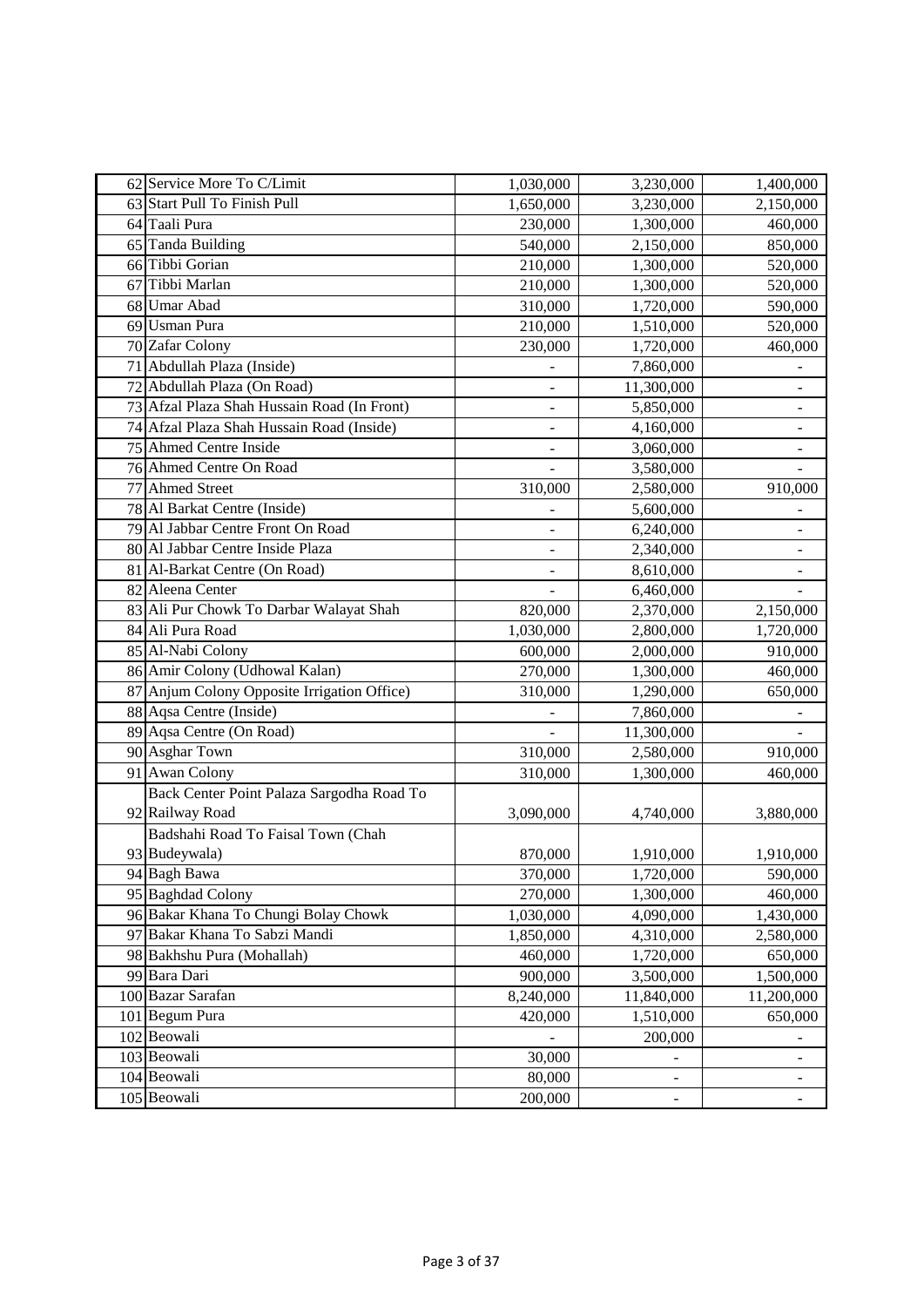|    | 62 Service More To C/Limit                  | 1,030,000                    | 3,230,000                | 1,400,000                    |
|----|---------------------------------------------|------------------------------|--------------------------|------------------------------|
|    | 63 Start Pull To Finish Pull                | 1,650,000                    | 3,230,000                | 2,150,000                    |
|    | 64 Taali Pura                               | 230,000                      | 1,300,000                | 460,000                      |
|    | 65 Tanda Building                           | 540,000                      | 2,150,000                | 850,000                      |
|    | 66 Tibbi Gorian                             | 210,000                      | 1,300,000                | 520,000                      |
| 67 | Tibbi Marlan                                | 210,000                      | 1,300,000                | 520,000                      |
|    | 68 Umar Abad                                | 310,000                      | 1,720,000                | 590,000                      |
|    | 69 Usman Pura                               | 210,000                      | 1,510,000                | 520,000                      |
|    | 70 Zafar Colony                             | 230,000                      | 1,720,000                | 460,000                      |
|    | 71 Abdullah Plaza (Inside)                  |                              | 7,860,000                |                              |
|    | 72 Abdullah Plaza (On Road)                 | -                            | 11,300,000               | $\overline{\phantom{0}}$     |
|    | 73 Afzal Plaza Shah Hussain Road (In Front) | $\qquad \qquad \blacksquare$ | 5,850,000                | $\frac{1}{2}$                |
|    | 74 Afzal Plaza Shah Hussain Road (Inside)   |                              | 4,160,000                |                              |
|    | 75 Ahmed Centre Inside                      |                              | 3,060,000                |                              |
|    | 76 Ahmed Centre On Road                     |                              | 3,580,000                |                              |
|    | 77 Ahmed Street                             | 310,000                      | 2,580,000                | 910,000                      |
|    | 78 Al Barkat Centre (Inside)                | $\overline{\phantom{0}}$     | 5,600,000                |                              |
|    | 79 Al Jabbar Centre Front On Road           |                              | 6,240,000                |                              |
|    | 80 Al Jabbar Centre Inside Plaza            |                              | 2,340,000                |                              |
|    | 81 Al-Barkat Centre (On Road)               |                              | 8,610,000                |                              |
|    | 82 Aleena Center                            |                              | 6,460,000                |                              |
|    | 83 Ali Pur Chowk To Darbar Walayat Shah     | 820,000                      | 2,370,000                | 2,150,000                    |
|    | 84 Ali Pura Road                            | 1,030,000                    | 2,800,000                | 1,720,000                    |
|    | 85 Al-Nabi Colony                           | 600,000                      | 2,000,000                | 910,000                      |
|    | 86 Amir Colony (Udhowal Kalan)              | 270,000                      | 1,300,000                | 460,000                      |
|    | 87 Anjum Colony Opposite Irrigation Office) | 310,000                      | 1,290,000                | 650,000                      |
|    | 88 Aqsa Centre (Inside)                     |                              | 7,860,000                |                              |
|    | 89 Aqsa Centre (On Road)                    | $\blacksquare$               | 11,300,000               |                              |
|    | 90 Asghar Town                              | 310,000                      | 2,580,000                | 910,000                      |
|    | 91 Awan Colony                              | 310,000                      | 1,300,000                | 460,000                      |
|    | Back Center Point Palaza Sargodha Road To   |                              |                          |                              |
|    | 92 Railway Road                             | 3,090,000                    | 4,740,000                | 3,880,000                    |
|    | Badshahi Road To Faisal Town (Chah          |                              |                          |                              |
|    | 93 Budeywala)                               | 870,000                      | 1,910,000                | 1,910,000                    |
|    | 94 Bagh Bawa                                | 370,000                      | 1,720,000                | 590,000                      |
|    | 95 Baghdad Colony                           | 270,000                      | 1,300,000                | 460,000                      |
|    | 96 Bakar Khana To Chungi Bolay Chowk        | 1,030,000                    | 4,090,000                | 1,430,000                    |
|    | 97 Bakar Khana To Sabzi Mandi               | 1,850,000                    | 4,310,000                | 2,580,000                    |
|    | 98 Bakhshu Pura (Mohallah)                  | 460,000                      | 1,720,000                | 650,000                      |
|    | 99 Bara Dari                                | 900,000                      | 3,500,000                | 1,500,000                    |
|    | 100 Bazar Sarafan                           | 8,240,000                    | 11,840,000               | 11,200,000                   |
|    | 101 Begum Pura                              | 420,000                      | 1,510,000                | 650,000                      |
|    | 102 Beowali                                 |                              | 200,000                  |                              |
|    | 103 Beowali                                 | 30,000                       |                          |                              |
|    | 104 Beowali                                 | 80,000                       | $\overline{\phantom{0}}$ | $\qquad \qquad \blacksquare$ |
|    | 105 Beowali                                 | 200,000                      | $\overline{a}$           | $\overline{\phantom{a}}$     |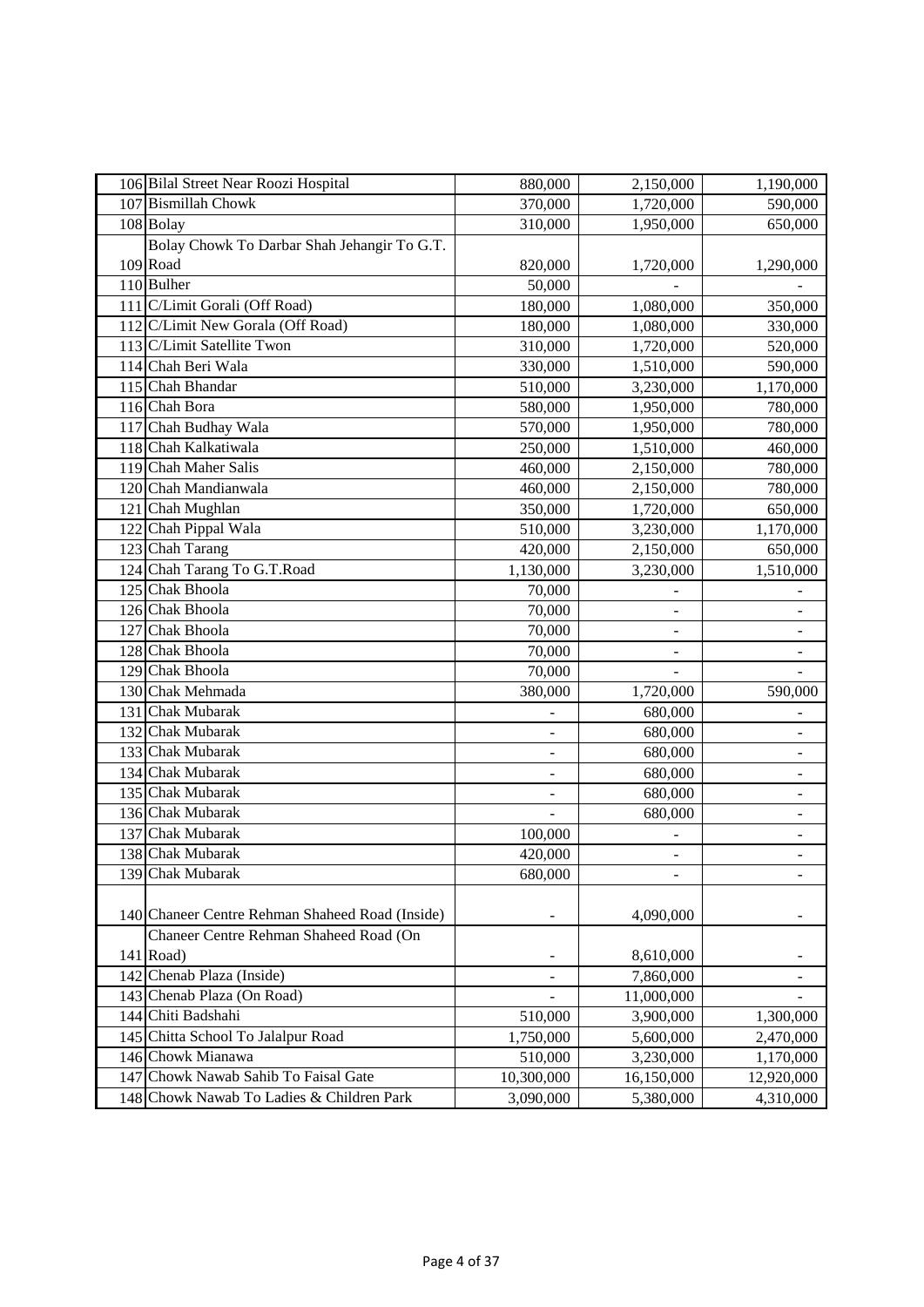| 106 Bilal Street Near Roozi Hospital            | 880,000                  | 2,150,000                    | 1,190,000                |
|-------------------------------------------------|--------------------------|------------------------------|--------------------------|
| 107 Bismillah Chowk                             | 370,000                  | 1,720,000                    | 590,000                  |
| 108 Bolay                                       | 310,000                  | 1,950,000                    | 650,000                  |
| Bolay Chowk To Darbar Shah Jehangir To G.T.     |                          |                              |                          |
| 109 Road                                        | 820,000                  | 1,720,000                    | 1,290,000                |
| 110 Bulher                                      | 50,000                   |                              |                          |
| 111 C/Limit Gorali (Off Road)                   | 180,000                  | 1,080,000                    | 350,000                  |
| 112 C/Limit New Gorala (Off Road)               | 180,000                  | 1,080,000                    | 330,000                  |
| 113 C/Limit Satellite Twon                      | 310,000                  | 1,720,000                    | 520,000                  |
| 114 Chah Beri Wala                              | 330,000                  | 1,510,000                    | 590,000                  |
| 115 Chah Bhandar                                | 510,000                  | 3,230,000                    | 1,170,000                |
| 116 Chah Bora                                   | 580,000                  | 1,950,000                    | 780,000                  |
| 117 Chah Budhay Wala                            | 570,000                  | 1,950,000                    | 780,000                  |
| 118 Chah Kalkatiwala                            | 250,000                  | 1,510,000                    | 460,000                  |
| 119 Chah Maher Salis                            | 460,000                  | 2,150,000                    | 780,000                  |
| 120 Chah Mandianwala                            | 460,000                  | 2,150,000                    | 780,000                  |
| 121 Chah Mughlan                                | 350,000                  | 1,720,000                    | 650,000                  |
| 122 Chah Pippal Wala                            | 510,000                  | 3,230,000                    | 1,170,000                |
| 123 Chah Tarang                                 | 420,000                  | 2,150,000                    | 650,000                  |
| 124 Chah Tarang To G.T.Road                     | 1,130,000                | 3,230,000                    | 1,510,000                |
| 125 Chak Bhoola                                 | 70,000                   |                              |                          |
| 126 Chak Bhoola                                 | 70,000                   |                              |                          |
| 127 Chak Bhoola                                 | 70,000                   | $\qquad \qquad \blacksquare$ | $\blacksquare$           |
| 128 Chak Bhoola                                 | 70,000                   | ÷                            | $\overline{\phantom{0}}$ |
| 129 Chak Bhoola                                 | 70,000                   |                              |                          |
| 130 Chak Mehmada                                | 380,000                  | 1,720,000                    | 590,000                  |
| 131 Chak Mubarak                                |                          | 680,000                      |                          |
| 132 Chak Mubarak                                |                          | 680,000                      | -                        |
| 133 Chak Mubarak                                | $\overline{\phantom{a}}$ | 680,000                      | $\overline{\phantom{0}}$ |
| 134 Chak Mubarak                                | $\overline{\phantom{0}}$ | 680,000                      | $\blacksquare$           |
| 135 Chak Mubarak                                |                          | 680,000                      |                          |
| 136 Chak Mubarak                                |                          | 680,000                      |                          |
| 137 Chak Mubarak                                | 100,000                  |                              |                          |
| 138 Chak Mubarak                                | 420,000                  | -                            | $\blacksquare$           |
| 139 Chak Mubarak                                | 680,000                  | $\overline{a}$               | $\overline{\phantom{a}}$ |
|                                                 |                          |                              |                          |
| 140 Chaneer Centre Rehman Shaheed Road (Inside) |                          | 4,090,000                    |                          |
| Chaneer Centre Rehman Shaheed Road (On          |                          |                              |                          |
| 141 Road)                                       |                          | 8,610,000                    |                          |
| 142 Chenab Plaza (Inside)                       | $\overline{\phantom{a}}$ | 7,860,000                    | $\overline{\phantom{0}}$ |
| 143 Chenab Plaza (On Road)                      |                          | 11,000,000                   |                          |
| 144 Chiti Badshahi                              | 510,000                  | 3,900,000                    | 1,300,000                |
| 145 Chitta School To Jalalpur Road              | 1,750,000                | 5,600,000                    | 2,470,000                |
| 146 Chowk Mianawa                               | 510,000                  | 3,230,000                    | 1,170,000                |
| 147 Chowk Nawab Sahib To Faisal Gate            | 10,300,000               | 16,150,000                   | 12,920,000               |
| 148 Chowk Nawab To Ladies & Children Park       | 3,090,000                | 5,380,000                    | 4,310,000                |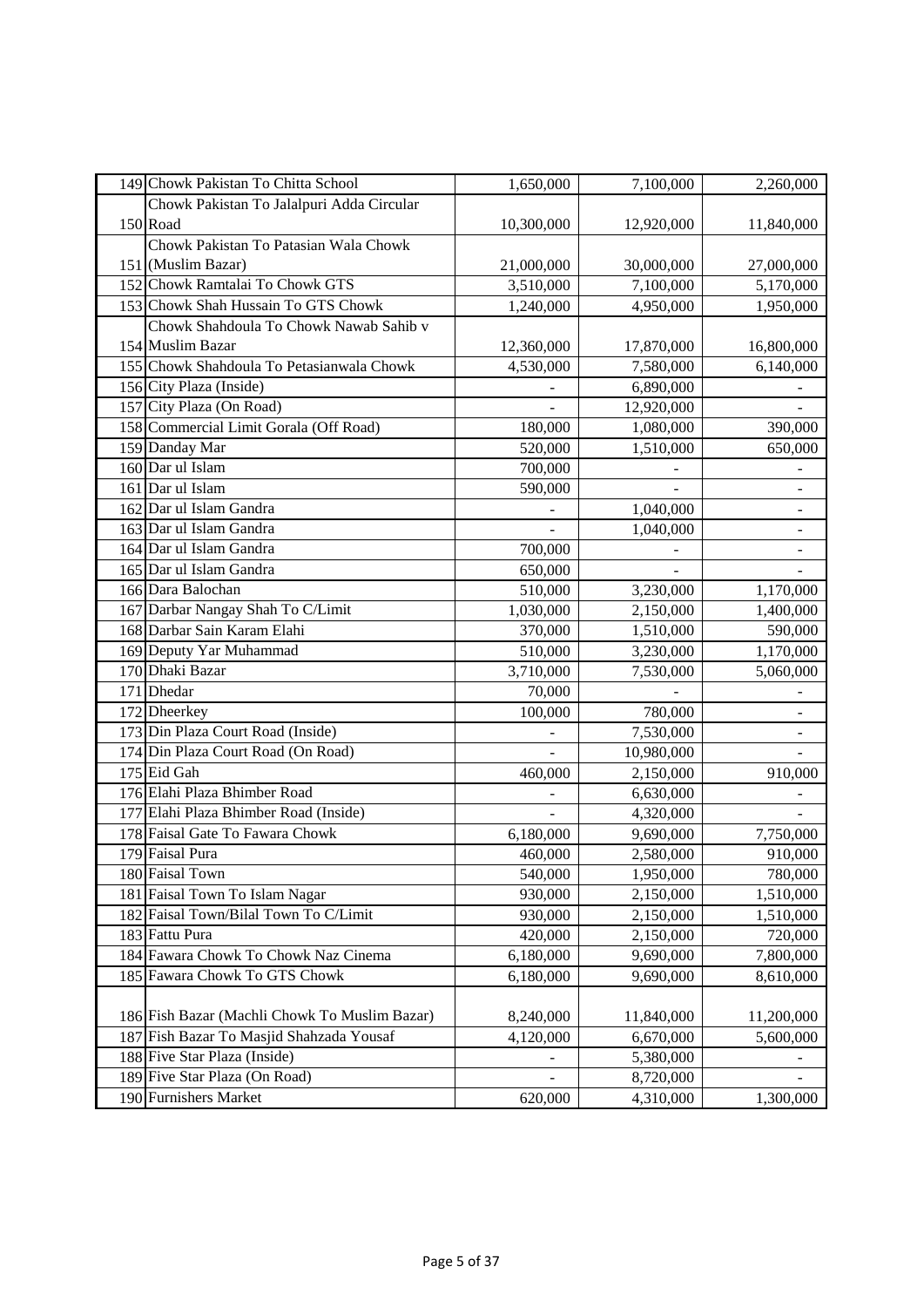| 149 Chowk Pakistan To Chitta School           | 1,650,000      | 7,100,000  | 2,260,000                |
|-----------------------------------------------|----------------|------------|--------------------------|
| Chowk Pakistan To Jalalpuri Adda Circular     |                |            |                          |
| 150 Road                                      | 10,300,000     | 12,920,000 | 11,840,000               |
| Chowk Pakistan To Patasian Wala Chowk         |                |            |                          |
| 151 (Muslim Bazar)                            | 21,000,000     | 30,000,000 | 27,000,000               |
| 152 Chowk Ramtalai To Chowk GTS               | 3,510,000      | 7,100,000  | 5,170,000                |
| 153 Chowk Shah Hussain To GTS Chowk           | 1,240,000      | 4,950,000  | 1,950,000                |
| Chowk Shahdoula To Chowk Nawab Sahib v        |                |            |                          |
| 154 Muslim Bazar                              | 12,360,000     | 17,870,000 | 16,800,000               |
| 155 Chowk Shahdoula To Petasianwala Chowk     | 4,530,000      | 7,580,000  | 6,140,000                |
| 156 City Plaza (Inside)                       |                | 6,890,000  |                          |
| 157 City Plaza (On Road)                      |                | 12,920,000 |                          |
| 158 Commercial Limit Gorala (Off Road)        | 180,000        | 1,080,000  | 390,000                  |
| 159 Danday Mar                                | 520,000        | 1,510,000  | 650,000                  |
| 160 Dar ul Islam                              | 700,000        |            |                          |
| 161 Dar ul Islam                              | 590,000        |            | ÷,                       |
| 162 Dar ul Islam Gandra                       | $\blacksquare$ | 1,040,000  | $\frac{1}{2}$            |
| 163 Dar ul Islam Gandra                       | ÷.             | 1,040,000  | $\overline{\phantom{0}}$ |
| 164 Dar ul Islam Gandra                       | 700,000        |            |                          |
| 165 Dar ul Islam Gandra                       | 650,000        |            |                          |
| 166 Dara Balochan                             | 510,000        | 3,230,000  | 1,170,000                |
| 167 Darbar Nangay Shah To C/Limit             | 1,030,000      | 2,150,000  | 1,400,000                |
| 168 Darbar Sain Karam Elahi                   | 370,000        | 1,510,000  | 590,000                  |
| 169 Deputy Yar Muhammad                       | 510,000        | 3,230,000  | 1,170,000                |
| 170 Dhaki Bazar                               | 3,710,000      | 7,530,000  | 5,060,000                |
| 171 Dhedar                                    | 70,000         |            |                          |
| 172 Dheerkey                                  | 100,000        | 780,000    |                          |
| 173 Din Plaza Court Road (Inside)             | $\blacksquare$ | 7,530,000  | $\Box$                   |
| 174 Din Plaza Court Road (On Road)            |                | 10,980,000 | ÷,                       |
| 175 Eid Gah                                   | 460,000        | 2,150,000  | 910,000                  |
| 176 Elahi Plaza Bhimber Road                  |                | 6,630,000  |                          |
| 177 Elahi Plaza Bhimber Road (Inside)         |                | 4,320,000  |                          |
| 178 Faisal Gate To Fawara Chowk               | 6,180,000      | 9,690,000  | 7,750,000                |
| 179 Faisal Pura                               | 460,000        | 2,580,000  | 910,000                  |
| 180 Faisal Town                               | 540,000        | 1,950,000  | 780,000                  |
| 181 Faisal Town To Islam Nagar                | 930,000        | 2,150,000  | 1,510,000                |
| 182 Faisal Town/Bilal Town To C/Limit         | 930,000        | 2,150,000  | 1,510,000                |
| 183 Fattu Pura                                | 420,000        | 2,150,000  | 720,000                  |
| 184 Fawara Chowk To Chowk Naz Cinema          | 6,180,000      | 9,690,000  | 7,800,000                |
| 185 Fawara Chowk To GTS Chowk                 | 6,180,000      | 9,690,000  | 8,610,000                |
|                                               |                |            |                          |
| 186 Fish Bazar (Machli Chowk To Muslim Bazar) | 8,240,000      | 11,840,000 | 11,200,000               |
| 187 Fish Bazar To Masjid Shahzada Yousaf      | 4,120,000      | 6,670,000  | 5,600,000                |
| 188 Five Star Plaza (Inside)                  | -              | 5,380,000  |                          |
| 189 Five Star Plaza (On Road)                 | -              | 8,720,000  |                          |
| 190 Furnishers Market                         | 620,000        | 4,310,000  | 1,300,000                |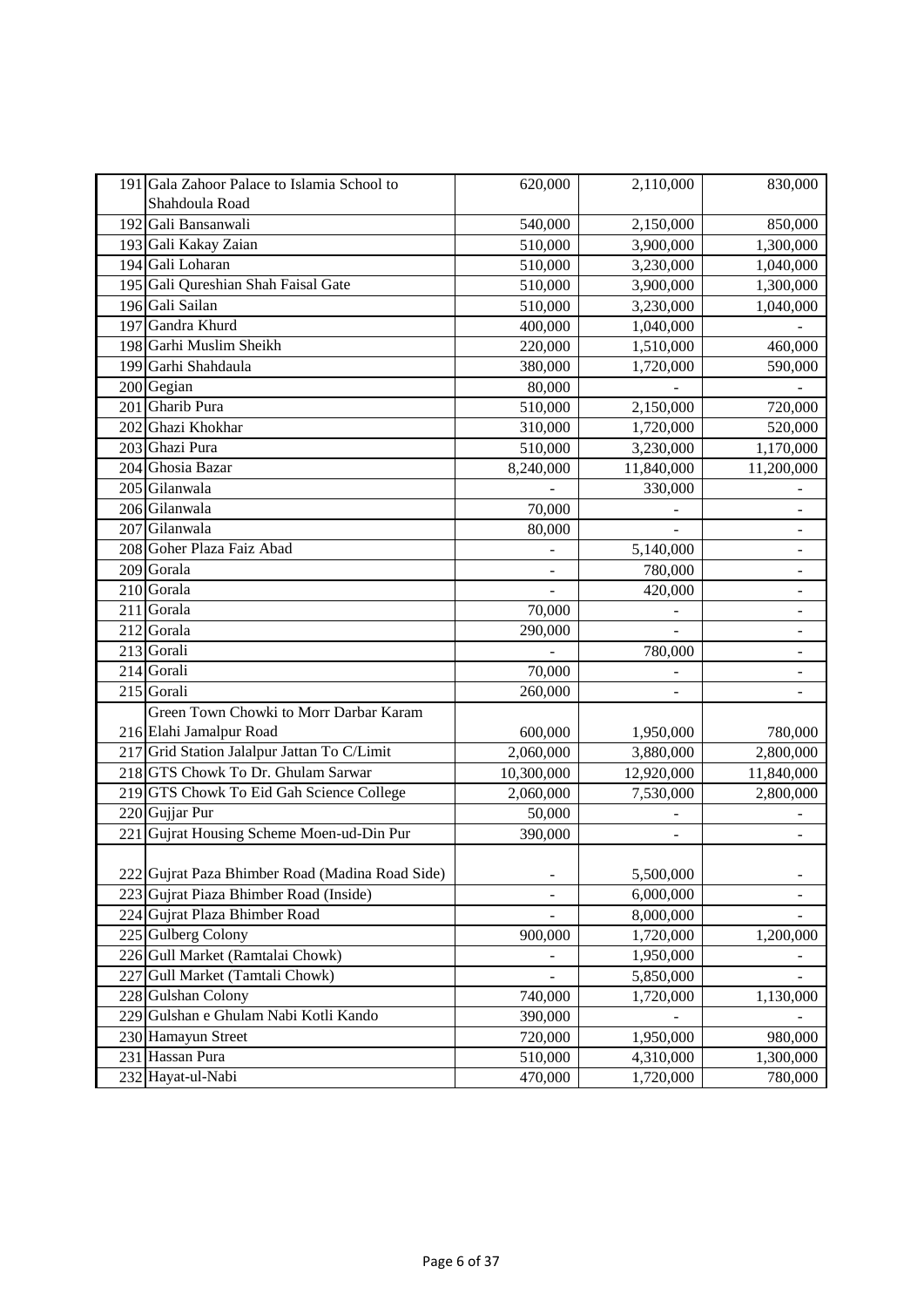| 191 Gala Zahoor Palace to Islamia School to<br>Shahdoula Road | 620,000                      | 2,110,000  | 830,000                      |
|---------------------------------------------------------------|------------------------------|------------|------------------------------|
| 192 Gali Bansanwali                                           | 540,000                      | 2,150,000  | 850,000                      |
| 193 Gali Kakay Zaian                                          | 510,000                      | 3,900,000  | 1,300,000                    |
| 194 Gali Loharan                                              | 510,000                      | 3,230,000  | 1,040,000                    |
| 195 Gali Qureshian Shah Faisal Gate                           | 510,000                      | 3,900,000  | 1,300,000                    |
| 196 Gali Sailan                                               | 510,000                      | 3,230,000  | 1,040,000                    |
| 197 Gandra Khurd                                              | 400,000                      | 1,040,000  |                              |
| 198 Garhi Muslim Sheikh                                       | 220,000                      | 1,510,000  | 460,000                      |
| 199 Garhi Shahdaula                                           | 380,000                      | 1,720,000  | 590,000                      |
| 200 Gegian                                                    | 80,000                       |            |                              |
| 201 Gharib Pura                                               | 510,000                      | 2,150,000  | 720,000                      |
| 202 Ghazi Khokhar                                             | 310,000                      | 1,720,000  | 520,000                      |
| 203 Ghazi Pura                                                | 510,000                      | 3,230,000  | 1,170,000                    |
| 204 Ghosia Bazar                                              | 8,240,000                    | 11,840,000 | 11,200,000                   |
| 205 Gilanwala                                                 |                              | 330,000    |                              |
| 206 Gilanwala                                                 | 70,000                       |            | $\overline{\phantom{0}}$     |
| 207 Gilanwala                                                 | 80,000                       |            | $\qquad \qquad \blacksquare$ |
| 208 Goher Plaza Faiz Abad                                     |                              | 5,140,000  | ÷,                           |
| 209 Gorala                                                    |                              | 780,000    |                              |
| 210 Gorala                                                    |                              | 420,000    |                              |
| 211 Gorala                                                    | 70,000                       |            |                              |
| 212 Gorala                                                    | 290,000                      |            | $\qquad \qquad -$            |
| 213 Gorali                                                    |                              | 780,000    | $\blacksquare$               |
| 214 Gorali                                                    | 70,000                       |            |                              |
| 215 Gorali                                                    | 260,000                      |            |                              |
| Green Town Chowki to Morr Darbar Karam                        |                              |            |                              |
| 216 Elahi Jamalpur Road                                       | 600,000                      | 1,950,000  | 780,000                      |
| 217 Grid Station Jalalpur Jattan To C/Limit                   | 2,060,000                    | 3,880,000  | 2,800,000                    |
| 218 GTS Chowk To Dr. Ghulam Sarwar                            | 10,300,000                   | 12,920,000 | 11,840,000                   |
| 219 GTS Chowk To Eid Gah Science College                      | 2,060,000                    | 7,530,000  | 2,800,000                    |
| 220 Gujjar Pur                                                | 50,000                       |            |                              |
| 221 Gujrat Housing Scheme Moen-ud-Din Pur                     | 390,000                      |            |                              |
| 222 Gujrat Paza Bhimber Road (Madina Road Side)               | $\overline{\phantom{a}}$     | 5,500,000  | $\qquad \qquad \blacksquare$ |
| 223 Gujrat Piaza Bhimber Road (Inside)                        |                              | 6,000,000  |                              |
| 224 Gujrat Plaza Bhimber Road                                 |                              | 8,000,000  |                              |
| 225 Gulberg Colony                                            | 900,000                      | 1,720,000  | 1,200,000                    |
| 226 Gull Market (Ramtalai Chowk)                              |                              | 1,950,000  |                              |
| 227 Gull Market (Tamtali Chowk)                               | $\qquad \qquad \blacksquare$ | 5,850,000  |                              |
| 228 Gulshan Colony                                            | 740,000                      | 1,720,000  | 1,130,000                    |
| 229 Gulshan e Ghulam Nabi Kotli Kando                         | 390,000                      |            |                              |
| 230 Hamayun Street                                            | 720,000                      | 1,950,000  | 980,000                      |
| 231 Hassan Pura                                               | 510,000                      | 4,310,000  | 1,300,000                    |
| 232 Hayat-ul-Nabi                                             | 470,000                      | 1,720,000  | 780,000                      |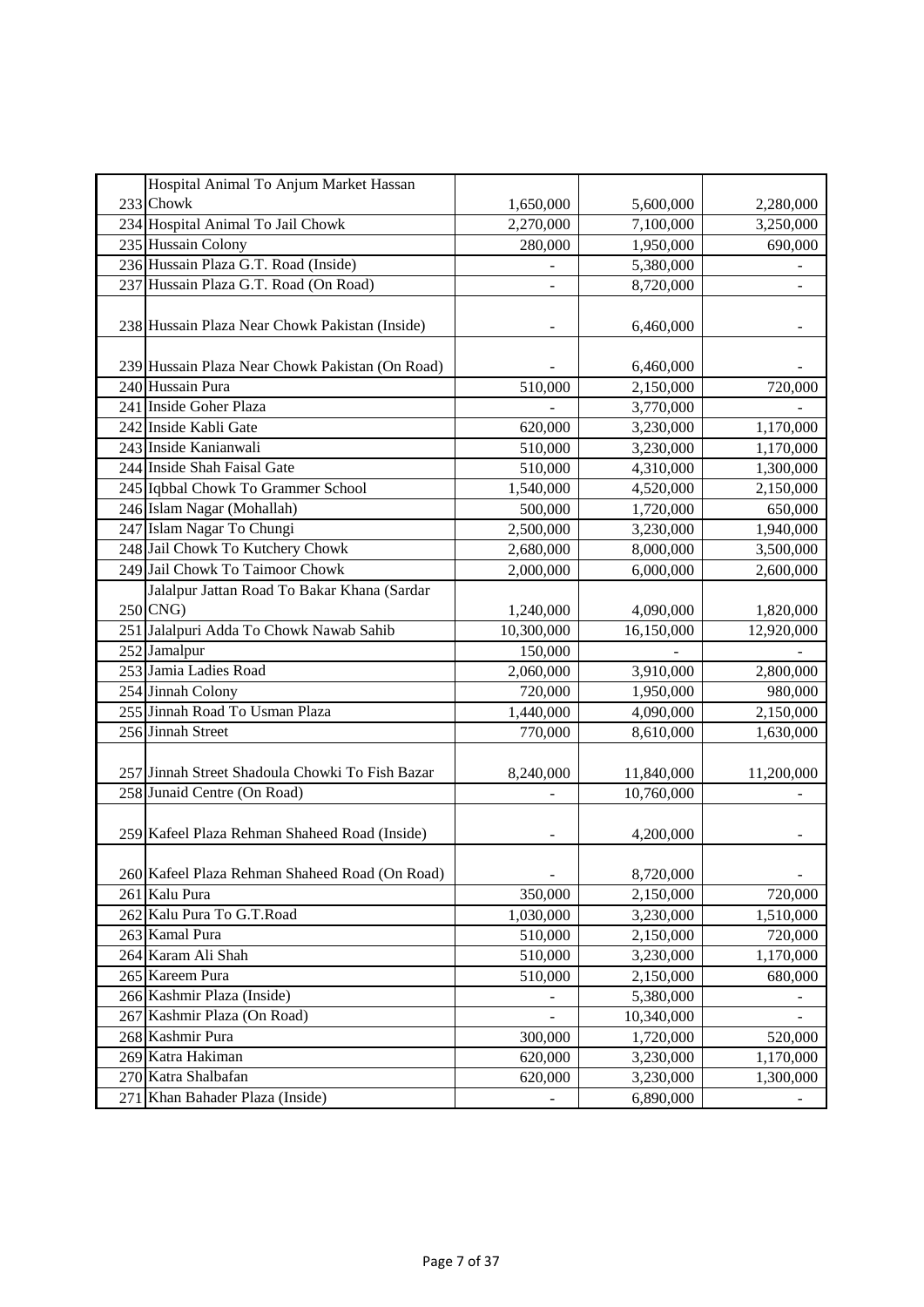| Hospital Animal To Anjum Market Hassan          |            |            |            |
|-------------------------------------------------|------------|------------|------------|
| 233 Chowk                                       | 1,650,000  | 5,600,000  | 2,280,000  |
| 234 Hospital Animal To Jail Chowk               | 2,270,000  | 7,100,000  | 3,250,000  |
| 235 Hussain Colony                              | 280,000    | 1,950,000  | 690,000    |
| 236 Hussain Plaza G.T. Road (Inside)            |            | 5,380,000  |            |
| 237 Hussain Plaza G.T. Road (On Road)           | ÷,         | 8,720,000  |            |
| 238 Hussain Plaza Near Chowk Pakistan (Inside)  |            | 6,460,000  |            |
| 239 Hussain Plaza Near Chowk Pakistan (On Road) |            | 6,460,000  |            |
| 240 Hussain Pura                                | 510,000    | 2,150,000  | 720,000    |
| 241 Inside Goher Plaza                          |            | 3,770,000  |            |
| 242 Inside Kabli Gate                           | 620,000    | 3,230,000  | 1,170,000  |
| 243 Inside Kanianwali                           | 510,000    | 3,230,000  | 1,170,000  |
| 244 Inside Shah Faisal Gate                     | 510,000    | 4,310,000  | 1,300,000  |
| 245 Iqbbal Chowk To Grammer School              | 1,540,000  | 4,520,000  | 2,150,000  |
| 246 Islam Nagar (Mohallah)                      | 500,000    | 1,720,000  | 650,000    |
| 247 Islam Nagar To Chungi                       | 2,500,000  | 3,230,000  | 1,940,000  |
| 248 Jail Chowk To Kutchery Chowk                | 2,680,000  | 8,000,000  | 3,500,000  |
| 249 Jail Chowk To Taimoor Chowk                 | 2,000,000  | 6,000,000  | 2,600,000  |
| Jalalpur Jattan Road To Bakar Khana (Sardar     |            |            |            |
| $250$ CNG)                                      | 1,240,000  | 4,090,000  | 1,820,000  |
| 251 Jalalpuri Adda To Chowk Nawab Sahib         | 10,300,000 | 16,150,000 | 12,920,000 |
| $\overline{252}$ Jamalpur                       | 150,000    |            |            |
| 253 Jamia Ladies Road                           | 2,060,000  | 3,910,000  | 2,800,000  |
| 254 Jinnah Colony                               | 720,000    | 1,950,000  | 980,000    |
| 255 Jinnah Road To Usman Plaza                  | 1,440,000  | 4,090,000  | 2,150,000  |
| 256 Jinnah Street                               | 770,000    | 8,610,000  | 1,630,000  |
| 257 Jinnah Street Shadoula Chowki To Fish Bazar | 8,240,000  | 11,840,000 | 11,200,000 |
| 258 Junaid Centre (On Road)                     |            | 10,760,000 |            |
| 259 Kafeel Plaza Rehman Shaheed Road (Inside)   |            | 4,200,000  |            |
| 260 Kafeel Plaza Rehman Shaheed Road (On Road)  |            | 8,720,000  |            |
| 261 Kalu Pura                                   | 350,000    | 2,150,000  | 720,000    |
| 262 Kalu Pura To G.T.Road                       | 1,030,000  | 3,230,000  | 1,510,000  |
| 263 Kamal Pura                                  | 510,000    | 2,150,000  | 720,000    |
| 264 Karam Ali Shah                              | 510,000    | 3,230,000  | 1,170,000  |
| 265 Kareem Pura                                 | 510,000    | 2,150,000  | 680,000    |
| 266 Kashmir Plaza (Inside)                      |            | 5,380,000  |            |
| 267 Kashmir Plaza (On Road)                     |            | 10,340,000 |            |
| 268 Kashmir Pura                                | 300,000    | 1,720,000  | 520,000    |
| 269 Katra Hakiman                               | 620,000    | 3,230,000  | 1,170,000  |
| 270 Katra Shalbafan                             | 620,000    | 3,230,000  | 1,300,000  |
| 271 Khan Bahader Plaza (Inside)                 |            | 6,890,000  |            |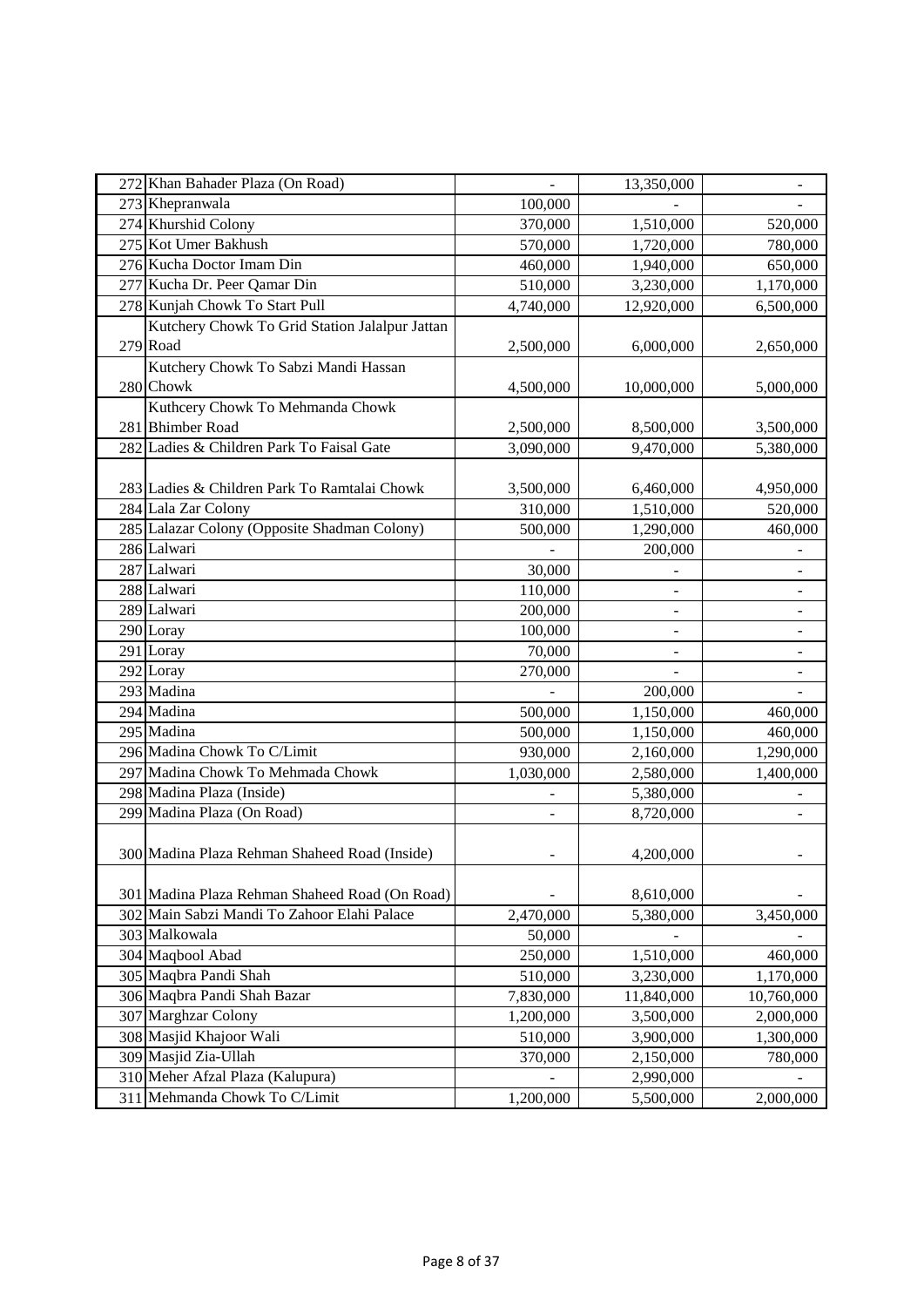| 272 Khan Bahader Plaza (On Road)               |           | 13,350,000               | $\qquad \qquad \blacksquare$ |
|------------------------------------------------|-----------|--------------------------|------------------------------|
| 273 Khepranwala                                | 100,000   |                          |                              |
| 274 Khurshid Colony                            | 370,000   | 1,510,000                | 520,000                      |
| 275 Kot Umer Bakhush                           | 570,000   | 1,720,000                | 780,000                      |
| 276 Kucha Doctor Imam Din                      | 460,000   | 1,940,000                | 650,000                      |
| 277 Kucha Dr. Peer Qamar Din                   | 510,000   | 3,230,000                | 1,170,000                    |
| 278 Kunjah Chowk To Start Pull                 | 4,740,000 | 12,920,000               | 6,500,000                    |
| Kutchery Chowk To Grid Station Jalalpur Jattan |           |                          |                              |
| 279 Road                                       | 2,500,000 | 6,000,000                | 2,650,000                    |
| Kutchery Chowk To Sabzi Mandi Hassan           |           |                          |                              |
| 280 Chowk                                      | 4,500,000 | 10,000,000               | 5,000,000                    |
| Kuthcery Chowk To Mehmanda Chowk               |           |                          |                              |
| 281 Bhimber Road                               | 2,500,000 | 8,500,000                | 3,500,000                    |
| 282 Ladies & Children Park To Faisal Gate      | 3,090,000 | 9,470,000                | 5,380,000                    |
|                                                |           |                          |                              |
| 283 Ladies & Children Park To Ramtalai Chowk   | 3,500,000 | 6,460,000                | 4,950,000                    |
| 284 Lala Zar Colony                            | 310,000   | 1,510,000                | 520,000                      |
| 285 Lalazar Colony (Opposite Shadman Colony)   | 500,000   | 1,290,000                | 460,000                      |
| 286 Lalwari                                    |           | 200,000                  |                              |
| 287 Lalwari                                    | 30,000    |                          |                              |
| 288 Lalwari                                    | 110,000   |                          |                              |
| 289 Lalwari                                    | 200,000   |                          |                              |
| 290 Loray                                      | 100,000   | $\overline{\phantom{a}}$ | $\overline{\phantom{a}}$     |
| $291$ Loray                                    | 70,000    |                          |                              |
| 292 Loray                                      | 270,000   |                          |                              |
| 293 Madina                                     |           | 200,000                  |                              |
| 294 Madina                                     | 500,000   | 1,150,000                | 460,000                      |
| 295 Madina                                     | 500,000   | 1,150,000                | 460,000                      |
| 296 Madina Chowk To C/Limit                    | 930,000   | 2,160,000                | 1,290,000                    |
| 297 Madina Chowk To Mehmada Chowk              | 1,030,000 | 2,580,000                | 1,400,000                    |
| 298 Madina Plaza (Inside)                      |           | 5,380,000                |                              |
| 299 Madina Plaza (On Road)                     |           | 8,720,000                |                              |
| 300 Madina Plaza Rehman Shaheed Road (Inside)  |           | 4,200,000                |                              |
| 301 Madina Plaza Rehman Shaheed Road (On Road) |           | 8,610,000                |                              |
| 302 Main Sabzi Mandi To Zahoor Elahi Palace    | 2,470,000 | 5,380,000                | 3,450,000                    |
| 303 Malkowala                                  | 50,000    |                          |                              |
| 304 Maqbool Abad                               | 250,000   | 1,510,000                | 460,000                      |
| 305 Maqbra Pandi Shah                          | 510,000   | 3,230,000                | 1,170,000                    |
| 306 Maqbra Pandi Shah Bazar                    | 7,830,000 | 11,840,000               | 10,760,000                   |
| 307 Marghzar Colony                            | 1,200,000 | 3,500,000                | 2,000,000                    |
| 308 Masjid Khajoor Wali                        | 510,000   | 3,900,000                | 1,300,000                    |
| 309 Masjid Zia-Ullah                           | 370,000   | 2,150,000                | 780,000                      |
| 310 Meher Afzal Plaza (Kalupura)               |           | 2,990,000                |                              |
| 311 Mehmanda Chowk To C/Limit                  | 1,200,000 | 5,500,000                | 2,000,000                    |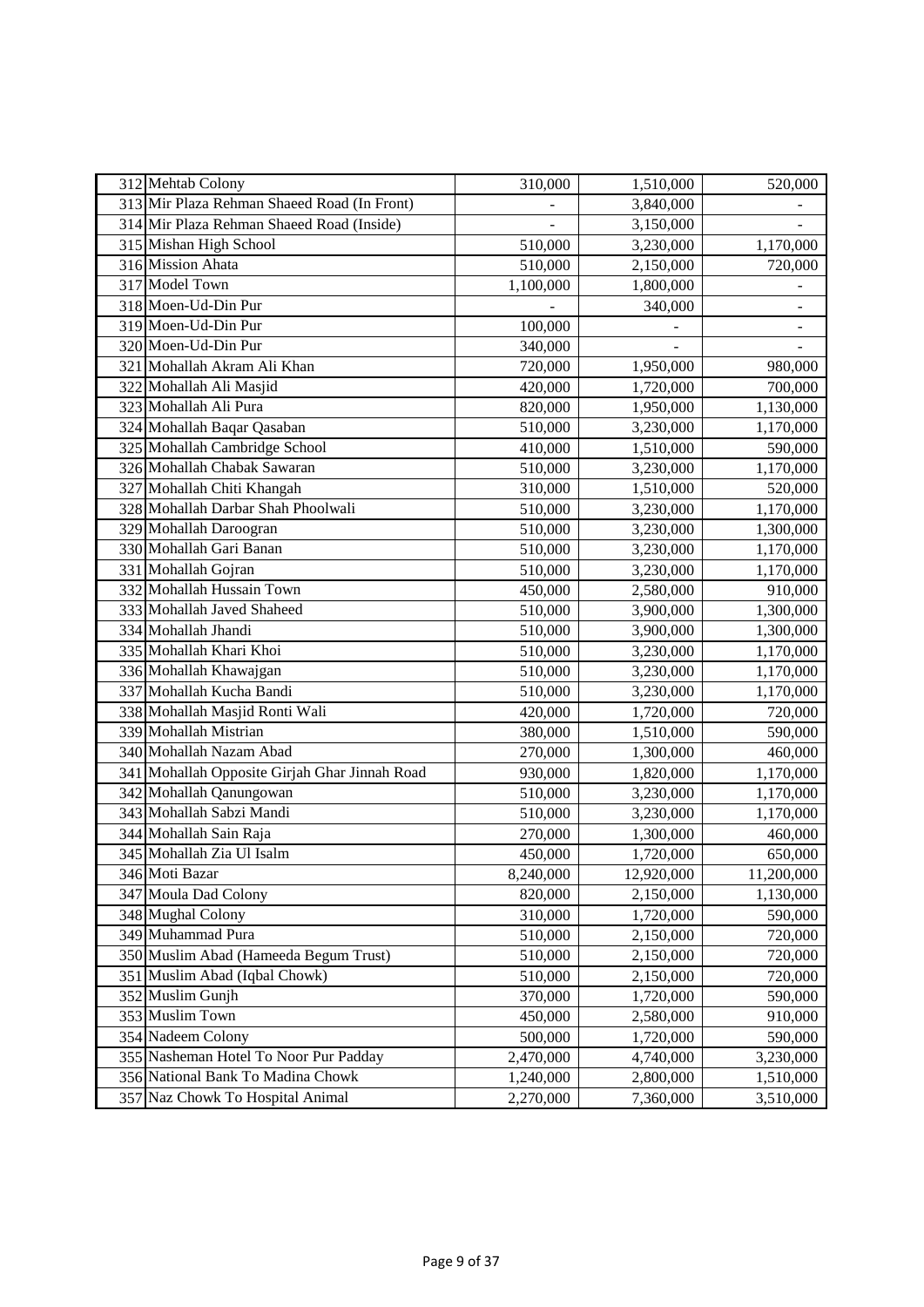| 312 Mehtab Colony                             | 310,000   | 1,510,000  | 520,000        |
|-----------------------------------------------|-----------|------------|----------------|
| 313 Mir Plaza Rehman Shaeed Road (In Front)   |           | 3,840,000  |                |
| 314 Mir Plaza Rehman Shaeed Road (Inside)     |           | 3,150,000  |                |
| 315 Mishan High School                        | 510,000   | 3,230,000  | 1,170,000      |
| 316 Mission Ahata                             | 510,000   | 2,150,000  | 720,000        |
| 317 Model Town                                | 1,100,000 | 1,800,000  |                |
| 318 Moen-Ud-Din Pur                           |           | 340,000    | $\overline{a}$ |
| 319 Moen-Ud-Din Pur                           | 100,000   |            |                |
| 320 Moen-Ud-Din Pur                           | 340,000   |            |                |
| 321 Mohallah Akram Ali Khan                   | 720,000   | 1,950,000  | 980,000        |
| 322 Mohallah Ali Masjid                       | 420,000   | 1,720,000  | 700,000        |
| 323 Mohallah Ali Pura                         | 820,000   | 1,950,000  | 1,130,000      |
| 324 Mohallah Baqar Qasaban                    | 510,000   | 3,230,000  | 1,170,000      |
| 325 Mohallah Cambridge School                 | 410,000   | 1,510,000  | 590,000        |
| 326 Mohallah Chabak Sawaran                   | 510,000   | 3,230,000  | 1,170,000      |
| 327 Mohallah Chiti Khangah                    | 310,000   | 1,510,000  | 520,000        |
| 328 Mohallah Darbar Shah Phoolwali            | 510,000   | 3,230,000  | 1,170,000      |
| 329 Mohallah Daroogran                        | 510,000   | 3,230,000  | 1,300,000      |
| 330 Mohallah Gari Banan                       | 510,000   | 3,230,000  | 1,170,000      |
| 331 Mohallah Gojran                           | 510,000   | 3,230,000  | 1,170,000      |
| 332 Mohallah Hussain Town                     | 450,000   | 2,580,000  | 910,000        |
| 333 Mohallah Javed Shaheed                    | 510,000   | 3,900,000  | 1,300,000      |
| 334 Mohallah Jhandi                           | 510,000   | 3,900,000  | 1,300,000      |
| 335 Mohallah Khari Khoi                       | 510,000   | 3,230,000  | 1,170,000      |
| 336 Mohallah Khawajgan                        | 510,000   | 3,230,000  | 1,170,000      |
| 337 Mohallah Kucha Bandi                      | 510,000   | 3,230,000  | 1,170,000      |
| 338 Mohallah Masjid Ronti Wali                | 420,000   | 1,720,000  | 720,000        |
| 339 Mohallah Mistrian                         | 380,000   | 1,510,000  | 590,000        |
| 340 Mohallah Nazam Abad                       | 270,000   | 1,300,000  | 460,000        |
| 341 Mohallah Opposite Girjah Ghar Jinnah Road | 930,000   | 1,820,000  | 1,170,000      |
| 342 Mohallah Qanungowan                       | 510,000   | 3,230,000  | 1,170,000      |
| 343 Mohallah Sabzi Mandi                      | 510,000   | 3,230,000  | 1,170,000      |
| 344 Mohallah Sain Raja                        | 270,000   | 1,300,000  | 460,000        |
| 345 Mohallah Zia Ul Isalm                     | 450,000   | 1,720,000  | 650,000        |
| 346 Moti Bazar                                | 8,240,000 | 12,920,000 | 11,200,000     |
| 347 Moula Dad Colony                          | 820,000   | 2,150,000  | 1,130,000      |
| 348 Mughal Colony                             | 310,000   | 1,720,000  | 590,000        |
| 349 Muhammad Pura                             | 510,000   | 2,150,000  | 720,000        |
| 350 Muslim Abad (Hameeda Begum Trust)         | 510,000   | 2,150,000  | 720,000        |
| 351 Muslim Abad (Iqbal Chowk)                 | 510,000   | 2,150,000  | 720,000        |
| 352 Muslim Gunjh                              | 370,000   | 1,720,000  | 590,000        |
| 353 Muslim Town                               | 450,000   | 2,580,000  | 910,000        |
| 354 Nadeem Colony                             | 500,000   | 1,720,000  | 590,000        |
| 355 Nasheman Hotel To Noor Pur Padday         | 2,470,000 | 4,740,000  | 3,230,000      |
| 356 National Bank To Madina Chowk             | 1,240,000 | 2,800,000  | 1,510,000      |
| 357 Naz Chowk To Hospital Animal              | 2,270,000 | 7,360,000  | 3,510,000      |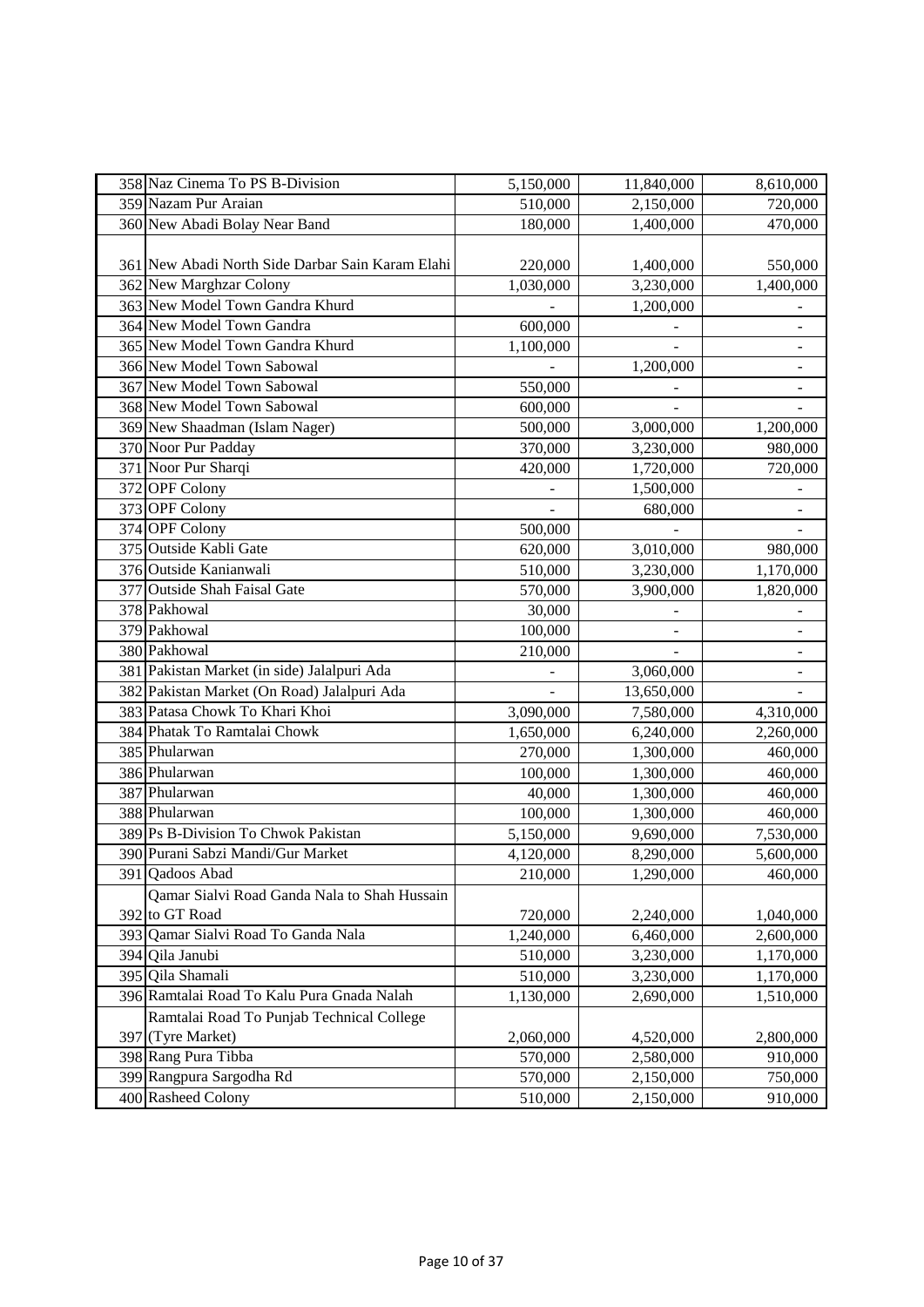| 358 Naz Cinema To PS B-Division                  | 5,150,000 | 11,840,000 | 8,610,000                |
|--------------------------------------------------|-----------|------------|--------------------------|
| 359 Nazam Pur Araian                             | 510,000   | 2,150,000  | 720,000                  |
| 360 New Abadi Bolay Near Band                    | 180,000   | 1,400,000  | 470,000                  |
|                                                  |           |            |                          |
| 361 New Abadi North Side Darbar Sain Karam Elahi | 220,000   | 1,400,000  | 550,000                  |
| 362 New Marghzar Colony                          | 1,030,000 | 3,230,000  | 1,400,000                |
| 363 New Model Town Gandra Khurd                  |           | 1,200,000  |                          |
| 364 New Model Town Gandra                        | 600,000   |            |                          |
| 365 New Model Town Gandra Khurd                  | 1,100,000 |            |                          |
| 366 New Model Town Sabowal                       |           | 1,200,000  |                          |
| 367 New Model Town Sabowal                       | 550,000   |            |                          |
| 368 New Model Town Sabowal                       | 600,000   |            |                          |
| 369 New Shaadman (Islam Nager)                   | 500,000   | 3,000,000  | 1,200,000                |
| 370 Noor Pur Padday                              | 370,000   | 3,230,000  | 980,000                  |
| 371 Noor Pur Sharqi                              | 420,000   | 1,720,000  | 720,000                  |
| 372 OPF Colony                                   |           | 1,500,000  |                          |
| 373 OPF Colony                                   |           | 680,000    | $\overline{\phantom{0}}$ |
| 374 OPF Colony                                   | 500,000   |            |                          |
| 375 Outside Kabli Gate                           | 620,000   | 3,010,000  | 980,000                  |
| 376 Outside Kanianwali                           | 510,000   | 3,230,000  | 1,170,000                |
| 377 Outside Shah Faisal Gate                     | 570,000   | 3,900,000  | 1,820,000                |
| 378 Pakhowal                                     | 30,000    |            |                          |
| 379 Pakhowal                                     | 100,000   | ÷,         | $\overline{\phantom{a}}$ |
| 380 Pakhowal                                     | 210,000   |            |                          |
| 381 Pakistan Market (in side) Jalalpuri Ada      |           | 3,060,000  |                          |
| 382 Pakistan Market (On Road) Jalalpuri Ada      |           | 13,650,000 |                          |
| 383 Patasa Chowk To Khari Khoi                   | 3,090,000 | 7,580,000  | 4,310,000                |
| 384 Phatak To Ramtalai Chowk                     | 1,650,000 | 6,240,000  | 2,260,000                |
| 385 Phularwan                                    | 270,000   | 1,300,000  | 460,000                  |
| 386 Phularwan                                    | 100,000   | 1,300,000  | 460,000                  |
| 387 Phularwan                                    | 40,000    | 1,300,000  | 460,000                  |
| 388 Phularwan                                    | 100,000   | 1,300,000  | 460,000                  |
| 389 Ps B-Division To Chwok Pakistan              | 5,150,000 | 9,690,000  | 7,530,000                |
| 390 Purani Sabzi Mandi/Gur Market                | 4,120,000 | 8,290,000  | 5,600,000                |
| 391 Qadoos Abad                                  | 210,000   | 1,290,000  | 460,000                  |
| Qamar Sialvi Road Ganda Nala to Shah Hussain     |           |            |                          |
| 392 to GT Road                                   | 720,000   | 2,240,000  | 1,040,000                |
| 393 Qamar Sialvi Road To Ganda Nala              | 1,240,000 | 6,460,000  | 2,600,000                |
| 394 Qila Janubi                                  | 510,000   | 3,230,000  | 1,170,000                |
| 395 Qila Shamali                                 | 510,000   | 3,230,000  | 1,170,000                |
| 396 Ramtalai Road To Kalu Pura Gnada Nalah       | 1,130,000 | 2,690,000  | 1,510,000                |
| Ramtalai Road To Punjab Technical College        |           |            |                          |
| 397 (Tyre Market)                                | 2,060,000 | 4,520,000  | 2,800,000                |
| 398 Rang Pura Tibba                              | 570,000   | 2,580,000  | 910,000                  |
| 399 Rangpura Sargodha Rd                         | 570,000   | 2,150,000  | 750,000                  |
| 400 Rasheed Colony                               | 510,000   | 2,150,000  | 910,000                  |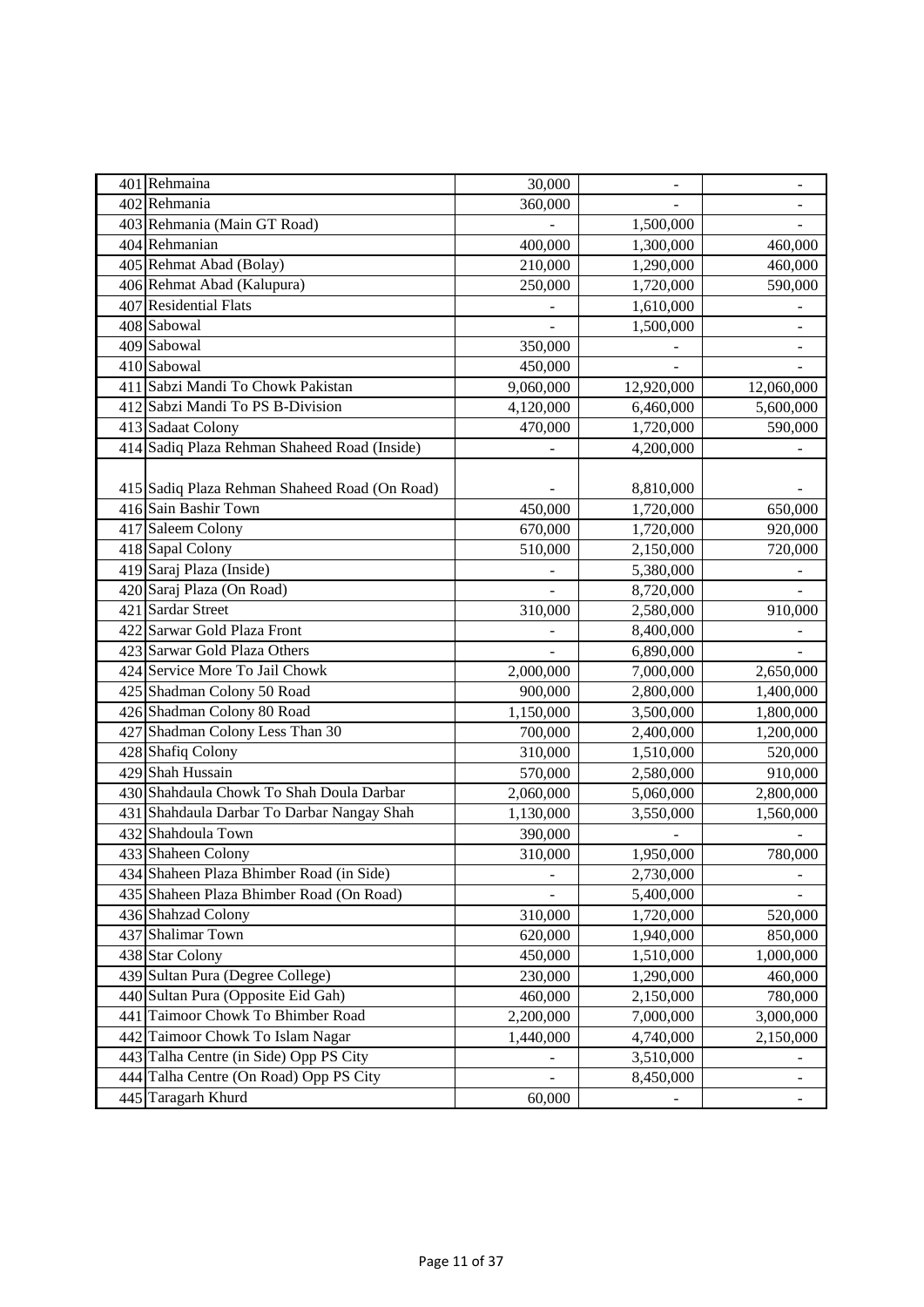| 401 Rehmaina                                  | 30,000    | $\overline{a}$ | ÷,         |
|-----------------------------------------------|-----------|----------------|------------|
| 402 Rehmania                                  | 360,000   |                |            |
| 403 Rehmania (Main GT Road)                   |           | 1,500,000      |            |
| $\overline{404}$ Rehmanian                    | 400,000   | 1,300,000      | 460,000    |
| 405 Rehmat Abad (Bolay)                       | 210,000   | 1,290,000      | 460,000    |
| 406 Rehmat Abad (Kalupura)                    | 250,000   | 1,720,000      | 590,000    |
| 407 Residential Flats                         |           | 1,610,000      |            |
| 408 Sabowal                                   |           | 1,500,000      |            |
| 409 Sabowal                                   | 350,000   |                |            |
| 410 Sabowal                                   | 450,000   |                |            |
| 411 Sabzi Mandi To Chowk Pakistan             | 9,060,000 | 12,920,000     | 12,060,000 |
| 412 Sabzi Mandi To PS B-Division              | 4,120,000 | 6,460,000      | 5,600,000  |
| 413 Sadaat Colony                             | 470,000   | 1,720,000      | 590,000    |
| 414 Sadiq Plaza Rehman Shaheed Road (Inside)  |           | 4,200,000      |            |
|                                               |           |                |            |
| 415 Sadiq Plaza Rehman Shaheed Road (On Road) |           | 8,810,000      |            |
| 416 Sain Bashir Town                          | 450,000   | 1,720,000      | 650,000    |
| 417 Saleem Colony                             | 670,000   | 1,720,000      | 920,000    |
| 418 Sapal Colony                              | 510,000   | 2,150,000      | 720,000    |
| 419 Saraj Plaza (Inside)                      |           | 5,380,000      |            |
| 420 Saraj Plaza (On Road)                     |           | 8,720,000      |            |
| 421 Sardar Street                             | 310,000   | 2,580,000      | 910,000    |
| 422 Sarwar Gold Plaza Front                   |           | 8,400,000      |            |
| 423 Sarwar Gold Plaza Others                  |           | 6,890,000      |            |
| 424 Service More To Jail Chowk                | 2,000,000 | 7,000,000      | 2,650,000  |
| 425 Shadman Colony 50 Road                    | 900,000   | 2,800,000      | 1,400,000  |
| 426 Shadman Colony 80 Road                    | 1,150,000 | 3,500,000      | 1,800,000  |
| 427 Shadman Colony Less Than 30               | 700,000   | 2,400,000      | 1,200,000  |
| 428 Shafiq Colony                             | 310,000   | 1,510,000      | 520,000    |
| 429 Shah Hussain                              | 570,000   | 2,580,000      | 910,000    |
| 430 Shahdaula Chowk To Shah Doula Darbar      | 2,060,000 | 5,060,000      | 2,800,000  |
| 431 Shahdaula Darbar To Darbar Nangay Shah    | 1,130,000 | 3,550,000      | 1,560,000  |
| 432 Shahdoula Town                            | 390,000   |                |            |
| 433 Shaheen Colony                            | 310,000   | 1,950,000      | 780,000    |
| 434 Shaheen Plaza Bhimber Road (in Side)      |           | 2,730,000      |            |
| 435 Shaheen Plaza Bhimber Road (On Road)      |           | 5,400,000      |            |
| 436 Shahzad Colony                            | 310,000   | 1,720,000      | 520,000    |
| 437 Shalimar Town                             | 620,000   | 1,940,000      | 850,000    |
| 438 Star Colony                               | 450,000   | 1,510,000      | 1,000,000  |
| 439 Sultan Pura (Degree College)              | 230,000   | 1,290,000      | 460,000    |
| 440 Sultan Pura (Opposite Eid Gah)            | 460,000   | 2,150,000      | 780,000    |
| 441 Taimoor Chowk To Bhimber Road             | 2,200,000 | 7,000,000      | 3,000,000  |
| 442 Taimoor Chowk To Islam Nagar              | 1,440,000 | 4,740,000      | 2,150,000  |
| 443 Talha Centre (in Side) Opp PS City        | -         | 3,510,000      |            |
| 444 Talha Centre (On Road) Opp PS City        |           | 8,450,000      |            |
| 445 Taragarh Khurd                            | 60,000    |                |            |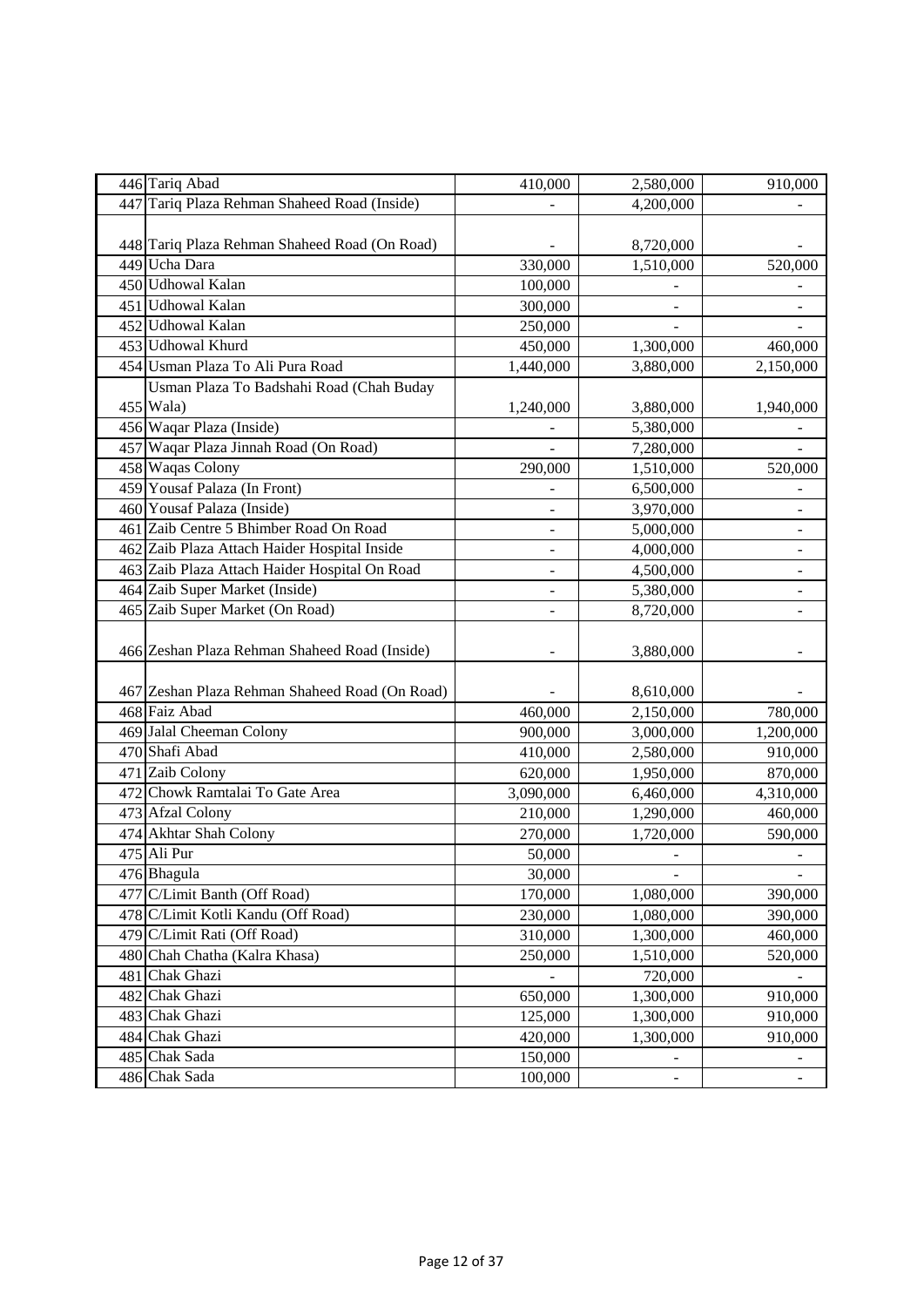| 446 Tariq Abad                                 | 410,000            | 2,580,000 | 910,000        |
|------------------------------------------------|--------------------|-----------|----------------|
| 447 Tariq Plaza Rehman Shaheed Road (Inside)   |                    | 4,200,000 |                |
| 448 Tariq Plaza Rehman Shaheed Road (On Road)  |                    | 8,720,000 |                |
| 449 Ucha Dara                                  | 330,000            | 1,510,000 | 520,000        |
| 450 Udhowal Kalan                              | 100,000            |           |                |
| 451 Udhowal Kalan                              | 300,000            |           |                |
| 452 Udhowal Kalan                              | 250,000            |           |                |
| 453 Udhowal Khurd                              | 450,000            | 1,300,000 | 460,000        |
| 454 Usman Plaza To Ali Pura Road               | 1,440,000          | 3,880,000 | 2,150,000      |
| Usman Plaza To Badshahi Road (Chah Buday       |                    |           |                |
| 455 Wala)                                      | 1,240,000          | 3,880,000 | 1,940,000      |
| 456 Waqar Plaza (Inside)                       |                    | 5,380,000 |                |
| 457 Waqar Plaza Jinnah Road (On Road)          |                    | 7,280,000 |                |
| 458 Waqas Colony                               | 290,000            | 1,510,000 | 520,000        |
| 459 Yousaf Palaza (In Front)                   |                    | 6,500,000 |                |
| 460 Yousaf Palaza (Inside)                     | -                  | 3,970,000 | -              |
| 461 Zaib Centre 5 Bhimber Road On Road         | ÷,                 | 5,000,000 | -              |
| 462 Zaib Plaza Attach Haider Hospital Inside   |                    | 4,000,000 |                |
| 463 Zaib Plaza Attach Haider Hospital On Road  |                    | 4,500,000 |                |
| 464 Zaib Super Market (Inside)                 |                    | 5,380,000 |                |
| 465 Zaib Super Market (On Road)                |                    | 8,720,000 |                |
| 466 Zeshan Plaza Rehman Shaheed Road (Inside)  |                    | 3,880,000 |                |
| 467 Zeshan Plaza Rehman Shaheed Road (On Road) |                    | 8,610,000 |                |
| 468 Faiz Abad                                  | 460,000            | 2,150,000 | 780,000        |
| 469 Jalal Cheeman Colony                       | 900,000            | 3,000,000 | 1,200,000      |
| 470 Shafi Abad                                 | 410,000            | 2,580,000 | 910,000        |
| 471 Zaib Colony                                | 620,000            | 1,950,000 | 870,000        |
| 472 Chowk Ramtalai To Gate Area                | 3,090,000          | 6,460,000 | 4,310,000      |
| 473 Afzal Colony                               | 210,000            | 1,290,000 | 460,000        |
| 474 Akhtar Shah Colony                         | 270,000            | 1,720,000 | 590,000        |
| 475 Ali Pur                                    | 50,000             | ÷,        | $\overline{a}$ |
| 476 Bhagula                                    | 30,000             |           |                |
| 477 C/Limit Banth (Off Road)                   | 170,000            | 1,080,000 | 390,000        |
| 478 C/Limit Kotli Kandu (Off Road)             | 230,000            | 1,080,000 | 390,000        |
| 479 C/Limit Rati (Off Road)                    | 310,000            | 1,300,000 | 460,000        |
| 480 Chah Chatha (Kalra Khasa)                  | 250,000            | 1,510,000 | 520,000        |
| 481 Chak Ghazi                                 |                    | 720,000   |                |
| 482 Chak Ghazi                                 | 650,000            | 1,300,000 | 910,000        |
| 483 Chak Ghazi                                 | 125,000            | 1,300,000 | 910,000        |
| 484 Chak Ghazi                                 | 420,000            | 1,300,000 | 910,000        |
|                                                |                    |           |                |
| 485 Chak Sada<br>486 Chak Sada                 | 150,000<br>100,000 |           |                |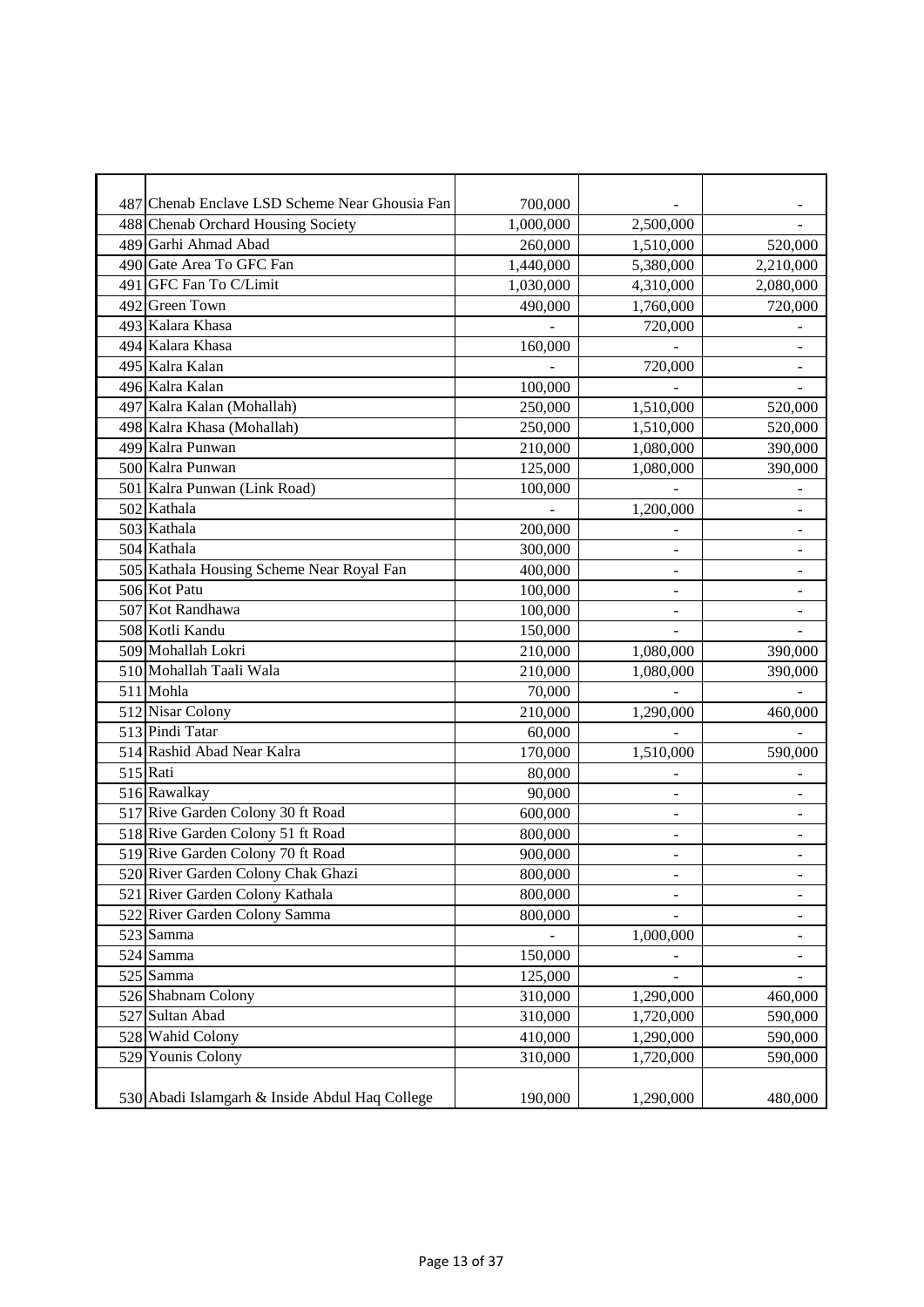| 487 Chenab Enclave LSD Scheme Near Ghousia Fan | 700,000   |           |                              |
|------------------------------------------------|-----------|-----------|------------------------------|
| 488 Chenab Orchard Housing Society             | 1,000,000 | 2,500,000 |                              |
| 489 Garhi Ahmad Abad                           | 260,000   | 1,510,000 | 520,000                      |
| 490 Gate Area To GFC Fan                       | 1,440,000 | 5,380,000 | 2,210,000                    |
| 491 GFC Fan To C/Limit                         | 1,030,000 | 4,310,000 | 2,080,000                    |
| 492 Green Town                                 | 490,000   | 1,760,000 | 720,000                      |
| 493 Kalara Khasa                               |           | 720,000   |                              |
| 494 Kalara Khasa                               | 160,000   |           |                              |
| 495 Kalra Kalan                                |           | 720,000   |                              |
| 496 Kalra Kalan                                | 100,000   |           |                              |
| 497 Kalra Kalan (Mohallah)                     | 250,000   | 1,510,000 | 520,000                      |
| 498 Kalra Khasa (Mohallah)                     | 250,000   | 1,510,000 | 520,000                      |
| 499 Kalra Punwan                               | 210,000   | 1,080,000 | 390,000                      |
| 500 Kalra Punwan                               | 125,000   | 1,080,000 | 390,000                      |
| 501 Kalra Punwan (Link Road)                   | 100,000   |           |                              |
| 502 Kathala                                    |           | 1,200,000 | $\overline{a}$               |
| 503 Kathala                                    | 200,000   |           |                              |
| 504 Kathala                                    | 300,000   |           |                              |
| 505 Kathala Housing Scheme Near Royal Fan      | 400,000   |           |                              |
| 506 Kot Patu                                   | 100,000   |           |                              |
| 507 Kot Randhawa                               | 100,000   | -         | $\qquad \qquad \blacksquare$ |
| 508 Kotli Kandu                                | 150,000   |           |                              |
| 509 Mohallah Lokri                             | 210,000   | 1,080,000 | 390,000                      |
| 510 Mohallah Taali Wala                        | 210,000   | 1,080,000 | 390,000                      |
| 511 Mohla                                      | 70,000    |           |                              |
| 512 Nisar Colony                               | 210,000   | 1,290,000 | 460,000                      |
| 513 Pindi Tatar                                | 60,000    |           |                              |
| 514 Rashid Abad Near Kalra                     | 170,000   | 1,510,000 | 590,000                      |
| 515 Rati                                       | 80,000    |           |                              |
| 516 Rawalkay                                   | 90,000    | ÷         |                              |
| 517 Rive Garden Colony 30 ft Road              | 600,000   |           |                              |
| 518 Rive Garden Colony 51 ft Road              | 800,000   | ۰         |                              |
| 519 Rive Garden Colony 70 ft Road              | 900,000   | ÷         | $\blacksquare$               |
| 520 River Garden Colony Chak Ghazi             | 800,000   |           |                              |
| 521 River Garden Colony Kathala                | 800,000   |           |                              |
| 522 River Garden Colony Samma                  | 800,000   |           |                              |
| 523 Samma                                      |           | 1,000,000 |                              |
| $\overline{524}$ Samma                         | 150,000   |           |                              |
| 525 Samma                                      | 125,000   |           |                              |
| 526 Shabnam Colony                             | 310,000   | 1,290,000 | 460,000                      |
| 527 Sultan Abad                                | 310,000   | 1,720,000 | 590,000                      |
| 528 Wahid Colony                               | 410,000   | 1,290,000 | 590,000                      |
| 529 Younis Colony                              | 310,000   | 1,720,000 | 590,000                      |
|                                                |           |           |                              |
| 530 Abadi Islamgarh & Inside Abdul Haq College | 190,000   | 1,290,000 | 480,000                      |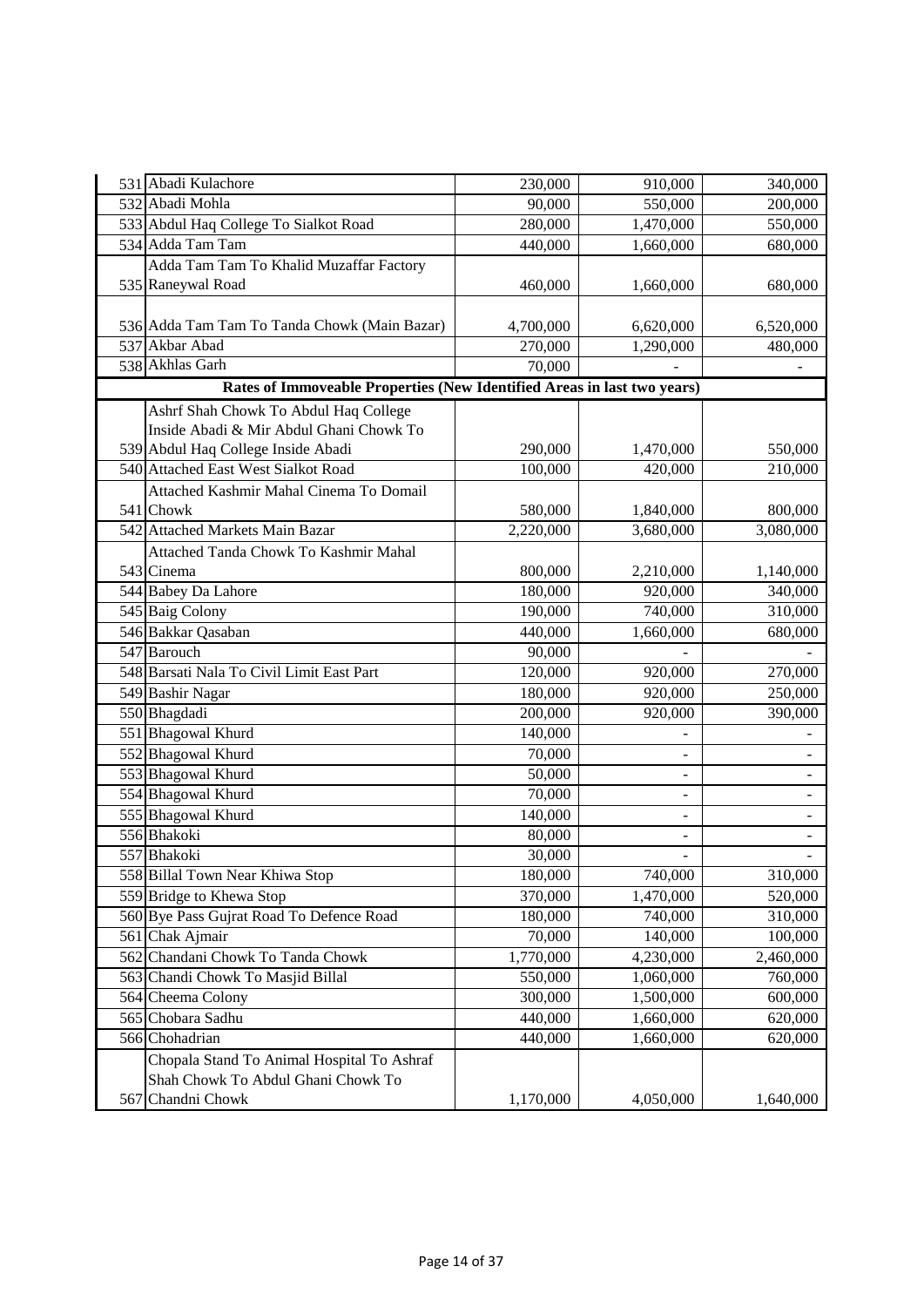| 531 Abadi Kulachore                                                     | 230,000   | 910,000                  | 340,000                  |
|-------------------------------------------------------------------------|-----------|--------------------------|--------------------------|
| 532 Abadi Mohla                                                         | 90,000    | 550,000                  | 200,000                  |
| 533 Abdul Haq College To Sialkot Road                                   | 280,000   | 1,470,000                | 550,000                  |
| 534 Adda Tam Tam                                                        | 440,000   | 1,660,000                | 680,000                  |
| Adda Tam Tam To Khalid Muzaffar Factory                                 |           |                          |                          |
| 535 Raneywal Road                                                       | 460,000   | 1,660,000                | 680,000                  |
|                                                                         |           |                          |                          |
| 536 Adda Tam Tam To Tanda Chowk (Main Bazar)                            | 4,700,000 | 6,620,000                | 6,520,000                |
| 537 Akbar Abad                                                          | 270,000   | 1,290,000                | 480,000                  |
| 538 Akhlas Garh                                                         | 70,000    |                          |                          |
| Rates of Immoveable Properties (New Identified Areas in last two years) |           |                          |                          |
| Ashrf Shah Chowk To Abdul Haq College                                   |           |                          |                          |
| Inside Abadi & Mir Abdul Ghani Chowk To                                 |           |                          |                          |
| 539 Abdul Haq College Inside Abadi                                      | 290,000   | 1,470,000                | 550,000                  |
| 540 Attached East West Sialkot Road                                     | 100,000   | 420,000                  | $\overline{210,000}$     |
| Attached Kashmir Mahal Cinema To Domail                                 |           |                          |                          |
| 541 Chowk                                                               | 580,000   | 1,840,000                | 800,000                  |
| 542 Attached Markets Main Bazar                                         | 2,220,000 | 3,680,000                | 3,080,000                |
| Attached Tanda Chowk To Kashmir Mahal                                   |           |                          |                          |
| 543 Cinema                                                              | 800,000   | 2,210,000                | 1,140,000                |
| 544 Babey Da Lahore                                                     | 180,000   | 920,000                  | 340,000                  |
| 545 Baig Colony                                                         | 190,000   | 740,000                  | 310,000                  |
| 546 Bakkar Qasaban                                                      | 440,000   | 1,660,000                | 680,000                  |
| 547 Barouch                                                             | 90,000    |                          |                          |
| 548 Barsati Nala To Civil Limit East Part                               | 120,000   | 920,000                  | 270,000                  |
| 549 Bashir Nagar                                                        | 180,000   | 920,000                  | 250,000                  |
| 550 Bhagdadi                                                            | 200,000   | 920,000                  | 390,000                  |
| 551 Bhagowal Khurd                                                      | 140,000   |                          |                          |
| 552 Bhagowal Khurd                                                      | 70,000    | $\overline{\phantom{0}}$ | $\sim$                   |
| 553 Bhagowal Khurd                                                      | 50,000    | -                        |                          |
| 554 Bhagowal Khurd                                                      | 70,000    | $\overline{\phantom{a}}$ |                          |
| 555 Bhagowal Khurd                                                      | 140,000   | $\overline{\phantom{0}}$ |                          |
| 556 Bhakoki                                                             | 80,000    | -                        |                          |
| 557 Bhakoki                                                             | 30,000    | $\overline{\phantom{0}}$ | $\overline{\phantom{a}}$ |
| 558 Billal Town Near Khiwa Stop                                         | 180,000   | 740,000                  | 310,000                  |
| 559 Bridge to Khewa Stop                                                | 370,000   | 1,470,000                | 520,000                  |
| 560 Bye Pass Gujrat Road To Defence Road                                | 180,000   | 740,000                  | 310,000                  |
| 561 Chak Ajmair                                                         | 70,000    | 140,000                  | 100,000                  |
| 562 Chandani Chowk To Tanda Chowk                                       | 1,770,000 | 4,230,000                | 2,460,000                |
| 563 Chandi Chowk To Masjid Billal                                       | 550,000   | 1,060,000                | 760,000                  |
| 564 Cheema Colony                                                       | 300,000   | 1,500,000                | 600,000                  |
| 565 Chobara Sadhu                                                       | 440,000   | 1,660,000                | 620,000                  |
| 566 Chohadrian                                                          | 440,000   | 1,660,000                | 620,000                  |
| Chopala Stand To Animal Hospital To Ashraf                              |           |                          |                          |
| Shah Chowk To Abdul Ghani Chowk To                                      |           |                          |                          |
| 567 Chandni Chowk                                                       | 1,170,000 | 4,050,000                | 1,640,000                |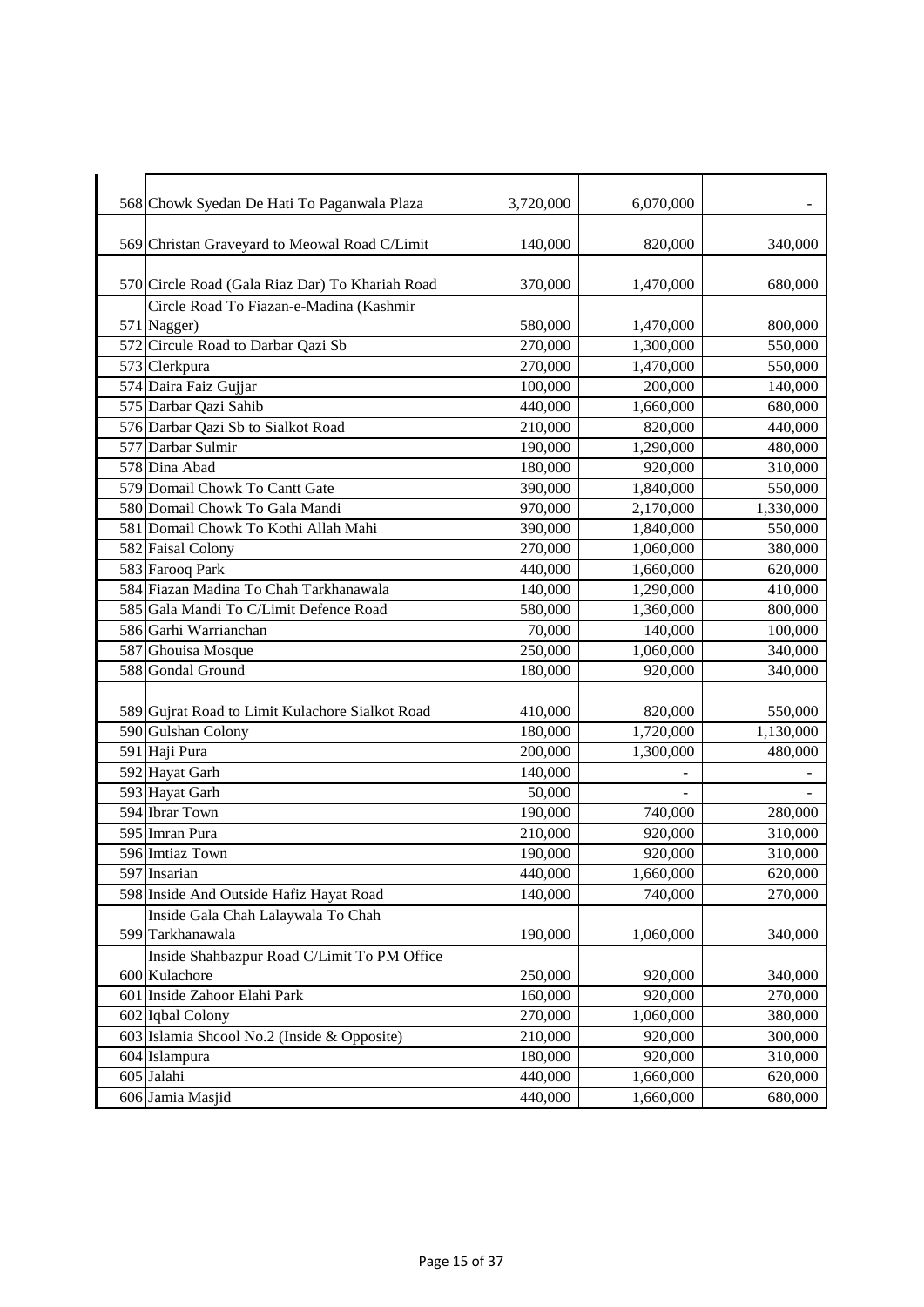| 568 Chowk Syedan De Hati To Paganwala Plaza                  | 3,720,000 | 6,070,000 |           |
|--------------------------------------------------------------|-----------|-----------|-----------|
| 569 Christan Graveyard to Meowal Road C/Limit                | 140,000   | 820,000   | 340,000   |
| 570 Circle Road (Gala Riaz Dar) To Khariah Road              | 370,000   | 1,470,000 | 680,000   |
| Circle Road To Fiazan-e-Madina (Kashmir                      |           |           |           |
| 571 Nagger)                                                  | 580,000   | 1,470,000 | 800,000   |
| 572 Circule Road to Darbar Qazi Sb                           | 270,000   | 1,300,000 | 550,000   |
| 573 Clerkpura                                                | 270,000   | 1,470,000 | 550,000   |
| 574 Daira Faiz Gujjar<br>575 Darbar Qazi Sahib               | 100,000   | 200,000   | 140,000   |
|                                                              | 440,000   | 1,660,000 | 680,000   |
| 576 Darbar Qazi Sb to Sialkot Road                           | 210,000   | 820,000   | 440,000   |
| 577 Darbar Sulmir                                            | 190,000   | 1,290,000 | 480,000   |
| 578 Dina Abad                                                | 180,000   | 920,000   | 310,000   |
| 579 Domail Chowk To Cantt Gate                               | 390,000   | 1,840,000 | 550,000   |
| 580 Domail Chowk To Gala Mandi                               | 970,000   | 2,170,000 | 1,330,000 |
| 581 Domail Chowk To Kothi Allah Mahi                         | 390,000   | 1,840,000 | 550,000   |
| 582 Faisal Colony                                            | 270,000   | 1,060,000 | 380,000   |
| 583 Farooq Park                                              | 440,000   | 1,660,000 | 620,000   |
| 584 Fiazan Madina To Chah Tarkhanawala                       | 140,000   | 1,290,000 | 410,000   |
| 585 Gala Mandi To C/Limit Defence Road                       | 580,000   | 1,360,000 | 800,000   |
| 586 Garhi Warrianchan                                        | 70,000    | 140,000   | 100,000   |
| 587 Ghouisa Mosque                                           | 250,000   | 1,060,000 | 340,000   |
| 588 Gondal Ground                                            | 180,000   | 920,000   | 340,000   |
| 589 Gujrat Road to Limit Kulachore Sialkot Road              | 410,000   | 820,000   | 550,000   |
| 590 Gulshan Colony                                           | 180,000   | 1,720,000 | 1,130,000 |
| 591 Haji Pura                                                | 200,000   | 1,300,000 | 480,000   |
| 592 Hayat Garh                                               | 140,000   |           |           |
| 593 Hayat Garh                                               | 50,000    |           |           |
| 594 Ibrar Town                                               | 190,000   | 740,000   | 280,000   |
| 595 Imran Pura                                               | 210,000   | 920,000   | 310,000   |
| 596 Imtiaz Town                                              | 190,000   | 920,000   | 310,000   |
| 597 Insarian                                                 | 440,000   | 1,660,000 | 620,000   |
| 598 Inside And Outside Hafiz Hayat Road                      | 140,000   | 740,000   | 270,000   |
| Inside Gala Chah Lalaywala To Chah<br>599 Tarkhanawala       | 190,000   | 1,060,000 | 340,000   |
| Inside Shahbazpur Road C/Limit To PM Office<br>600 Kulachore | 250,000   | 920,000   | 340,000   |
| 601 Inside Zahoor Elahi Park                                 | 160,000   | 920,000   | 270,000   |
| 602 Iqbal Colony                                             | 270,000   | 1,060,000 | 380,000   |
| 603 Islamia Shcool No.2 (Inside & Opposite)                  | 210,000   | 920,000   | 300,000   |
| 604 Islampura                                                | 180,000   | 920,000   | 310,000   |
| 605 Jalahi                                                   | 440,000   | 1,660,000 | 620,000   |
| 606 Jamia Masjid                                             | 440,000   | 1,660,000 | 680,000   |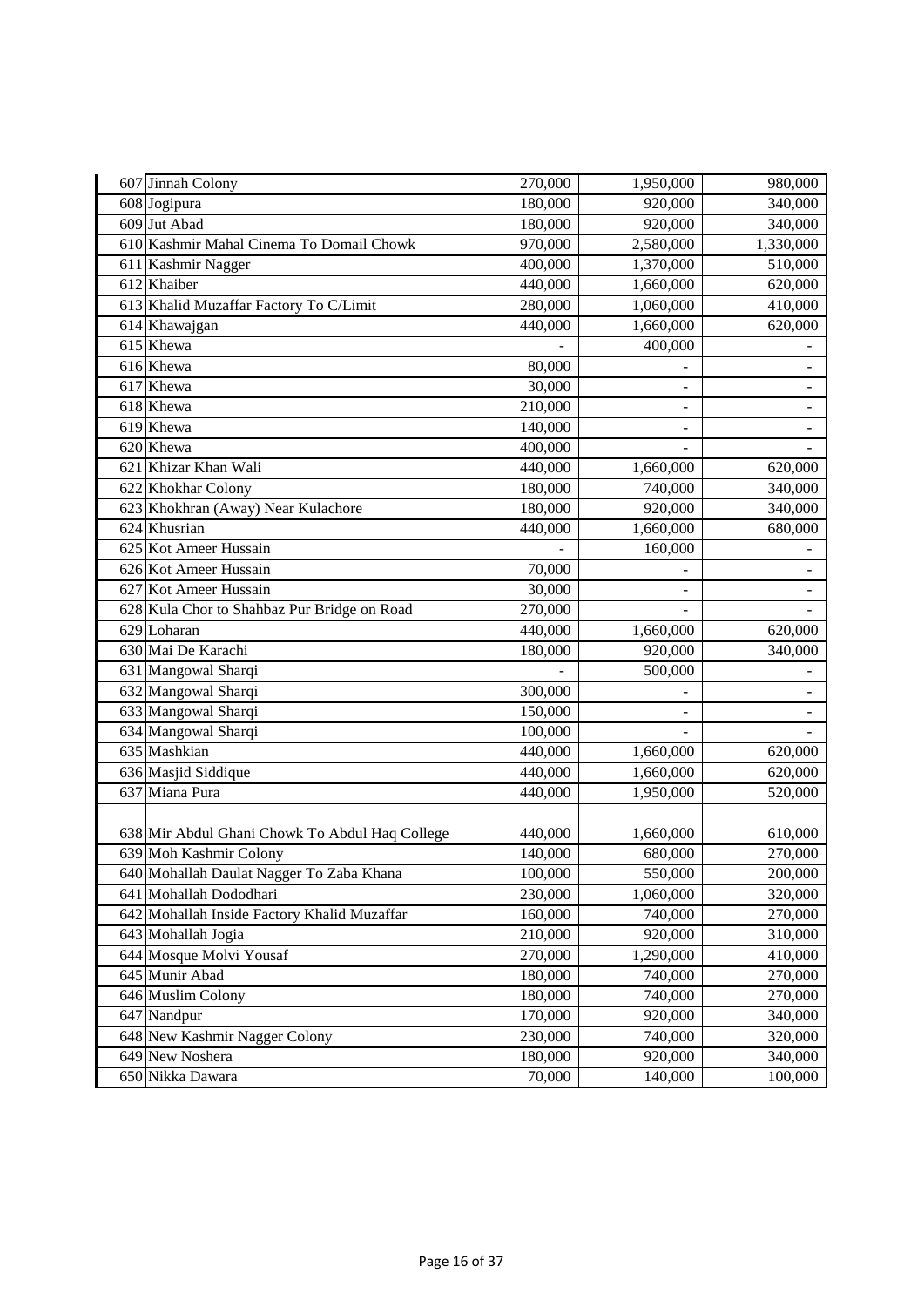| 607 Jinnah Colony                              | 270,000 | 1,950,000                | 980,000                  |
|------------------------------------------------|---------|--------------------------|--------------------------|
| 608 Jogipura                                   | 180,000 | 920,000                  | 340,000                  |
| 609 Jut Abad                                   | 180,000 | 920,000                  | 340,000                  |
| 610 Kashmir Mahal Cinema To Domail Chowk       | 970,000 | 2,580,000                | 1,330,000                |
| 611 Kashmir Nagger                             | 400,000 | 1,370,000                | 510,000                  |
| 612 Khaiber                                    | 440,000 | 1,660,000                | 620,000                  |
| 613 Khalid Muzaffar Factory To C/Limit         | 280,000 | 1,060,000                | 410,000                  |
| 614 Khawajgan                                  | 440,000 | 1,660,000                | 620,000                  |
| 615 Khewa                                      |         | 400,000                  |                          |
| 616 Khewa                                      | 80,000  |                          |                          |
| 617 Khewa                                      | 30,000  | $\overline{\phantom{0}}$ |                          |
| 618 Khewa                                      | 210,000 | $\overline{\phantom{0}}$ |                          |
| 619 Khewa                                      | 140,000 | -                        | $\overline{\phantom{a}}$ |
| 620 Khewa                                      | 400,000 |                          |                          |
| 621 Khizar Khan Wali                           | 440,000 | 1,660,000                | 620,000                  |
| 622 Khokhar Colony                             | 180,000 | 740,000                  | 340,000                  |
| 623 Khokhran (Away) Near Kulachore             | 180,000 | 920,000                  | 340,000                  |
| 624 Khusrian                                   | 440,000 | 1,660,000                | 680,000                  |
| 625 Kot Ameer Hussain                          |         | 160,000                  |                          |
| 626 Kot Ameer Hussain                          | 70,000  |                          |                          |
| 627 Kot Ameer Hussain                          | 30,000  |                          |                          |
| 628 Kula Chor to Shahbaz Pur Bridge on Road    | 270,000 |                          |                          |
| 629 Loharan                                    | 440,000 | 1,660,000                | 620,000                  |
| 630 Mai De Karachi                             | 180,000 | 920,000                  | 340,000                  |
| 631 Mangowal Sharqi                            |         | 500,000                  |                          |
| 632 Mangowal Sharqi                            | 300,000 |                          |                          |
| 633 Mangowal Sharqi                            | 150,000 |                          |                          |
| 634 Mangowal Sharqi                            | 100,000 | $\overline{a}$           | $\blacksquare$           |
| 635 Mashkian                                   | 440,000 | 1,660,000                | 620,000                  |
| 636 Masjid Siddique                            | 440,000 | 1,660,000                | 620,000                  |
| 637 Miana Pura                                 | 440,000 | 1,950,000                | 520,000                  |
|                                                |         |                          |                          |
| 638 Mir Abdul Ghani Chowk To Abdul Haq College | 440,000 | 1,660,000                | 610,000                  |
| 639 Moh Kashmir Colony                         | 140,000 | 680,000                  | 270,000                  |
| 640 Mohallah Daulat Nagger To Zaba Khana       | 100,000 | 550,000                  | 200,000                  |
| 641 Mohallah Dododhari                         | 230,000 | 1,060,000                | 320,000                  |
| 642 Mohallah Inside Factory Khalid Muzaffar    | 160,000 | 740,000                  | 270,000                  |
| 643 Mohallah Jogia                             | 210,000 | 920,000                  | 310,000                  |
| 644 Mosque Molvi Yousaf                        | 270,000 | 1,290,000                | 410,000                  |
| 645 Munir Abad                                 | 180,000 | 740,000                  | 270,000                  |
| 646 Muslim Colony                              | 180,000 | 740,000                  | 270,000                  |
| 647 Nandpur                                    | 170,000 | 920,000                  | 340,000                  |
| 648 New Kashmir Nagger Colony                  | 230,000 | 740,000                  | 320,000                  |
| 649 New Noshera                                | 180,000 | 920,000                  | 340,000                  |
| 650 Nikka Dawara                               | 70,000  | 140,000                  | 100,000                  |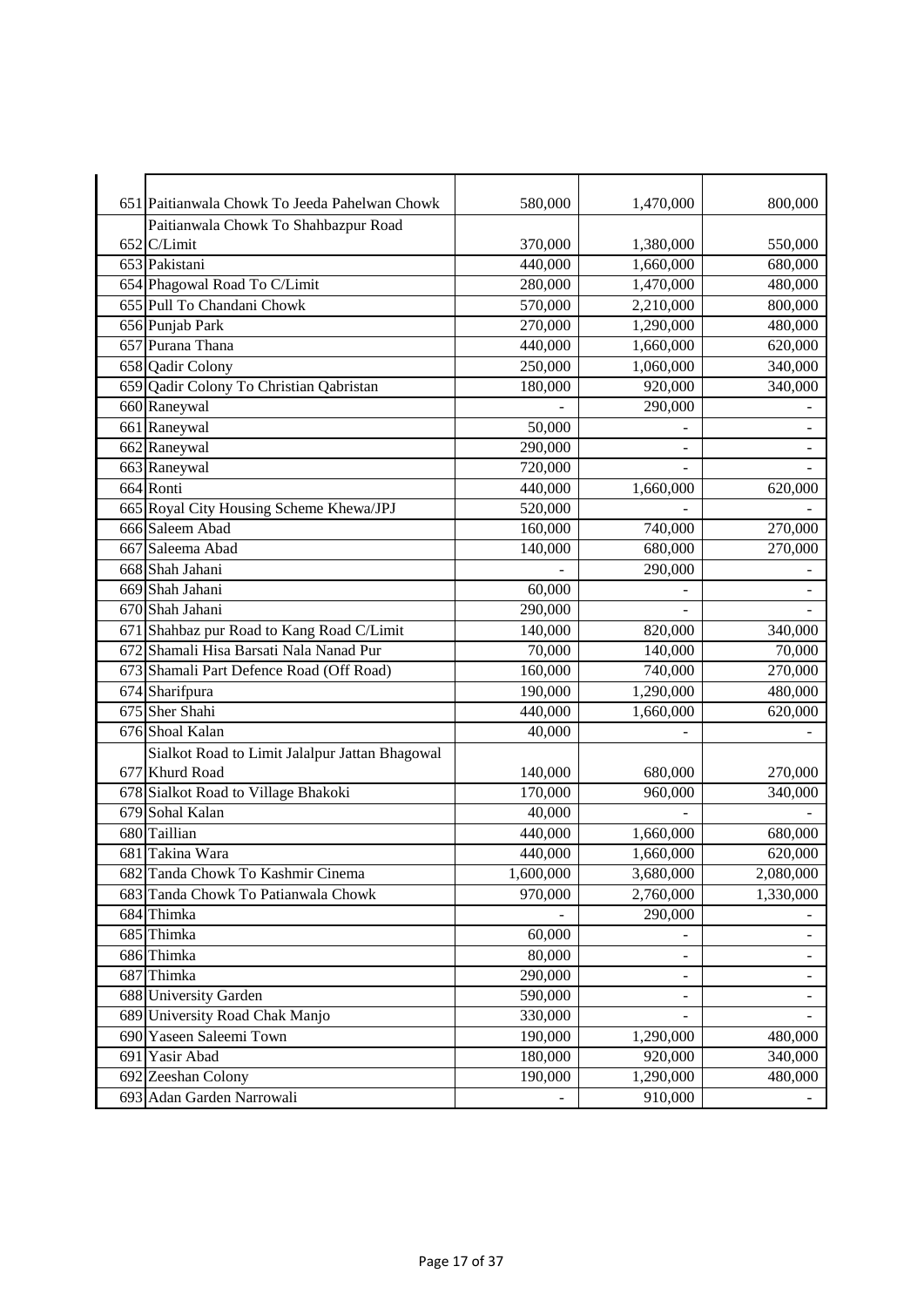| 580,000<br>1,470,000<br>651 Paitianwala Chowk To Jeeda Pahelwan Chowk | 800,000        |
|-----------------------------------------------------------------------|----------------|
| Paitianwala Chowk To Shahbazpur Road                                  |                |
| 652 C/Limit<br>370,000<br>1,380,000                                   | 550,000        |
| 653 Pakistani<br>440,000<br>1,660,000                                 | 680,000        |
| 654 Phagowal Road To C/Limit<br>280,000<br>1,470,000                  | 480,000        |
| 655 Pull To Chandani Chowk<br>2,210,000<br>570,000                    | 800,000        |
| 656 Punjab Park<br>270,000<br>1,290,000                               | 480,000        |
| 657 Purana Thana<br>440,000<br>1,660,000                              | 620,000        |
| 658 Qadir Colony<br>250,000<br>1,060,000                              | 340,000        |
| 659 Qadir Colony To Christian Qabristan<br>180,000<br>920,000         | 340,000        |
| 660 Raneywal<br>290,000                                               |                |
| 661 Raneywal<br>50,000                                                |                |
| 662 Raneywal<br>290,000                                               |                |
| 663 Raneywal<br>720,000                                               |                |
| 664 Ronti<br>440,000<br>1,660,000                                     | 620,000        |
| 665 Royal City Housing Scheme Khewa/JPJ<br>520,000                    |                |
| 666 Saleem Abad<br>160,000<br>740,000                                 | 270,000        |
| 667 Saleema Abad<br>680,000<br>140,000                                | 270,000        |
| 668 Shah Jahani<br>290,000                                            |                |
| 669 Shah Jahani<br>60,000                                             |                |
| 670 Shah Jahani<br>290,000                                            |                |
| 671 Shahbaz pur Road to Kang Road C/Limit<br>140,000<br>820,000       | 340,000        |
| 672 Shamali Hisa Barsati Nala Nanad Pur<br>70,000<br>140,000          | 70,000         |
| 673 Shamali Part Defence Road (Off Road)<br>740,000<br>160,000        | 270,000        |
| 1,290,000<br>674 Sharifpura<br>190,000                                | 480,000        |
| 675 Sher Shahi<br>440,000<br>1,660,000                                | 620,000        |
| 676 Shoal Kalan<br>40,000                                             |                |
| Sialkot Road to Limit Jalalpur Jattan Bhagowal                        |                |
| 677 Khurd Road<br>140,000<br>680,000                                  | 270,000        |
| 678 Sialkot Road to Village Bhakoki<br>170,000<br>960,000             | 340,000        |
| 679 Sohal Kalan<br>40,000                                             |                |
| 680 Taillian<br>440,000<br>1,660,000                                  | 680,000        |
| 681 Takina Wara<br>440,000<br>1,660,000                               | 620,000        |
| 682 Tanda Chowk To Kashmir Cinema<br>1,600,000<br>3,680,000           | 2,080,000      |
| 970,000<br>683 Tanda Chowk To Patianwala Chowk<br>2,760,000           | 1,330,000      |
| 684 Thimka<br>290,000                                                 |                |
| 685 Thimka<br>60,000                                                  |                |
| 686 Thimka<br>80,000<br>$\overline{\phantom{0}}$                      |                |
| 687 Thimka<br>290,000<br>÷,                                           | $\blacksquare$ |
| 688 University Garden<br>590,000<br>$\overline{\phantom{0}}$          |                |
| 689 University Road Chak Manjo<br>330,000                             |                |
| 690 Yaseen Saleemi Town<br>190,000<br>1,290,000                       | 480,000        |
| 691 Yasir Abad<br>180,000<br>920,000                                  | 340,000        |
| 692 Zeeshan Colony<br>190,000<br>1,290,000                            | 480,000        |
| 693 Adan Garden Narrowali<br>910,000                                  |                |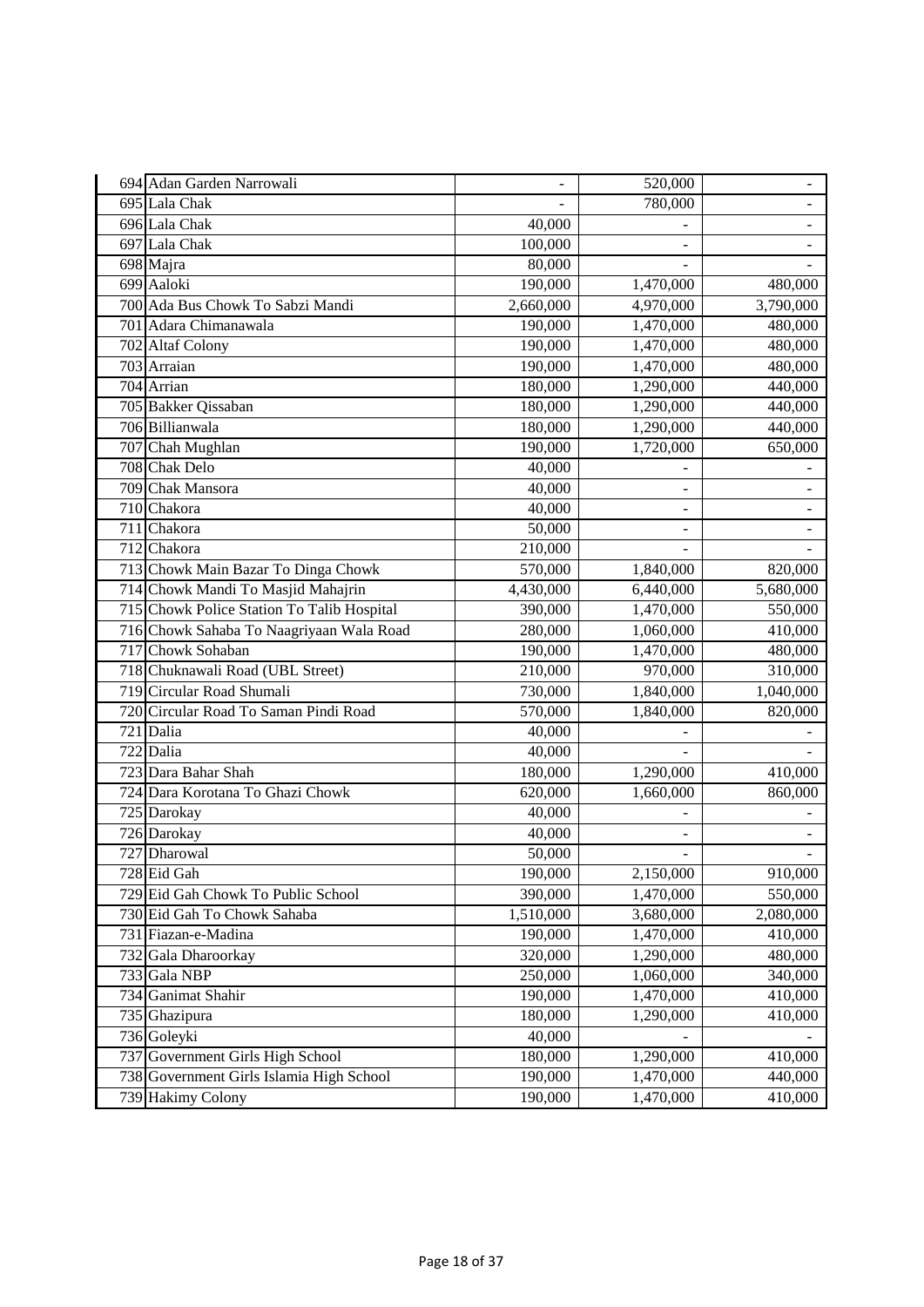| 694 Adan Garden Narrowali                  | $\overline{a}$ | 520,000       | $\overline{\phantom{0}}$ |
|--------------------------------------------|----------------|---------------|--------------------------|
| 695 Lala Chak                              |                | 780,000       |                          |
| 696 Lala Chak                              | 40,000         |               |                          |
| 697 Lala Chak                              | 100,000        |               |                          |
| 698 Majra                                  | 80,000         |               |                          |
| 699 Aaloki                                 | 190,000        | 1,470,000     | 480,000                  |
| 700 Ada Bus Chowk To Sabzi Mandi           | 2,660,000      | 4,970,000     | 3,790,000                |
| 701 Adara Chimanawala                      | 190,000        | 1,470,000     | 480,000                  |
| 702 Altaf Colony                           | 190,000        | 1,470,000     | 480,000                  |
| 703 Arraian                                | 190,000        | 1,470,000     | 480,000                  |
| 704 Arrian                                 | 180,000        | 1,290,000     | 440,000                  |
| 705 Bakker Qissaban                        | 180,000        | 1,290,000     | 440,000                  |
| 706 Billianwala                            | 180,000        | 1,290,000     | 440,000                  |
| 707 Chah Mughlan                           | 190,000        | 1,720,000     | 650,000                  |
| 708 Chak Delo                              | 40,000         |               |                          |
| 709 Chak Mansora                           | 40,000         | L,            |                          |
| 710 Chakora                                | 40,000         | $\frac{1}{2}$ | $\overline{\phantom{a}}$ |
| 711 Chakora                                | 50,000         | ÷,            |                          |
| 712 Chakora                                | 210,000        |               |                          |
| 713 Chowk Main Bazar To Dinga Chowk        | 570,000        | 1,840,000     | 820,000                  |
| 714 Chowk Mandi To Masjid Mahajrin         | 4,430,000      | 6,440,000     | 5,680,000                |
| 715 Chowk Police Station To Talib Hospital | 390,000        | 1,470,000     | 550,000                  |
| 716 Chowk Sahaba To Naagriyaan Wala Road   | 280,000        | 1,060,000     | 410,000                  |
| 717 Chowk Sohaban                          | 190,000        | 1,470,000     | 480,000                  |
| 718 Chuknawali Road (UBL Street)           | 210,000        | 970,000       | 310,000                  |
| 719 Circular Road Shumali                  | 730,000        | 1,840,000     | 1,040,000                |
| 720 Circular Road To Saman Pindi Road      | 570,000        | 1,840,000     | 820,000                  |
| 721 Dalia                                  | 40,000         | ÷,            |                          |
| 722 Dalia                                  | 40,000         |               |                          |
| 723 Dara Bahar Shah                        | 180,000        | 1,290,000     | 410,000                  |
| 724 Dara Korotana To Ghazi Chowk           | 620,000        | 1,660,000     | 860,000                  |
| 725 Darokay                                | 40,000         |               |                          |
| 726 Darokay                                | 40,000         |               |                          |
| 727 Dharowal                               | 50,000         | ÷             |                          |
| 728 Eid Gah                                | 190,000        | 2,150,000     | 910,000                  |
| 729 Eid Gah Chowk To Public School         | 390,000        | 1,470,000     | 550,000                  |
| 730 Eid Gah To Chowk Sahaba                | 1,510,000      | 3,680,000     | 2,080,000                |
| 731 Fiazan-e-Madina                        | 190,000        | 1,470,000     | 410,000                  |
| 732 Gala Dharoorkay                        | 320,000        | 1,290,000     | 480,000                  |
| 733 Gala NBP                               | 250,000        | 1,060,000     | 340,000                  |
| 734 Ganimat Shahir                         | 190,000        | 1,470,000     | 410,000                  |
| 735 Ghazipura                              | 180,000        | 1,290,000     | 410,000                  |
| 736 Goleyki                                | 40,000         |               |                          |
| 737 Government Girls High School           | 180,000        | 1,290,000     | 410,000                  |
| 738 Government Girls Islamia High School   | 190,000        | 1,470,000     | 440,000                  |
| 739 Hakimy Colony                          | 190,000        | 1,470,000     | 410,000                  |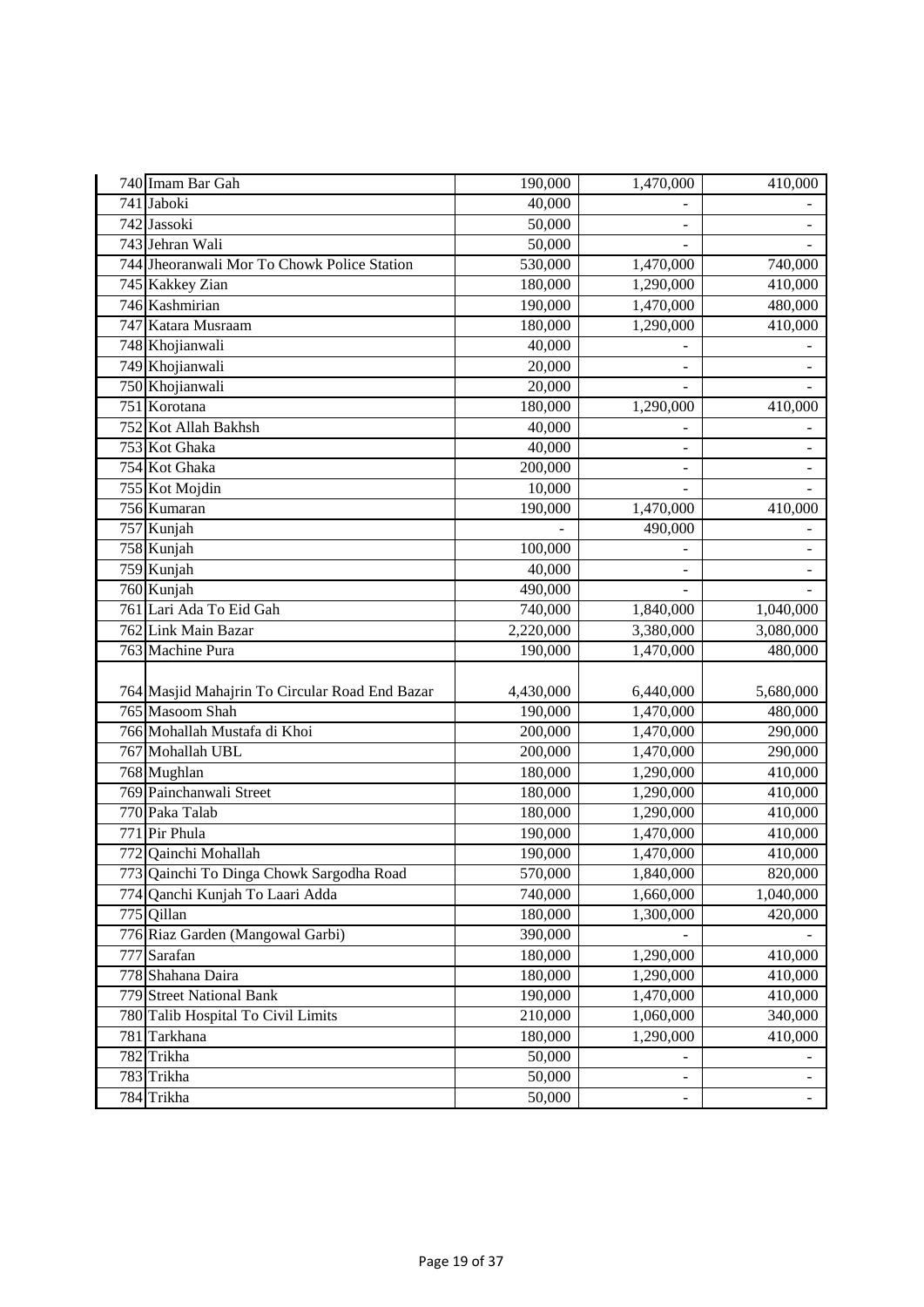| 740 Imam Bar Gah                               | 190,000   | 1,470,000                    | 410,000                  |
|------------------------------------------------|-----------|------------------------------|--------------------------|
| 741 Jaboki                                     | 40,000    |                              |                          |
| 742 Jassoki                                    | 50,000    |                              |                          |
| 743 Jehran Wali                                | 50,000    |                              |                          |
| 744 Jheoranwali Mor To Chowk Police Station    | 530,000   | 1,470,000                    | 740,000                  |
| 745 Kakkey Zian                                | 180,000   | 1,290,000                    | 410,000                  |
| 746 Kashmirian                                 | 190,000   | 1,470,000                    | 480,000                  |
| 747 Katara Musraam                             | 180,000   | 1,290,000                    | 410,000                  |
| 748 Khojianwali                                | 40,000    |                              |                          |
| 749 Khojianwali                                | 20,000    |                              |                          |
| 750 Khojianwali                                | 20,000    |                              |                          |
| 751 Korotana                                   | 180,000   | 1,290,000                    | 410,000                  |
| 752 Kot Allah Bakhsh                           | 40,000    |                              |                          |
| 753 Kot Ghaka                                  | 40,000    |                              |                          |
| 754 Kot Ghaka                                  | 200,000   | -                            |                          |
| 755 Kot Mojdin                                 | 10,000    |                              |                          |
| 756 Kumaran                                    | 190,000   | 1,470,000                    | 410,000                  |
| 757 Kunjah                                     |           | 490,000                      | $\overline{\phantom{0}}$ |
| 758 Kunjah                                     | 100,000   |                              | $\overline{a}$           |
| 759 Kunjah                                     | 40,000    |                              |                          |
| 760 Kunjah                                     | 490,000   |                              |                          |
| 761 Lari Ada To Eid Gah                        | 740,000   | 1,840,000                    | 1,040,000                |
| 762 Link Main Bazar                            | 2,220,000 | 3,380,000                    | 3,080,000                |
| 763 Machine Pura                               | 190,000   | 1,470,000                    | 480,000                  |
|                                                |           |                              |                          |
| 764 Masjid Mahajrin To Circular Road End Bazar | 4,430,000 | 6,440,000                    | 5,680,000                |
| 765 Masoom Shah                                | 190,000   | 1,470,000                    | 480,000                  |
| 766 Mohallah Mustafa di Khoi                   | 200,000   | 1,470,000                    | 290,000                  |
| 767 Mohallah UBL                               | 200,000   | 1,470,000                    | 290,000                  |
| 768 Mughlan                                    | 180,000   | 1,290,000                    | 410,000                  |
| 769 Painchanwali Street                        | 180,000   | 1,290,000                    | 410,000                  |
| 770 Paka Talab                                 | 180,000   | 1,290,000                    | 410,000                  |
| 771 Pir Phula                                  | 190,000   | 1,470,000                    | 410,000                  |
| Qainchi Mohallah<br>772                        | 190,000   | 1,470,000                    | 410,000                  |
| 773 Qainchi To Dinga Chowk Sargodha Road       | 570,000   | 1,840,000                    | 820,000                  |
| 774 Qanchi Kunjah To Laari Adda                | 740,000   | 1,660,000                    | 1,040,000                |
| 775 Qillan                                     | 180,000   | 1,300,000                    | 420,000                  |
| 776 Riaz Garden (Mangowal Garbi)               | 390,000   |                              |                          |
| 777 Sarafan                                    | 180,000   | 1,290,000                    | 410,000                  |
| 778 Shahana Daira                              | 180,000   | 1,290,000                    | 410,000                  |
| <b>779 Street National Bank</b>                | 190,000   | 1,470,000                    | 410,000                  |
| 780 Talib Hospital To Civil Limits             | 210,000   | 1,060,000                    | 340,000                  |
| 781 Tarkhana                                   | 180,000   | 1,290,000                    | 410,000                  |
| 782 Trikha                                     | 50,000    |                              | $\overline{\phantom{a}}$ |
| 783 Trikha                                     | 50,000    | $\qquad \qquad \blacksquare$ | ۳                        |
| 784 Trikha                                     | 50,000    | $\overline{\phantom{0}}$     |                          |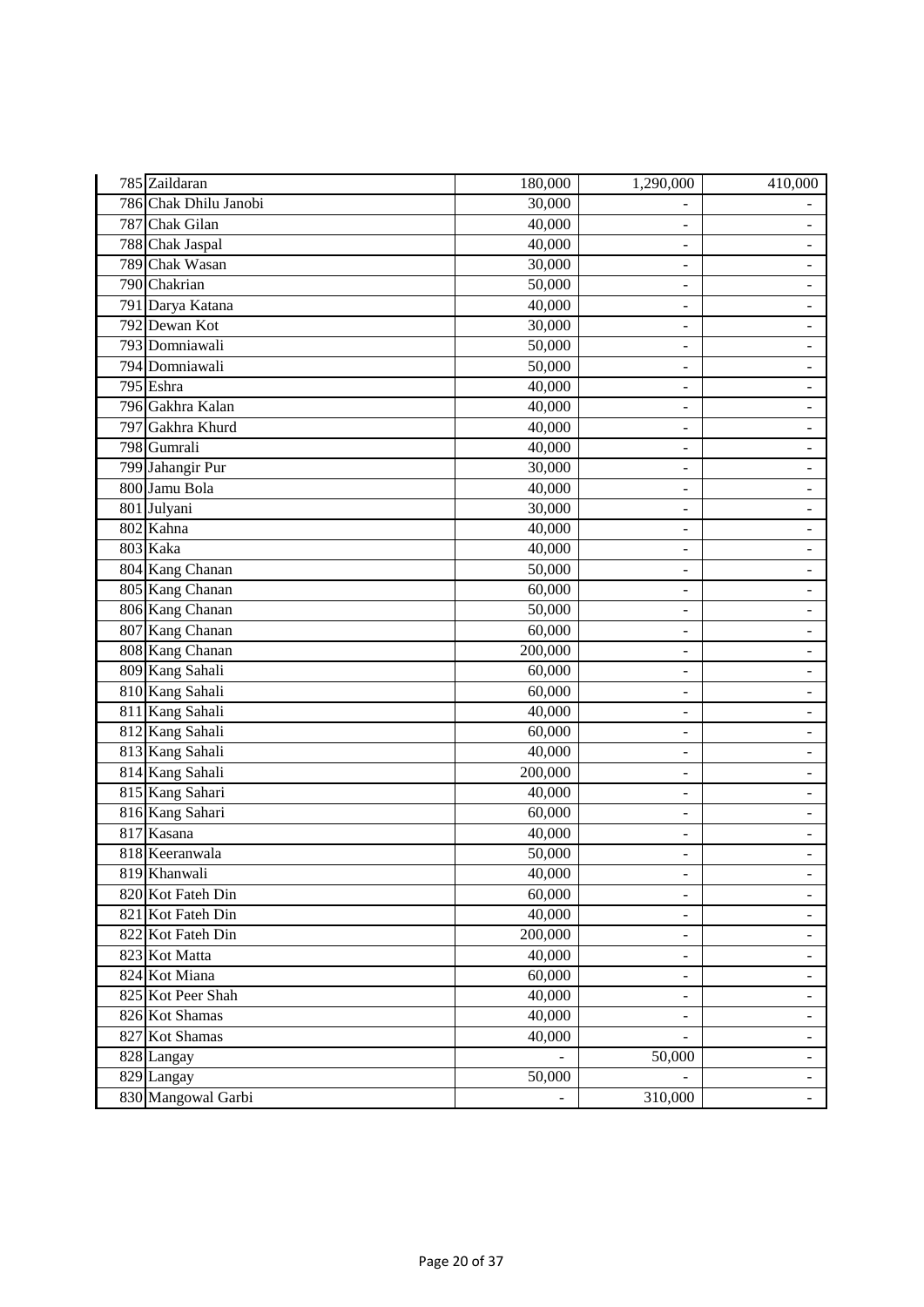| 785 Zaildaran         | 180,000 | 1,290,000                    | 410,000                  |
|-----------------------|---------|------------------------------|--------------------------|
| 786 Chak Dhilu Janobi | 30,000  |                              |                          |
| 787 Chak Gilan        | 40,000  | ÷                            |                          |
| 788 Chak Jaspal       | 40,000  | $\overline{\phantom{m}}$     | ÷,                       |
| 789 Chak Wasan        | 30,000  | $\blacksquare$               | $\overline{\phantom{0}}$ |
| 790 Chakrian          | 50,000  | ÷                            | -                        |
| 791 Darya Katana      | 40,000  | $\overline{a}$               | -                        |
| 792 Dewan Kot         | 30,000  | $\overline{a}$               | ÷,                       |
| 793 Domniawali        | 50,000  | $\overline{\phantom{m}}$     | $\blacksquare$           |
| 794 Domniawali        | 50,000  | $\overline{\phantom{a}}$     | ÷,                       |
| 795 Eshra             | 40,000  | $\overline{a}$               | -                        |
| 796 Gakhra Kalan      | 40,000  | $\overline{\phantom{0}}$     | $\overline{\phantom{0}}$ |
| 797 Gakhra Khurd      | 40,000  | $\overline{a}$               | $\overline{\phantom{0}}$ |
| 798 Gumrali           | 40,000  | $\overline{\phantom{0}}$     | ÷,                       |
| 799 Jahangir Pur      | 30,000  | $\overline{a}$               | ÷,                       |
| 800 Jamu Bola         | 40,000  | $\overline{\phantom{0}}$     | $\overline{\phantom{0}}$ |
| 801 Julyani           | 30,000  | ÷                            | ÷                        |
| 802 Kahna             | 40,000  | $\overline{\phantom{0}}$     | $\overline{a}$           |
| 803 Kaka              | 40,000  | $\overline{a}$               | $\overline{\phantom{0}}$ |
| 804 Kang Chanan       | 50,000  | $\frac{1}{2}$                | $\overline{a}$           |
| 805 Kang Chanan       | 60,000  | $\overline{\phantom{m}}$     | -                        |
| 806 Kang Chanan       | 50,000  | -                            | $\overline{\phantom{0}}$ |
| 807 Kang Chanan       | 60,000  | $\qquad \qquad \blacksquare$ | $\frac{1}{2}$            |
| 808 Kang Chanan       | 200,000 | $\overline{a}$               | ÷,                       |
| 809 Kang Sahali       | 60,000  | $\overline{\phantom{0}}$     | ÷,                       |
| 810 Kang Sahali       | 60,000  | $\overline{\phantom{a}}$     | -                        |
| 811 Kang Sahali       | 40,000  | $\overline{a}$               | $\overline{a}$           |
| 812 Kang Sahali       | 60,000  | $\qquad \qquad -$            | $\overline{\phantom{0}}$ |
| 813 Kang Sahali       | 40,000  | $\overline{\phantom{0}}$     | $\overline{a}$           |
| 814 Kang Sahali       | 200,000 | $\overline{a}$               | $\overline{\phantom{0}}$ |
| 815 Kang Sahari       | 40,000  | $\frac{1}{2}$                | $\overline{\phantom{0}}$ |
| 816 Kang Sahari       | 60,000  | $\overline{\phantom{0}}$     | -                        |
| 817 Kasana            | 40,000  | ÷                            |                          |
| 818 Keeranwala        | 50,000  | $\overline{a}$               | $\overline{\phantom{0}}$ |
| 819 Khanwali          | 40,000  | $\overline{\phantom{0}}$     | $\overline{\phantom{0}}$ |
| 820 Kot Fateh Din     | 60,000  | ÷                            | Ξ.                       |
| 821 Kot Fateh Din     | 40,000  | -                            | -                        |
| 822 Kot Fateh Din     | 200,000 | $\overline{a}$               | $\overline{\phantom{0}}$ |
| 823 Kot Matta         | 40,000  | $\qquad \qquad -$            | -                        |
| 824 Kot Miana         | 60,000  | $\overline{\phantom{0}}$     | $\overline{\phantom{0}}$ |
| 825 Kot Peer Shah     | 40,000  | -                            | -                        |
| 826 Kot Shamas        | 40,000  | $\overline{\phantom{0}}$     | ۳                        |
| 827 Kot Shamas        | 40,000  |                              | $\overline{\phantom{0}}$ |
| 828 Langay            |         | 50,000                       | $\overline{a}$           |
| 829 Langay            | 50,000  |                              | $\blacksquare$           |
| 830 Mangowal Garbi    |         | 310,000                      | $\overline{\phantom{0}}$ |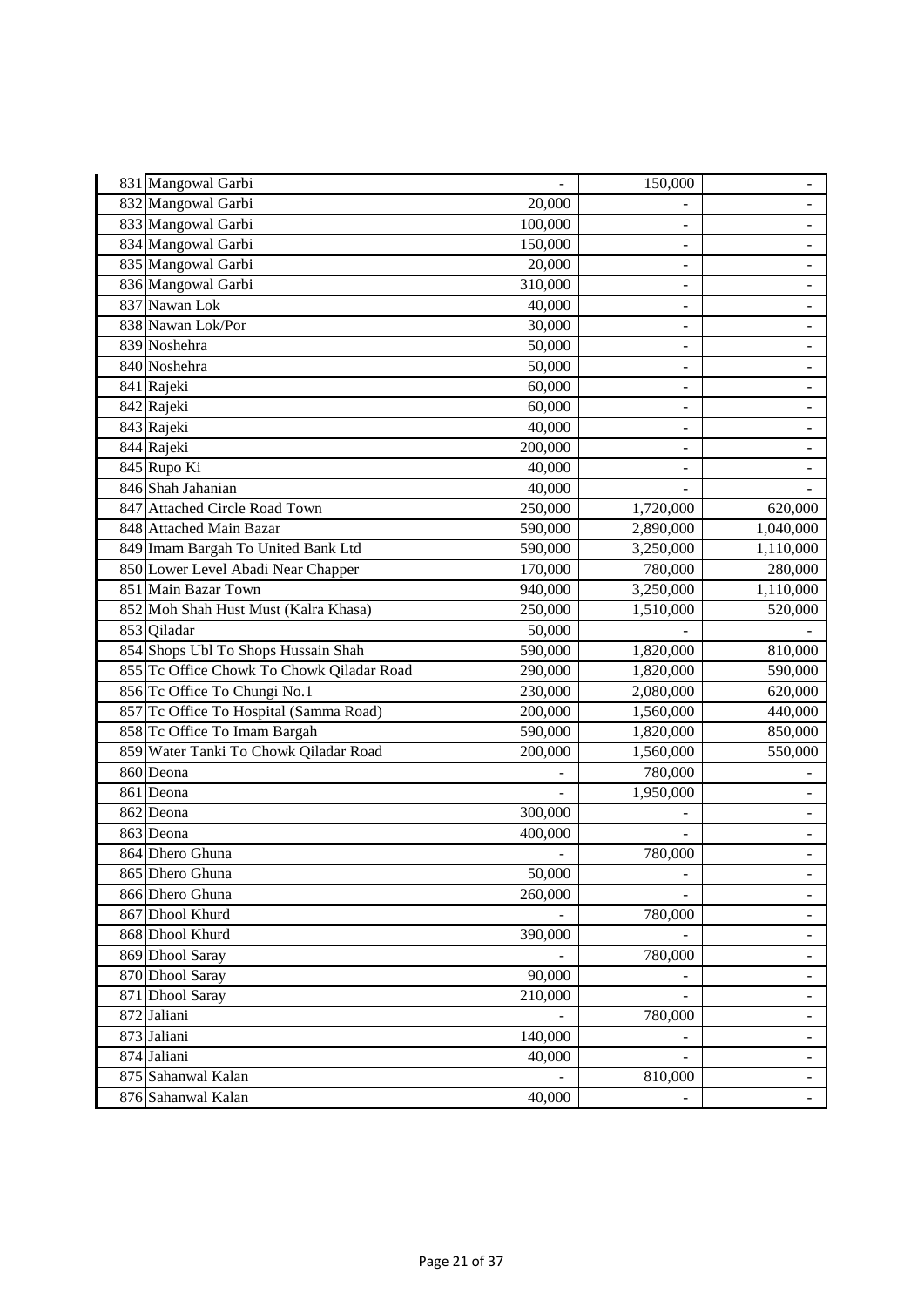| 831 Mangowal Garbi                        |         | 150,000                  | -                        |
|-------------------------------------------|---------|--------------------------|--------------------------|
| 832 Mangowal Garbi                        | 20,000  |                          | $\overline{a}$           |
| 833 Mangowal Garbi                        | 100,000 |                          |                          |
| 834 Mangowal Garbi                        | 150,000 | $\overline{\phantom{m}}$ |                          |
| 835 Mangowal Garbi                        | 20,000  | $\overline{a}$           | ÷,                       |
| 836 Mangowal Garbi                        | 310,000 | ÷                        | -                        |
| 837 Nawan Lok                             | 40,000  | $\overline{a}$           | $\overline{\phantom{0}}$ |
| 838 Nawan Lok/Por                         | 30,000  | $\overline{a}$           | $\overline{a}$           |
| 839 Noshehra                              | 50,000  | $\overline{\phantom{a}}$ | $\overline{\phantom{a}}$ |
| 840 Noshehra                              | 50,000  | $\overline{\phantom{m}}$ |                          |
| 841 Rajeki                                | 60,000  | -                        | -                        |
| 842 Rajeki                                | 60,000  | -                        | $\overline{\phantom{0}}$ |
| 843 Rajeki                                | 40,000  | ÷,                       | $\overline{\phantom{a}}$ |
| 844 Rajeki                                | 200,000 |                          |                          |
| 845 Rupo Ki                               | 40,000  | $\overline{a}$           |                          |
| 846 Shah Jahanian                         | 40,000  |                          |                          |
| 847 Attached Circle Road Town             | 250,000 | 1,720,000                | 620,000                  |
| 848 Attached Main Bazar                   | 590,000 | 2,890,000                | 1,040,000                |
| 849 Imam Bargah To United Bank Ltd        | 590,000 | 3,250,000                | 1,110,000                |
| 850 Lower Level Abadi Near Chapper        | 170,000 | 780,000                  | 280,000                  |
| 851 Main Bazar Town                       | 940,000 | 3,250,000                | 1,110,000                |
| 852 Moh Shah Hust Must (Kalra Khasa)      | 250,000 | 1,510,000                | 520,000                  |
| 853 Qiladar                               | 50,000  |                          |                          |
| 854 Shops Ubl To Shops Hussain Shah       | 590,000 | 1,820,000                | 810,000                  |
| 855 Tc Office Chowk To Chowk Qiladar Road | 290,000 | 1,820,000                | 590,000                  |
| 856 Tc Office To Chungi No.1              | 230,000 | 2,080,000                | 620,000                  |
| 857 Tc Office To Hospital (Samma Road)    | 200,000 | 1,560,000                | 440,000                  |
| 858 Tc Office To Imam Bargah              | 590,000 | 1,820,000                | 850,000                  |
| 859 Water Tanki To Chowk Qiladar Road     | 200,000 | 1,560,000                | 550,000                  |
| 860 Deona                                 |         | 780,000                  |                          |
| 861 Deona                                 |         | 1,950,000                |                          |
| 862 Deona                                 | 300,000 |                          |                          |
| 863 Deona                                 | 400,000 |                          |                          |
| 864 Dhero Ghuna                           |         | 780,000                  | $\blacksquare$           |
| 865 Dhero Ghuna                           | 50,000  | $\overline{\phantom{0}}$ | $\overline{\phantom{0}}$ |
| 866 Dhero Ghuna                           | 260,000 |                          | $\overline{\phantom{0}}$ |
| 867 Dhool Khurd                           |         | 780,000                  |                          |
| 868 Dhool Khurd                           | 390,000 |                          | ÷                        |
| 869 Dhool Saray                           |         | 780,000                  | -                        |
| 870 Dhool Saray                           | 90,000  |                          | $\overline{\phantom{0}}$ |
| 871 Dhool Saray                           | 210,000 | ÷,                       | -                        |
| 872 Jaliani                               |         | 780,000                  | ۳                        |
| 873 Jaliani                               | 140,000 |                          | $\overline{\phantom{0}}$ |
| 874 Jaliani                               | 40,000  |                          | $\overline{a}$           |
| 875 Sahanwal Kalan                        |         | 810,000                  | $\blacksquare$           |
| 876 Sahanwal Kalan                        | 40,000  |                          | $\overline{\phantom{0}}$ |
|                                           |         |                          |                          |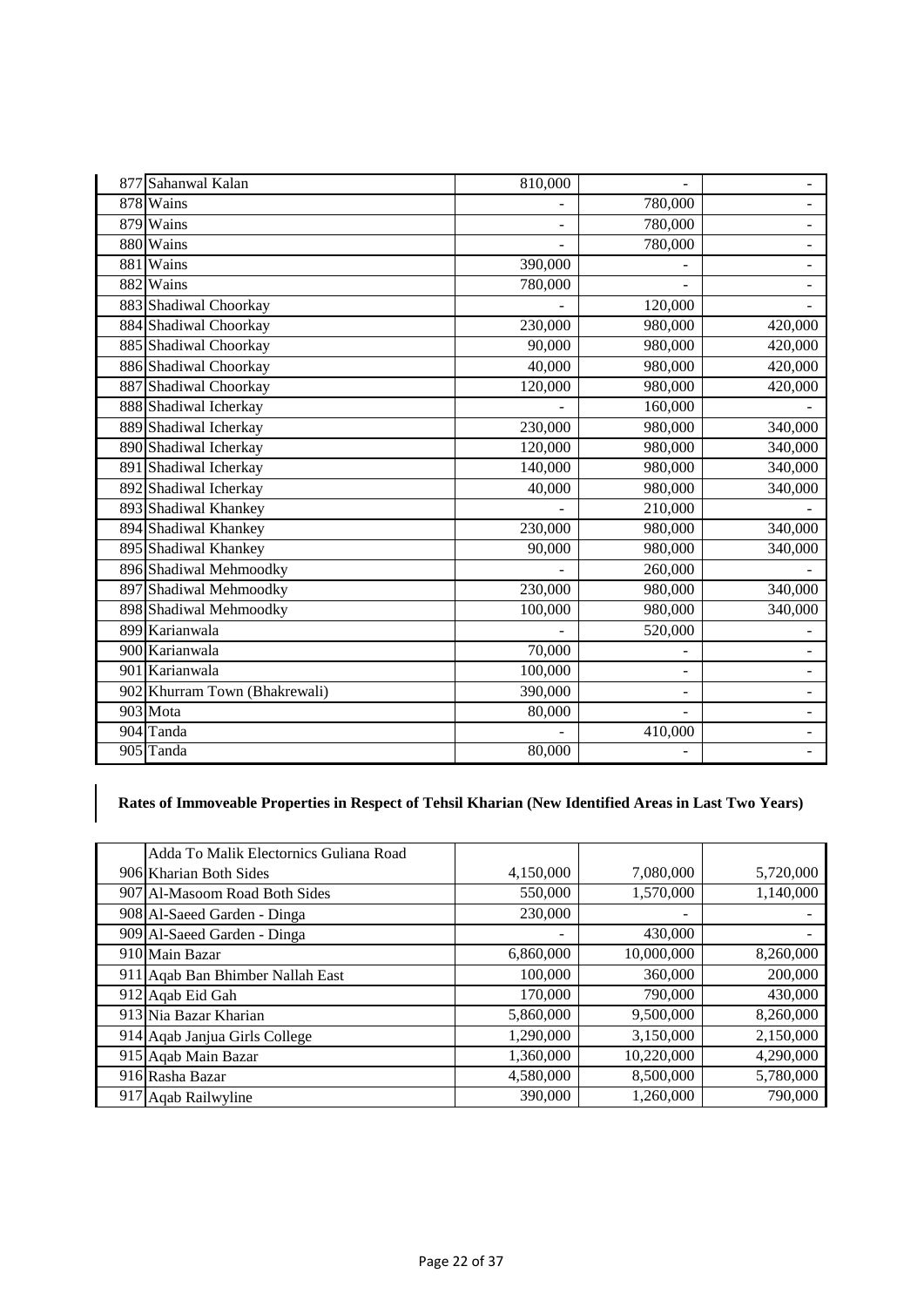| 877 Sahanwal Kalan            | 810,000                  |                          | $\blacksquare$           |
|-------------------------------|--------------------------|--------------------------|--------------------------|
| 878 Wains                     |                          | 780,000                  | $\overline{a}$           |
| 879 Wains                     | $\overline{\phantom{0}}$ | 780,000                  | $\overline{\phantom{0}}$ |
| 880 Wains                     |                          | 780,000                  | -                        |
| 881 Wains                     | 390,000                  |                          |                          |
| 882 Wains                     | 780,000                  |                          |                          |
| 883 Shadiwal Choorkay         |                          | 120,000                  | ÷.                       |
| 884 Shadiwal Choorkay         | 230,000                  | 980,000                  | 420,000                  |
| 885 Shadiwal Choorkay         | 90,000                   | 980,000                  | 420,000                  |
| 886 Shadiwal Choorkay         | 40,000                   | 980,000                  | 420,000                  |
| 887 Shadiwal Choorkay         | 120,000                  | 980,000                  | 420,000                  |
| 888 Shadiwal Icherkay         |                          | 160,000                  |                          |
| 889 Shadiwal Icherkay         | 230,000                  | 980,000                  | 340,000                  |
| 890 Shadiwal Icherkay         | 120,000                  | 980,000                  | 340,000                  |
| 891 Shadiwal Icherkay         | 140,000                  | 980,000                  | 340,000                  |
| 892 Shadiwal Icherkay         | 40,000                   | 980,000                  | 340,000                  |
| 893 Shadiwal Khankey          |                          | 210,000                  |                          |
| 894 Shadiwal Khankey          | 230,000                  | 980,000                  | 340,000                  |
| 895 Shadiwal Khankey          | 90,000                   | 980,000                  | 340,000                  |
| 896 Shadiwal Mehmoodky        |                          | 260,000                  |                          |
| 897 Shadiwal Mehmoodky        | 230,000                  | 980,000                  | 340,000                  |
| 898 Shadiwal Mehmoodky        | 100,000                  | 980,000                  | 340,000                  |
| 899 Karianwala                |                          | 520,000                  |                          |
| 900 Karianwala                | 70,000                   |                          |                          |
| 901 Karianwala                | 100,000                  | $\overline{a}$           | ÷.                       |
| 902 Khurram Town (Bhakrewali) | 390,000                  | $\overline{\phantom{a}}$ | $\overline{\phantom{0}}$ |
| 903 Mota                      | 80,000                   |                          | $\overline{\phantom{0}}$ |
| 904 Tanda                     |                          | 410,000                  | $\overline{\phantom{0}}$ |
| 905 Tanda                     | 80,000                   |                          |                          |

## **Rates of Immoveable Properties in Respect of Tehsil Kharian (New Identified Areas in Last Two Years)**

| Adda To Malik Electornics Guliana Road |           |            |           |
|----------------------------------------|-----------|------------|-----------|
| 906 Kharian Both Sides                 | 4,150,000 | 7,080,000  | 5,720,000 |
| 907 Al-Masoom Road Both Sides          | 550,000   | 1,570,000  | 1,140,000 |
| 908 Al-Saeed Garden - Dinga            | 230,000   | -          |           |
| 909 Al-Saeed Garden - Dinga            |           | 430,000    |           |
| 910 Main Bazar                         | 6,860,000 | 10,000,000 | 8,260,000 |
| 911 Agab Ban Bhimber Nallah East       | 100,000   | 360,000    | 200,000   |
| 912 Aqab Eid Gah                       | 170,000   | 790,000    | 430,000   |
| 913 Nia Bazar Kharian                  | 5,860,000 | 9.500,000  | 8,260,000 |
| 914 Aqab Janjua Girls College          | 1,290,000 | 3,150,000  | 2,150,000 |
| 915 Aqab Main Bazar                    | 1,360,000 | 10,220,000 | 4,290,000 |
| 916 Rasha Bazar                        | 4,580,000 | 8,500,000  | 5,780,000 |
| 917 Aqab Railwyline                    | 390,000   | 1,260,000  | 790,000   |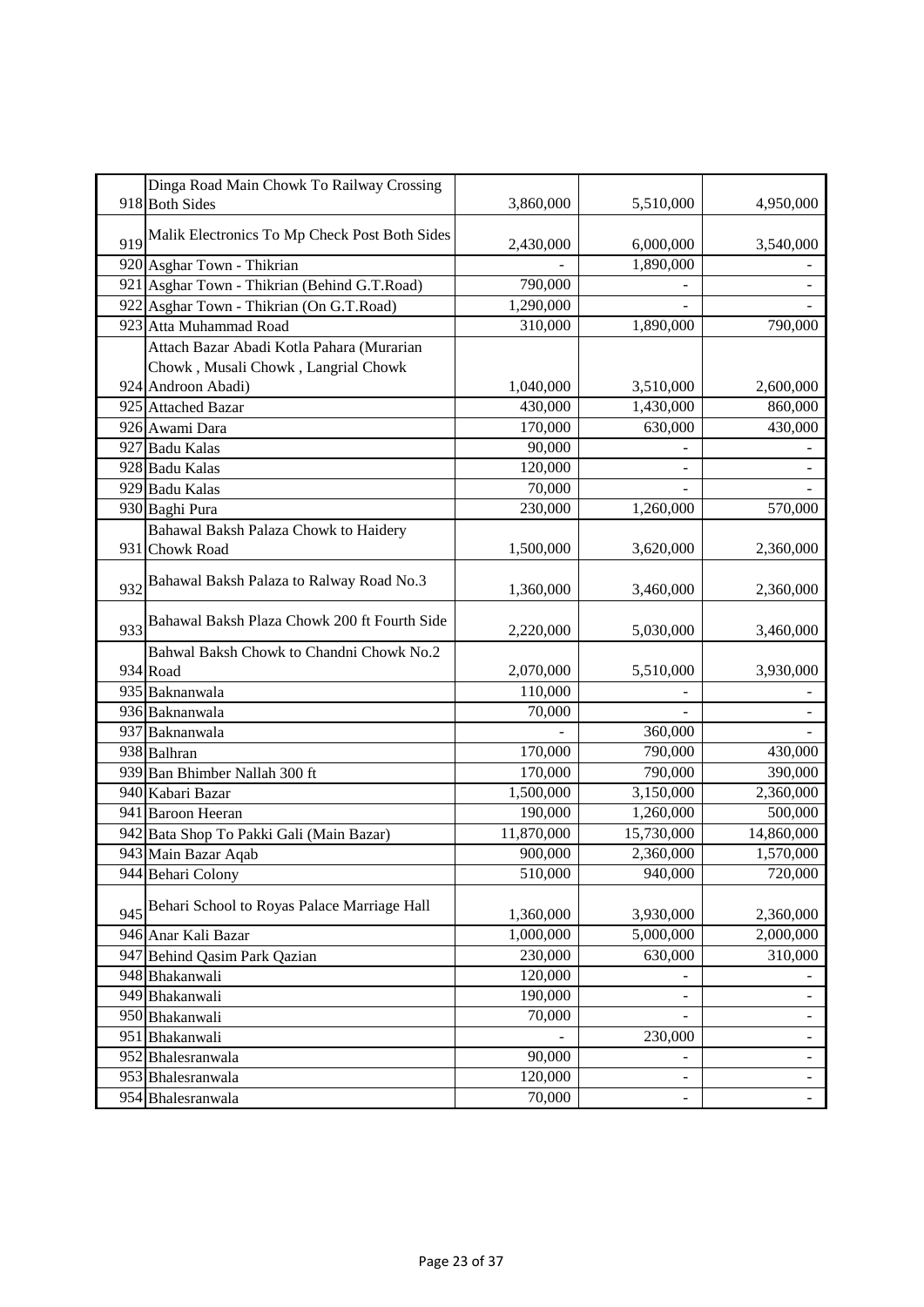|     | Dinga Road Main Chowk To Railway Crossing     |            |                          |                          |
|-----|-----------------------------------------------|------------|--------------------------|--------------------------|
|     | 918 Both Sides                                | 3,860,000  | 5,510,000                | 4,950,000                |
| 919 | Malik Electronics To Mp Check Post Both Sides | 2,430,000  | 6,000,000                | 3,540,000                |
|     | 920 Asghar Town - Thikrian                    |            | 1,890,000                |                          |
|     | 921 Asghar Town - Thikrian (Behind G.T.Road)  | 790,000    |                          |                          |
|     | 922 Asghar Town - Thikrian (On G.T.Road)      | 1,290,000  |                          |                          |
|     | 923 Atta Muhammad Road                        | 310,000    | 1,890,000                | 790,000                  |
|     | Attach Bazar Abadi Kotla Pahara (Murarian     |            |                          |                          |
|     | Chowk, Musali Chowk, Langrial Chowk           |            |                          |                          |
|     | 924 Androon Abadi)                            | 1,040,000  | 3,510,000                | 2,600,000                |
|     | 925 Attached Bazar                            | 430,000    | 1,430,000                | 860,000                  |
|     | 926 Awami Dara                                | 170,000    | 630,000                  | 430,000                  |
|     | 927 Badu Kalas                                | 90,000     |                          |                          |
|     | 928 Badu Kalas                                | 120,000    | ÷.                       |                          |
|     | 929 Badu Kalas                                | 70,000     |                          |                          |
|     | 930 Baghi Pura                                | 230,000    | 1,260,000                | 570,000                  |
|     | Bahawal Baksh Palaza Chowk to Haidery         |            |                          |                          |
|     | 931 Chowk Road                                | 1,500,000  | 3,620,000                | 2,360,000                |
| 932 | Bahawal Baksh Palaza to Ralway Road No.3      | 1,360,000  | 3,460,000                | 2,360,000                |
| 933 | Bahawal Baksh Plaza Chowk 200 ft Fourth Side  | 2,220,000  | 5,030,000                | 3,460,000                |
|     | Bahwal Baksh Chowk to Chandni Chowk No.2      |            |                          |                          |
|     | 934 Road                                      | 2,070,000  | 5,510,000                | 3,930,000                |
|     | 935 Baknanwala                                | 110,000    |                          |                          |
|     | 936 Baknanwala                                | 70,000     |                          |                          |
|     | 937 Baknanwala                                |            | 360,000                  |                          |
|     | 938 Balhran                                   | 170,000    | 790,000                  | 430,000                  |
|     | 939 Ban Bhimber Nallah 300 ft                 | 170,000    | 790,000                  | 390,000                  |
|     | 940 Kabari Bazar                              | 1,500,000  | 3,150,000                | 2,360,000                |
|     | 941 Baroon Heeran                             | 190,000    | 1,260,000                | 500,000                  |
|     | 942 Bata Shop To Pakki Gali (Main Bazar)      | 11,870,000 | 15,730,000               | 14,860,000               |
|     | 943 Main Bazar Aqab                           | 900,000    | 2,360,000                | 1,570,000                |
|     | 944 Behari Colony                             | 510,000    | 940,000                  | 720,000                  |
| 945 | Behari School to Royas Palace Marriage Hall   | 1,360,000  | 3,930,000                | 2,360,000                |
|     | 946 Anar Kali Bazar                           | 1,000,000  | 5,000,000                | 2,000,000                |
|     | 947 Behind Qasim Park Qazian                  | 230,000    | 630,000                  | 310,000                  |
|     | 948 Bhakanwali                                | 120,000    |                          |                          |
|     | 949 Bhakanwali                                | 190,000    | $\overline{\phantom{0}}$ | $\blacksquare$           |
|     | 950 Bhakanwali                                | 70,000     |                          |                          |
|     | 951 Bhakanwali                                |            | 230,000                  | $\overline{\phantom{a}}$ |
|     | 952 Bhalesranwala                             | 90,000     | ۳                        | $\blacksquare$           |
|     | 953 Bhalesranwala                             | 120,000    | ۰                        | ۳                        |
|     | 954 Bhalesranwala                             | 70,000     | $\overline{\phantom{0}}$ | $\blacksquare$           |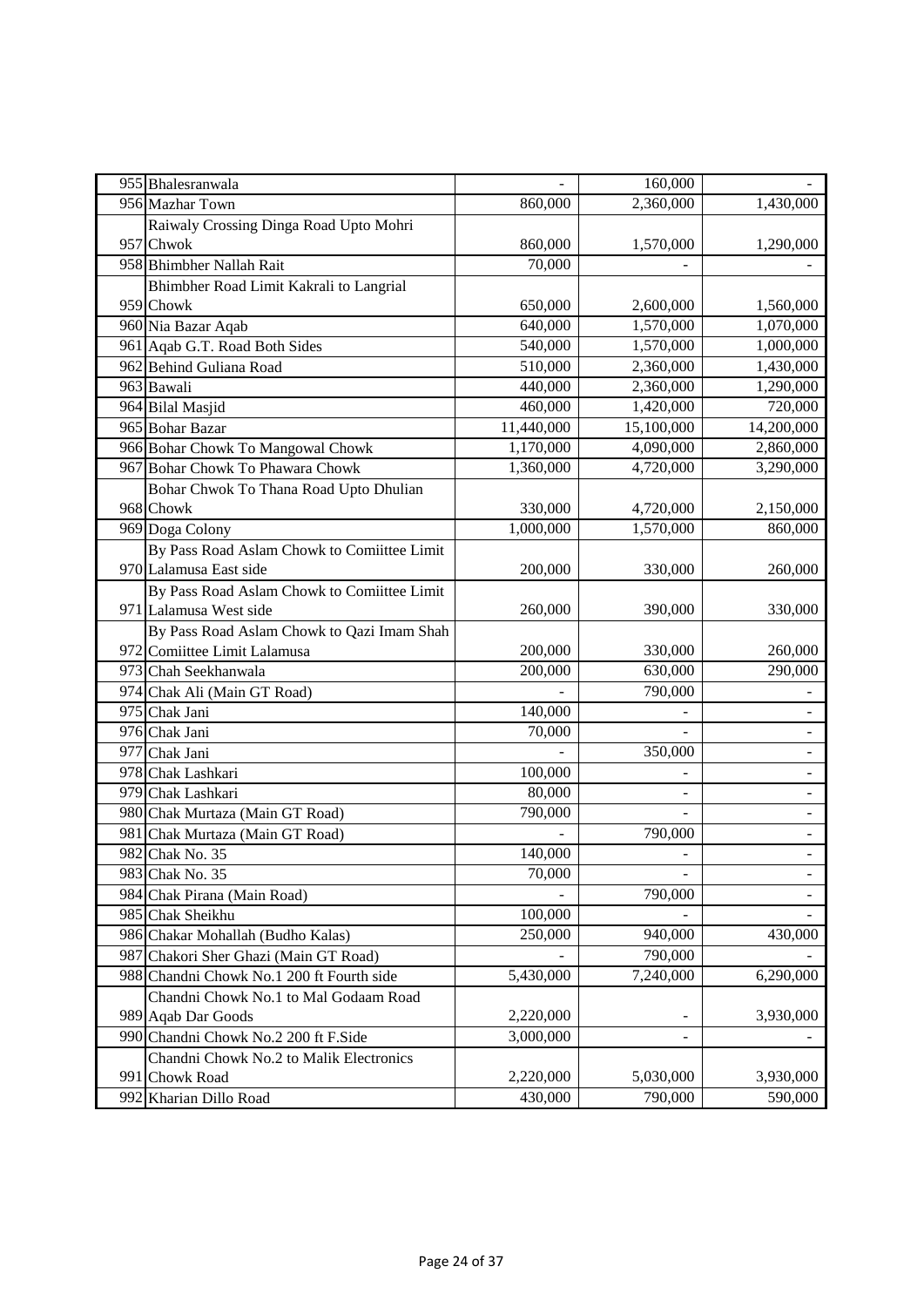| 955 Bhalesranwala        |                                             |            | 160,000    |                          |
|--------------------------|---------------------------------------------|------------|------------|--------------------------|
| 956 Mazhar Town          |                                             | 860,000    | 2,360,000  | 1,430,000                |
|                          | Raiwaly Crossing Dinga Road Upto Mohri      |            |            |                          |
| 957 Chwok                |                                             | 860,000    | 1,570,000  | 1,290,000                |
| 958 Bhimbher Nallah Rait |                                             | 70,000     |            |                          |
|                          | Bhimbher Road Limit Kakrali to Langrial     |            |            |                          |
| 959 Chowk                |                                             | 650,000    | 2,600,000  | 1,560,000                |
| 960 Nia Bazar Aqab       |                                             | 640,000    | 1,570,000  | 1,070,000                |
|                          | 961 Aqab G.T. Road Both Sides               | 540,000    | 1,570,000  | 1,000,000                |
| 962 Behind Guliana Road  |                                             | 510,000    | 2,360,000  | 1,430,000                |
| 963 Bawali               |                                             | 440,000    | 2,360,000  | 1,290,000                |
| 964 Bilal Masjid         |                                             | 460,000    | 1,420,000  | 720,000                  |
| 965 Bohar Bazar          |                                             | 11,440,000 | 15,100,000 | 14,200,000               |
|                          | 966 Bohar Chowk To Mangowal Chowk           | 1,170,000  | 4,090,000  | 2,860,000                |
|                          | 967 Bohar Chowk To Phawara Chowk            | 1,360,000  | 4,720,000  | 3,290,000                |
|                          | Bohar Chwok To Thana Road Upto Dhulian      |            |            |                          |
| 968 Chowk                |                                             | 330,000    | 4,720,000  | 2,150,000                |
| 969 Doga Colony          |                                             | 1,000,000  | 1,570,000  | 860,000                  |
|                          | By Pass Road Aslam Chowk to Comiittee Limit |            |            |                          |
| 970 Lalamusa East side   |                                             | 200,000    | 330,000    | 260,000                  |
|                          | By Pass Road Aslam Chowk to Comiittee Limit |            |            |                          |
| 971 Lalamusa West side   |                                             | 260,000    | 390,000    | 330,000                  |
|                          | By Pass Road Aslam Chowk to Qazi Imam Shah  |            |            |                          |
|                          | 972 Comiittee Limit Lalamusa                | 200,000    | 330,000    | 260,000                  |
| 973 Chah Seekhanwala     |                                             | 200,000    | 630,000    | 290,000                  |
|                          | 974 Chak Ali (Main GT Road)                 |            | 790,000    |                          |
| 975 Chak Jani            |                                             | 140,000    |            |                          |
| 976 Chak Jani            |                                             | 70,000     |            | $\overline{\phantom{a}}$ |
| 977 Chak Jani            |                                             |            | 350,000    |                          |
| 978 Chak Lashkari        |                                             | 100,000    |            |                          |
| 979 Chak Lashkari        |                                             | 80,000     |            |                          |
|                          | 980 Chak Murtaza (Main GT Road)             | 790,000    |            |                          |
|                          | 981 Chak Murtaza (Main GT Road)             |            | 790,000    |                          |
| 982 Chak No. 35          |                                             | 140,000    |            | $\sim$                   |
| 983 Chak No. 35          |                                             | 70,000     |            |                          |
|                          | 984 Chak Pirana (Main Road)                 |            | 790,000    | $\equiv$                 |
| 985 Chak Sheikhu         |                                             | 100,000    |            |                          |
|                          | 986 Chakar Mohallah (Budho Kalas)           | 250,000    | 940,000    | 430,000                  |
|                          | 987 Chakori Sher Ghazi (Main GT Road)       |            | 790,000    |                          |
|                          | 988 Chandni Chowk No.1 200 ft Fourth side   | 5,430,000  | 7,240,000  | 6,290,000                |
|                          | Chandni Chowk No.1 to Mal Godaam Road       |            |            |                          |
| 989 Aqab Dar Goods       |                                             | 2,220,000  |            | 3,930,000                |
|                          | 990 Chandni Chowk No.2 200 ft F.Side        | 3,000,000  |            |                          |
|                          | Chandni Chowk No.2 to Malik Electronics     |            |            |                          |
| 991 Chowk Road           |                                             | 2,220,000  | 5,030,000  | 3,930,000                |
| 992 Kharian Dillo Road   |                                             | 430,000    | 790,000    | 590,000                  |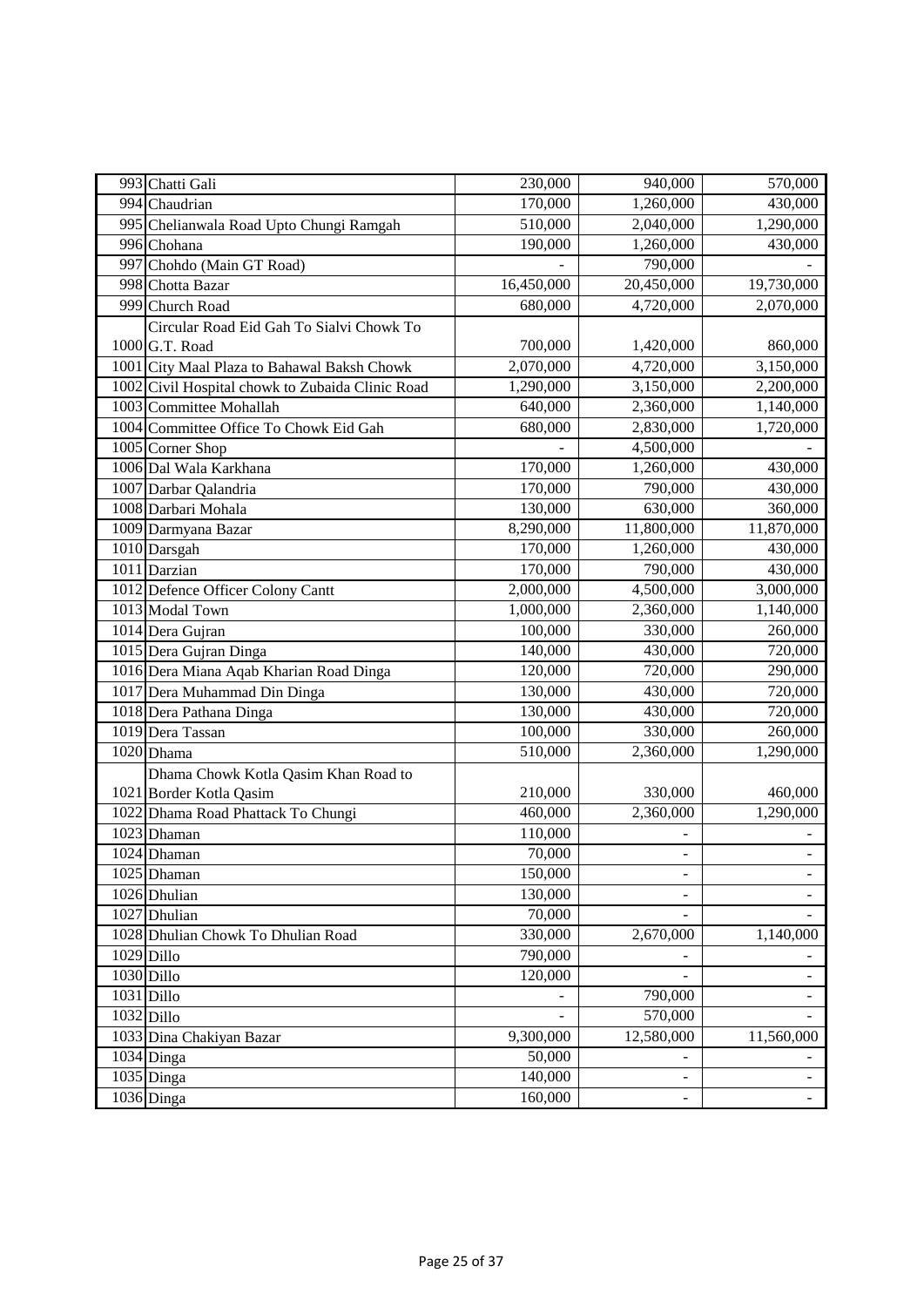| 993 Chatti Gali                                  | 230,000    | 940,000                  | 570,000                  |
|--------------------------------------------------|------------|--------------------------|--------------------------|
| 994 Chaudrian                                    | 170,000    | 1,260,000                | 430,000                  |
| 995 Chelianwala Road Upto Chungi Ramgah          | 510,000    | 2,040,000                | $\overline{1,290,000}$   |
| 996 Chohana                                      | 190,000    | 1,260,000                | 430,000                  |
| 997 Chohdo (Main GT Road)                        |            | 790,000                  |                          |
| 998 Chotta Bazar                                 | 16,450,000 | 20,450,000               | 19,730,000               |
| 999 Church Road                                  | 680,000    | 4,720,000                | 2,070,000                |
| Circular Road Eid Gah To Sialvi Chowk To         |            |                          |                          |
| 1000 G.T. Road                                   | 700,000    | 1,420,000                | 860,000                  |
| 1001 City Maal Plaza to Bahawal Baksh Chowk      | 2,070,000  | 4,720,000                | 3,150,000                |
| 1002 Civil Hospital chowk to Zubaida Clinic Road | 1,290,000  | 3,150,000                | 2,200,000                |
| 1003 Committee Mohallah                          | 640,000    | 2,360,000                | 1,140,000                |
| 1004 Committee Office To Chowk Eid Gah           | 680,000    | 2,830,000                | 1,720,000                |
| 1005 Corner Shop                                 |            | 4,500,000                |                          |
| 1006 Dal Wala Karkhana                           | 170,000    | 1,260,000                | 430,000                  |
| 1007 Darbar Qalandria                            | 170,000    | 790,000                  | 430,000                  |
| 1008 Darbari Mohala                              | 130,000    | 630,000                  | 360,000                  |
| 1009 Darmyana Bazar                              | 8,290,000  | 11,800,000               | 11,870,000               |
| 1010 Darsgah                                     | 170,000    | 1,260,000                | 430,000                  |
| 1011 Darzian                                     | 170,000    | 790,000                  | 430,000                  |
| 1012 Defence Officer Colony Cantt                | 2,000,000  | 4,500,000                | 3,000,000                |
| 1013 Modal Town                                  | 1,000,000  | 2,360,000                | 1,140,000                |
| 1014 Dera Gujran                                 | 100,000    | 330,000                  | 260,000                  |
| 1015 Dera Gujran Dinga                           | 140,000    | 430,000                  | 720,000                  |
| 1016 Dera Miana Aqab Kharian Road Dinga          | 120,000    | 720,000                  | 290,000                  |
| 1017 Dera Muhammad Din Dinga                     | 130,000    | 430,000                  | 720,000                  |
| 1018 Dera Pathana Dinga                          | 130,000    | 430,000                  | 720,000                  |
| 1019 Dera Tassan                                 | 100,000    | 330,000                  | 260,000                  |
| 1020 Dhama                                       | 510,000    | $\overline{2,}360,000$   | 1,290,000                |
| Dhama Chowk Kotla Qasim Khan Road to             |            |                          |                          |
| 1021 Border Kotla Qasim                          | 210,000    | 330,000                  | 460,000                  |
| 1022 Dhama Road Phattack To Chungi               | 460,000    | 2,360,000                | 1,290,000                |
| 1023 Dhaman                                      | 110,000    |                          |                          |
| $1024$ Dhaman                                    | 70,000     | $\overline{\phantom{0}}$ |                          |
| $1025$ Dhaman                                    | 150,000    | $\overline{\phantom{a}}$ |                          |
| 1026 Dhulian                                     | 130,000    | ÷.                       | $\overline{\phantom{a}}$ |
| 1027 Dhulian                                     | 70,000     |                          |                          |
| 1028 Dhulian Chowk To Dhulian Road               | 330,000    | 2,670,000                | 1,140,000                |
| 1029 Dillo                                       | 790,000    |                          |                          |
| $1030$ Dillo                                     | 120,000    |                          | $\overline{\phantom{a}}$ |
| $1031$ Dillo                                     |            | 790,000                  | $\sim$                   |
| 1032 Dillo                                       |            | 570,000                  |                          |
| 1033 Dina Chakiyan Bazar                         | 9,300,000  | 12,580,000               | 11,560,000               |
| $1034$ Dinga                                     | 50,000     | ۳                        |                          |
| $1035$ Dinga                                     | 140,000    | -                        |                          |
| 1036 Dinga                                       | 160,000    | $\overline{\phantom{a}}$ | ÷.                       |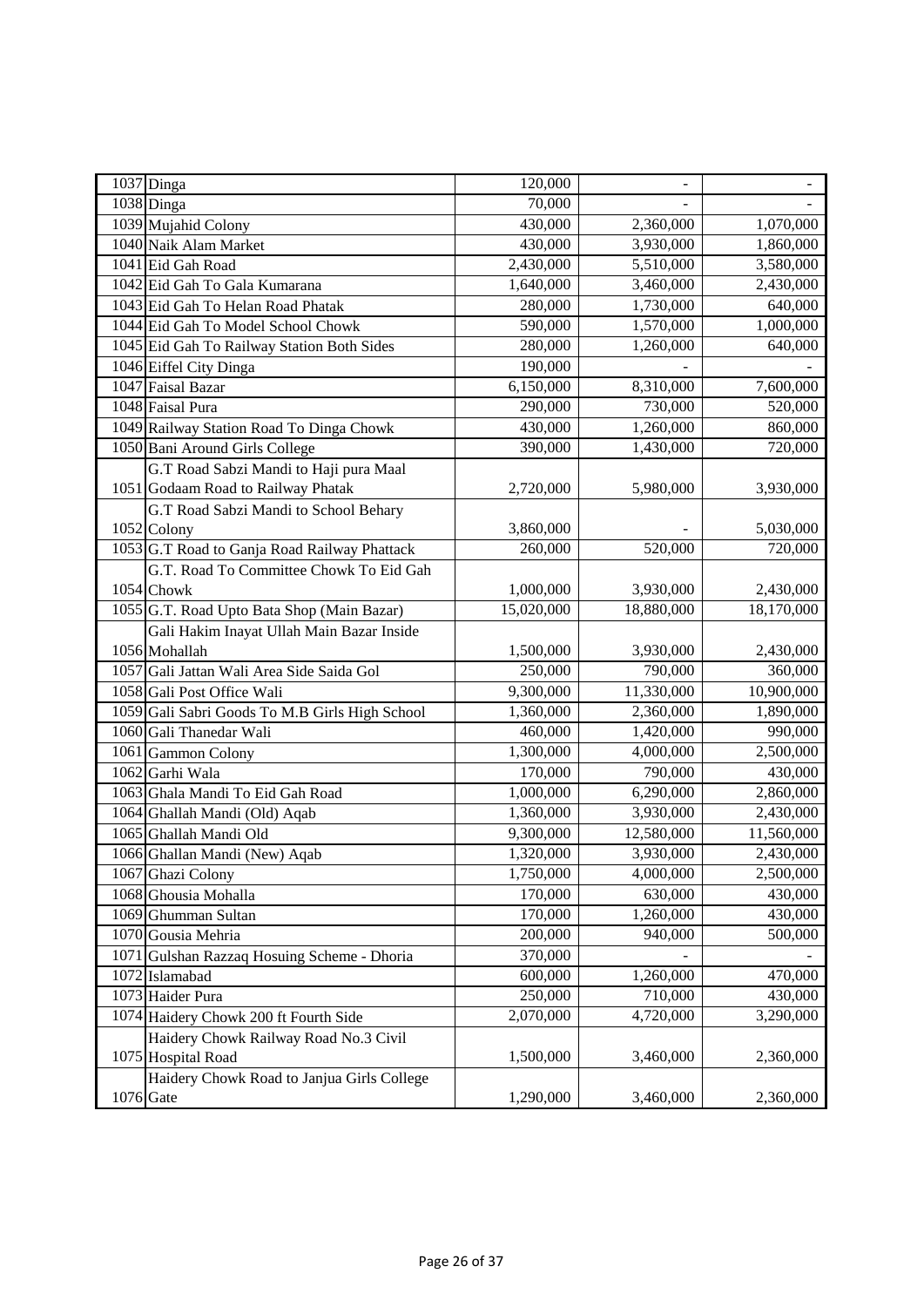| 1037 Dinga                                     | 120,000    | $\overline{a}$ |                      |
|------------------------------------------------|------------|----------------|----------------------|
| 1038 Dinga                                     | 70,000     |                |                      |
| 1039 Mujahid Colony                            | 430,000    | 2,360,000      | 1,070,000            |
| 1040 Naik Alam Market                          | 430,000    | 3,930,000      | 1,860,000            |
| 1041 Eid Gah Road                              | 2,430,000  | 5,510,000      | 3,580,000            |
| 1042 Eid Gah To Gala Kumarana                  | 1,640,000  | 3,460,000      | 2,430,000            |
| 1043 Eid Gah To Helan Road Phatak              | 280,000    | 1,730,000      | $\overline{640,}000$ |
| 1044 Eid Gah To Model School Chowk             | 590,000    | 1,570,000      | 1,000,000            |
| 1045 Eid Gah To Railway Station Both Sides     | 280,000    | 1,260,000      | 640,000              |
| 1046 Eiffel City Dinga                         | 190,000    |                |                      |
| 1047 Faisal Bazar                              | 6,150,000  | 8,310,000      | 7,600,000            |
| 1048 Faisal Pura                               | 290,000    | 730,000        | 520,000              |
| 1049 Railway Station Road To Dinga Chowk       | 430,000    | 1,260,000      | 860,000              |
| 1050 Bani Around Girls College                 | 390,000    | 1,430,000      | 720,000              |
| G.T Road Sabzi Mandi to Haji pura Maal         |            |                |                      |
| 1051 Godaam Road to Railway Phatak             | 2,720,000  | 5,980,000      | 3,930,000            |
| G.T Road Sabzi Mandi to School Behary          |            |                |                      |
| 1052 Colony                                    | 3,860,000  |                | 5,030,000            |
| 1053 G.T Road to Ganja Road Railway Phattack   | 260,000    | 520,000        | 720,000              |
| G.T. Road To Committee Chowk To Eid Gah        |            |                |                      |
| 1054 Chowk                                     | 1,000,000  | 3,930,000      | 2,430,000            |
| 1055 G.T. Road Upto Bata Shop (Main Bazar)     | 15,020,000 | 18,880,000     | 18,170,000           |
| Gali Hakim Inayat Ullah Main Bazar Inside      |            |                |                      |
| 1056 Mohallah                                  | 1,500,000  | 3,930,000      | 2,430,000            |
| 1057 Gali Jattan Wali Area Side Saida Gol      | 250,000    | 790,000        | 360,000              |
| 1058 Gali Post Office Wali                     | 9,300,000  | 11,330,000     | 10,900,000           |
| 1059 Gali Sabri Goods To M.B Girls High School | 1,360,000  | 2,360,000      | 1,890,000            |
| 1060 Gali Thanedar Wali                        | 460,000    | 1,420,000      | 990,000              |
| 1061 Gammon Colony                             | 1,300,000  | 4,000,000      | 2,500,000            |
| 1062 Garhi Wala                                | 170,000    | 790,000        | 430,000              |
| 1063 Ghala Mandi To Eid Gah Road               | 1,000,000  | 6,290,000      | 2,860,000            |
| 1064 Ghallah Mandi (Old) Aqab                  | 1,360,000  | 3,930,000      | 2,430,000            |
| 1065 Ghallah Mandi Old                         | 9,300,000  | 12,580,000     | 11,560,000           |
| 1066 Ghallan Mandi (New) Aqab                  | 1,320,000  | 3,930,000      | 2,430,000            |
| 1067 Ghazi Colony                              | 1,750,000  | 4,000,000      | 2,500,000            |
| 1068 Ghousia Mohalla                           | 170,000    | 630,000        | 430,000              |
| 1069 Ghumman Sultan                            | 170,000    | 1,260,000      | 430,000              |
| 1070 Gousia Mehria                             | 200,000    | 940,000        | 500,000              |
| Gulshan Razzaq Hosuing Scheme - Dhoria<br>1071 | 370,000    |                |                      |
| 1072 Islamabad                                 | 600,000    | 1,260,000      | 470,000              |
| 1073 Haider Pura                               | 250,000    | 710,000        | 430,000              |
| 1074 Haidery Chowk 200 ft Fourth Side          | 2,070,000  | 4,720,000      | 3,290,000            |
| Haidery Chowk Railway Road No.3 Civil          |            |                |                      |
| 1075 Hospital Road                             | 1,500,000  | 3,460,000      | 2,360,000            |
| Haidery Chowk Road to Janjua Girls College     |            |                |                      |
| 1076 Gate                                      | 1,290,000  | 3,460,000      | 2,360,000            |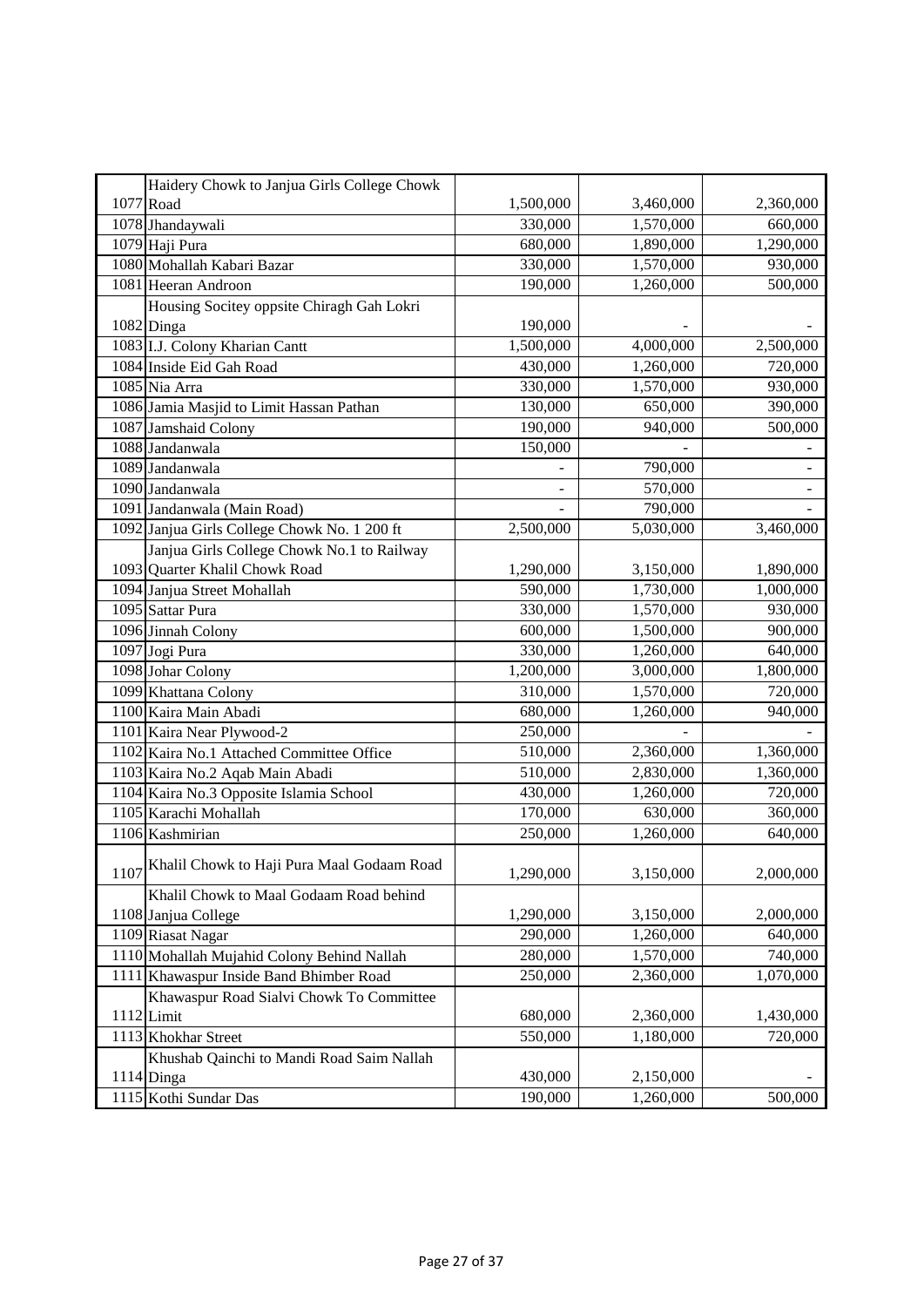| Haidery Chowk to Janjua Girls College Chowk        |           |           |           |
|----------------------------------------------------|-----------|-----------|-----------|
| 1077 Road                                          | 1,500,000 | 3,460,000 | 2,360,000 |
| 1078 Jhandaywali                                   | 330,000   | 1,570,000 | 660,000   |
| 1079 Haji Pura                                     | 680,000   | 1,890,000 | 1,290,000 |
| 1080 Mohallah Kabari Bazar                         | 330,000   | 1,570,000 | 930,000   |
| 1081 Heeran Androon                                | 190,000   | 1,260,000 | 500,000   |
| Housing Socitey oppsite Chiragh Gah Lokri          |           |           |           |
| 1082 Dinga                                         | 190,000   |           |           |
| 1083 I.J. Colony Kharian Cantt                     | 1,500,000 | 4,000,000 | 2,500,000 |
| 1084 Inside Eid Gah Road                           | 430,000   | 1,260,000 | 720,000   |
| 1085 Nia Arra                                      | 330,000   | 1,570,000 | 930,000   |
| 1086 Jamia Masjid to Limit Hassan Pathan           | 130,000   | 650,000   | 390,000   |
| 1087 Jamshaid Colony                               | 190,000   | 940,000   | 500,000   |
| 1088 Jandanwala                                    | 150,000   |           |           |
| $\overline{1089}$ Jandanwala                       |           | 790,000   |           |
| 1090 Jandanwala                                    |           | 570,000   |           |
| 1091 Jandanwala (Main Road)                        |           | 790,000   |           |
| 1092 Janjua Girls College Chowk No. 1 200 ft       | 2,500,000 | 5,030,000 | 3,460,000 |
| Janjua Girls College Chowk No.1 to Railway         |           |           |           |
| 1093 Quarter Khalil Chowk Road                     | 1,290,000 | 3,150,000 | 1,890,000 |
| 1094 Janjua Street Mohallah                        | 590,000   | 1,730,000 | 1,000,000 |
| 1095 Sattar Pura                                   | 330,000   | 1,570,000 | 930,000   |
| 1096 Jinnah Colony                                 | 600,000   | 1,500,000 | 900,000   |
| 1097 Jogi Pura                                     | 330,000   | 1,260,000 | 640,000   |
| 1098 Johar Colony                                  | 1,200,000 | 3,000,000 | 1,800,000 |
| 1099 Khattana Colony                               | 310,000   | 1,570,000 | 720,000   |
| 1100 Kaira Main Abadi                              | 680,000   | 1,260,000 | 940,000   |
| 1101 Kaira Near Plywood-2                          | 250,000   |           |           |
| 1102 Kaira No.1 Attached Committee Office          | 510,000   | 2,360,000 | 1,360,000 |
| 1103 Kaira No.2 Aqab Main Abadi                    | 510,000   | 2,830,000 | 1,360,000 |
| 1104 Kaira No.3 Opposite Islamia School            | 430,000   | 1,260,000 | 720,000   |
| 1105 Karachi Mohallah                              | 170,000   | 630,000   | 360,000   |
| 1106 Kashmirian                                    | 250,000   | 1,260,000 | 640,000   |
| Khalil Chowk to Haji Pura Maal Godaam Road<br>1107 | 1,290,000 | 3,150,000 | 2,000,000 |
| Khalil Chowk to Maal Godaam Road behind            |           |           |           |
| 1108 Janjua College                                | 1,290,000 | 3,150,000 | 2,000,000 |
| 1109 Riasat Nagar                                  | 290,000   | 1,260,000 | 640,000   |
| 1110 Mohallah Mujahid Colony Behind Nallah         | 280,000   | 1,570,000 | 740,000   |
| 1111 Khawaspur Inside Band Bhimber Road            | 250,000   | 2,360,000 | 1,070,000 |
| Khawaspur Road Sialvi Chowk To Committee           |           |           |           |
| 1112 Limit                                         | 680,000   | 2,360,000 | 1,430,000 |
| 1113 Khokhar Street                                | 550,000   | 1,180,000 | 720,000   |
| Khushab Qainchi to Mandi Road Saim Nallah          |           |           |           |
| $1114$ Dinga                                       | 430,000   | 2,150,000 |           |
| 1115 Kothi Sundar Das                              | 190,000   | 1,260,000 | 500,000   |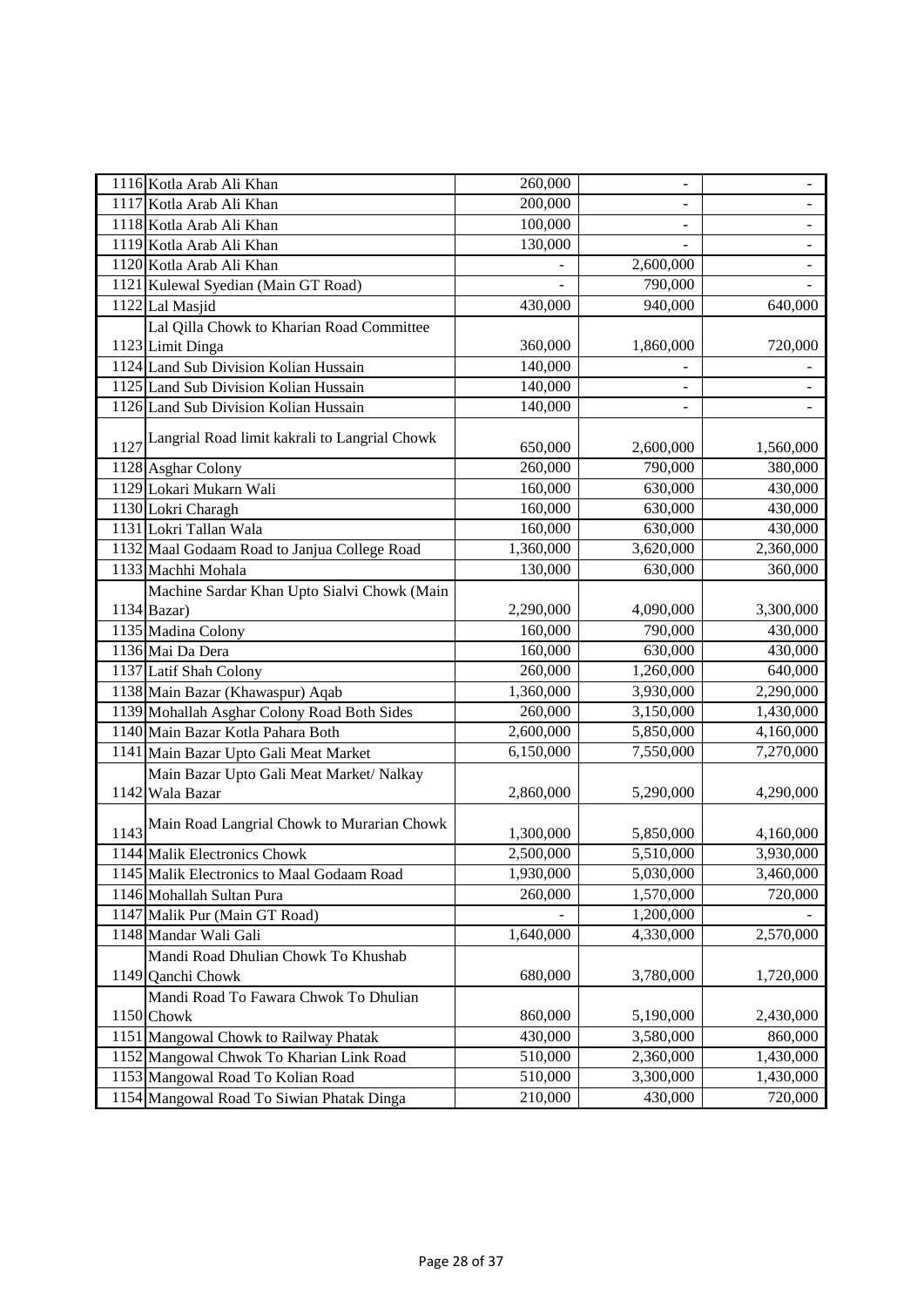| 1116 Kotla Arab Ali Khan                           | 260,000   | $\qquad \qquad \blacksquare$ | $\overline{\phantom{a}}$ |
|----------------------------------------------------|-----------|------------------------------|--------------------------|
| 1117 Kotla Arab Ali Khan                           | 200,000   | $\overline{\phantom{a}}$     |                          |
| 1118 Kotla Arab Ali Khan                           | 100,000   |                              |                          |
| 1119 Kotla Arab Ali Khan                           | 130,000   |                              |                          |
| 1120 Kotla Arab Ali Khan                           |           | 2,600,000                    |                          |
| 1121 Kulewal Syedian (Main GT Road)                |           | 790,000                      | $\overline{\phantom{a}}$ |
| 1122 Lal Masjid                                    | 430,000   | 940,000                      | 640,000                  |
| Lal Qilla Chowk to Kharian Road Committee          |           |                              |                          |
| 1123 Limit Dinga                                   | 360,000   | 1,860,000                    | 720,000                  |
| 1124 Land Sub Division Kolian Hussain              | 140,000   |                              |                          |
| 1125 Land Sub Division Kolian Hussain              | 140,000   |                              |                          |
| 1126 Land Sub Division Kolian Hussain              | 140,000   | $\overline{\phantom{m}}$     |                          |
|                                                    |           |                              |                          |
| 1127 Langrial Road limit kakrali to Langrial Chowk | 650,000   | 2,600,000                    | 1,560,000                |
| 1128 Asghar Colony                                 | 260,000   | 790,000                      | 380,000                  |
| 1129 Lokari Mukarn Wali                            | 160,000   | 630,000                      | 430,000                  |
| 1130 Lokri Charagh                                 | 160,000   | 630,000                      | 430,000                  |
| 1131 Lokri Tallan Wala                             | 160,000   | 630,000                      | 430,000                  |
| 1132 Maal Godaam Road to Janjua College Road       | 1,360,000 | $\overline{3,620,000}$       | 2,360,000                |
| 1133 Machhi Mohala                                 | 130,000   | 630,000                      | 360,000                  |
| Machine Sardar Khan Upto Sialvi Chowk (Main        |           |                              |                          |
| 1134 Bazar)                                        | 2,290,000 | 4,090,000                    | 3,300,000                |
| 1135 Madina Colony                                 | 160,000   | 790,000                      | 430,000                  |
| 1136 Mai Da Dera                                   | 160,000   | 630,000                      | 430,000                  |
| 1137 Latif Shah Colony                             | 260,000   | 1,260,000                    | 640,000                  |
| 1138 Main Bazar (Khawaspur) Aqab                   | 1,360,000 | 3,930,000                    | 2,290,000                |
| 1139 Mohallah Asghar Colony Road Both Sides        | 260,000   | 3,150,000                    | 1,430,000                |
| 1140 Main Bazar Kotla Pahara Both                  | 2,600,000 | 5,850,000                    | 4,160,000                |
| 1141 Main Bazar Upto Gali Meat Market              | 6,150,000 | 7,550,000                    | 7,270,000                |
| Main Bazar Upto Gali Meat Market/ Nalkay           |           |                              |                          |
| 1142 Wala Bazar                                    | 2,860,000 | 5,290,000                    | 4,290,000                |
| 1143 Main Road Langrial Chowk to Murarian Chowk    | 1,300,000 | 5,850,000                    | 4,160,000                |
| 1144 Malik Electronics Chowk                       | 2,500,000 | 5,510,000                    | 3,930,000                |
| 1145 Malik Electronics to Maal Godaam Road         | 1,930,000 | 5,030,000                    | 3,460,000                |
| 1146 Mohallah Sultan Pura                          | 260,000   | 1,570,000                    | 720,000                  |
| 1147 Malik Pur (Main GT Road)                      |           | 1,200,000                    |                          |
| 1148 Mandar Wali Gali                              | 1,640,000 | 4,330,000                    | 2,570,000                |
| Mandi Road Dhulian Chowk To Khushab                |           |                              |                          |
| 1149 Qanchi Chowk                                  | 680,000   | 3,780,000                    | 1,720,000                |
| Mandi Road To Fawara Chwok To Dhulian              |           |                              |                          |
| 1150 Chowk                                         | 860,000   | 5,190,000                    | 2,430,000                |
| 1151 Mangowal Chowk to Railway Phatak              | 430,000   | 3,580,000                    | 860,000                  |
| 1152 Mangowal Chwok To Kharian Link Road           | 510,000   | 2,360,000                    | 1,430,000                |
| 1153 Mangowal Road To Kolian Road                  | 510,000   | 3,300,000                    | 1,430,000                |
| 1154 Mangowal Road To Siwian Phatak Dinga          | 210,000   | 430,000                      | 720,000                  |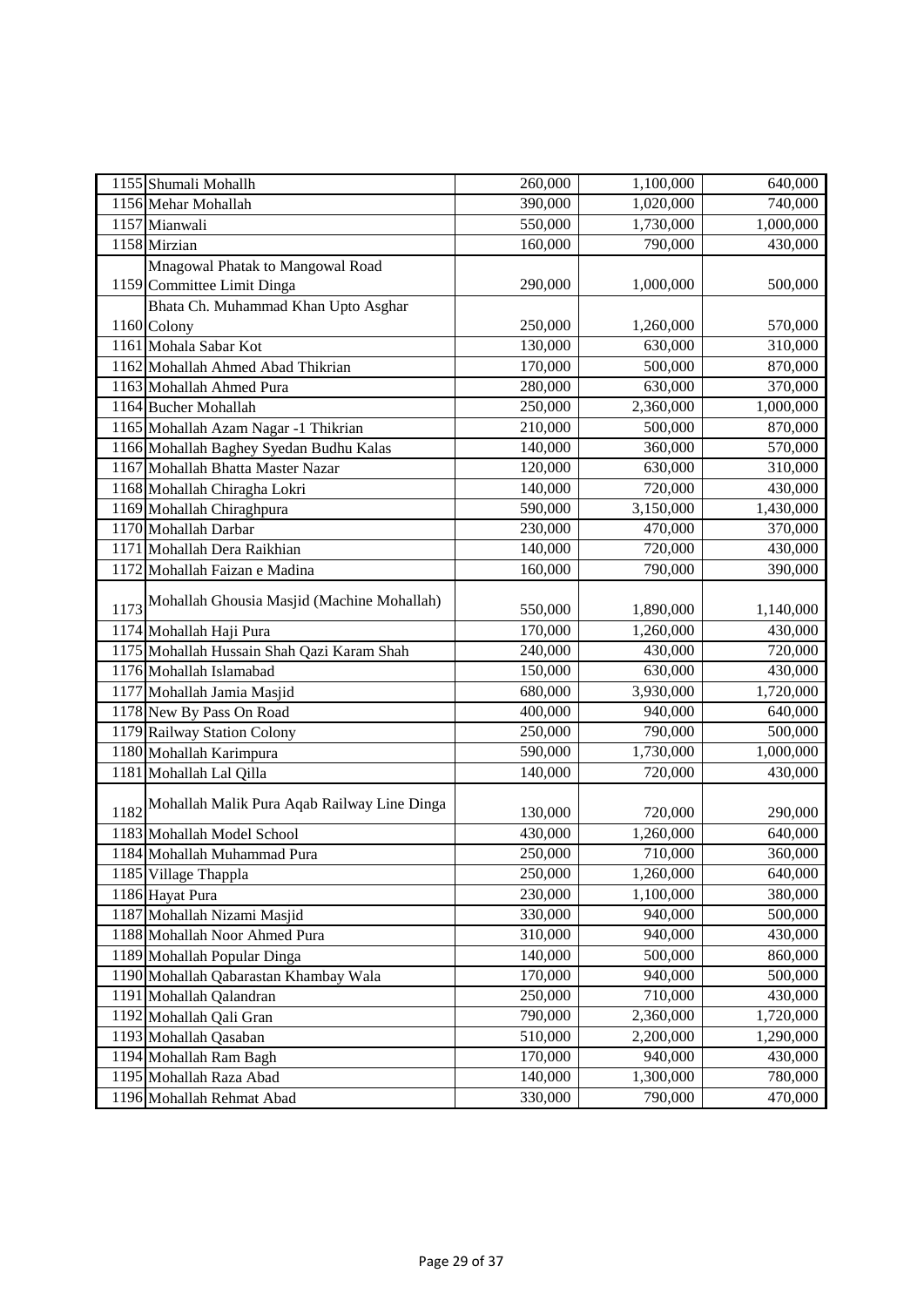| 1155 Shumali Mohallh                                | 260,000 | 1,100,000              | 640,000   |
|-----------------------------------------------------|---------|------------------------|-----------|
| 1156 Mehar Mohallah                                 | 390,000 | 1,020,000              | 740,000   |
| 1157 Mianwali                                       | 550,000 | 1,730,000              | 1,000,000 |
| 1158 Mirzian                                        | 160,000 | 790,000                | 430,000   |
| Mnagowal Phatak to Mangowal Road                    |         |                        |           |
| 1159 Committee Limit Dinga                          | 290,000 | 1,000,000              | 500,000   |
| Bhata Ch. Muhammad Khan Upto Asghar                 |         |                        |           |
| 1160 Colony                                         | 250,000 | 1,260,000              | 570,000   |
| 1161 Mohala Sabar Kot                               | 130,000 | 630,000                | 310,000   |
| 1162 Mohallah Ahmed Abad Thikrian                   | 170,000 | 500,000                | 870,000   |
| 1163 Mohallah Ahmed Pura                            | 280,000 | 630,000                | 370,000   |
| 1164 Bucher Mohallah                                | 250,000 | 2,360,000              | 1,000,000 |
| 1165 Mohallah Azam Nagar -1 Thikrian                | 210,000 | 500,000                | 870,000   |
| 1166 Mohallah Baghey Syedan Budhu Kalas             | 140,000 | 360,000                | 570,000   |
| 1167 Mohallah Bhatta Master Nazar                   | 120,000 | 630,000                | 310,000   |
| 1168 Mohallah Chiragha Lokri                        | 140,000 | 720,000                | 430,000   |
| 1169 Mohallah Chiraghpura                           | 590,000 | $\overline{3,150,000}$ | 1,430,000 |
| 1170 Mohallah Darbar                                | 230,000 | 470,000                | 370,000   |
| 1171 Mohallah Dera Raikhian                         | 140,000 | 720,000                | 430,000   |
| 1172 Mohallah Faizan e Madina                       | 160,000 | 790,000                | 390,000   |
|                                                     |         |                        |           |
| Mohallah Ghousia Masjid (Machine Mohallah)<br>1173  | 550,000 | 1,890,000              | 1,140,000 |
| 1174 Mohallah Haji Pura                             | 170,000 | 1,260,000              | 430,000   |
| 1175 Mohallah Hussain Shah Qazi Karam Shah          | 240,000 | 430,000                | 720,000   |
| 1176 Mohallah Islamabad                             | 150,000 | 630,000                | 430,000   |
| 1177 Mohallah Jamia Masjid                          | 680,000 | 3,930,000              | 1,720,000 |
| 1178 New By Pass On Road                            | 400,000 | 940,000                | 640,000   |
| 1179 Railway Station Colony                         | 250,000 | 790,000                | 500,000   |
| 1180 Mohallah Karimpura                             | 590,000 | 1,730,000              | 1,000,000 |
| 1181 Mohallah Lal Qilla                             | 140,000 | 720,000                | 430,000   |
|                                                     |         |                        |           |
| Mohallah Malik Pura Aqab Railway Line Dinga<br>1182 | 130,000 | 720,000                | 290,000   |
| 1183 Mohallah Model School                          | 430,000 | 1,260,000              | 640,000   |
| 1184 Mohallah Muhammad Pura                         | 250,000 | 710,000                | 360,000   |
| 1185 Village Thappla                                | 250,000 | 1,260,000              | 640,000   |
| 1186 Hayat Pura                                     | 230,000 | 1,100,000              | 380,000   |
| 1187 Mohallah Nizami Masjid                         | 330,000 | 940,000                | 500,000   |
| 1188 Mohallah Noor Ahmed Pura                       | 310,000 | 940,000                | 430,000   |
| 1189 Mohallah Popular Dinga                         | 140,000 | 500,000                | 860,000   |
| 1190 Mohallah Qabarastan Khambay Wala               | 170,000 | 940,000                | 500,000   |
| 1191 Mohallah Qalandran                             | 250,000 | 710,000                | 430,000   |
| 1192 Mohallah Qali Gran                             | 790,000 | 2,360,000              | 1,720,000 |
| 1193 Mohallah Qasaban                               | 510,000 | 2,200,000              | 1,290,000 |
| 1194 Mohallah Ram Bagh                              | 170,000 | 940,000                | 430,000   |
| 1195 Mohallah Raza Abad                             | 140,000 | 1,300,000              | 780,000   |
| 1196 Mohallah Rehmat Abad                           | 330,000 | 790,000                | 470,000   |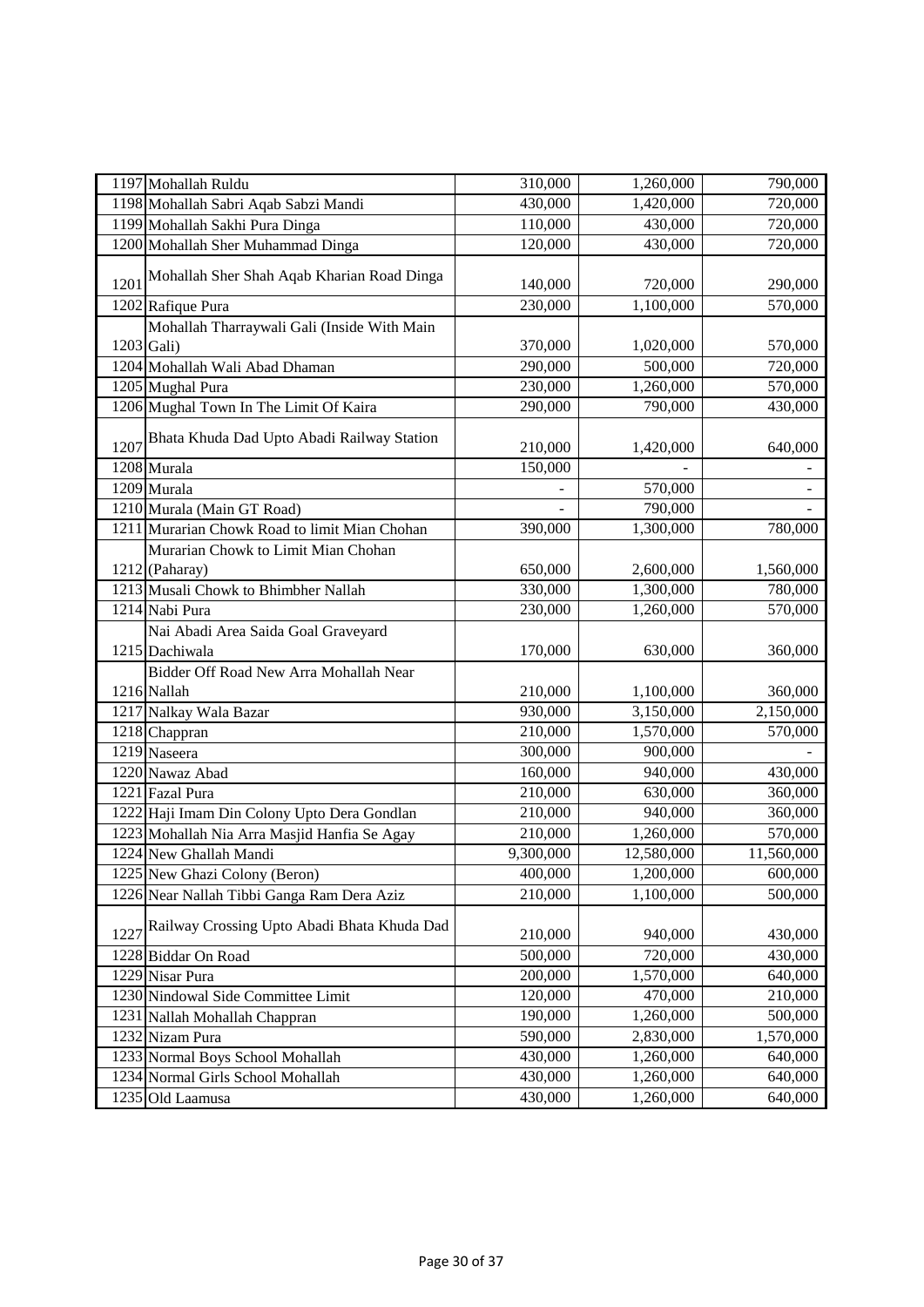| 1197 Mohallah Ruldu                                 | 310,000   | 1,260,000  | 790,000    |
|-----------------------------------------------------|-----------|------------|------------|
| 1198 Mohallah Sabri Aqab Sabzi Mandi                | 430,000   | 1,420,000  | 720,000    |
| 1199 Mohallah Sakhi Pura Dinga                      | 110,000   | 430,000    | 720,000    |
| 1200 Mohallah Sher Muhammad Dinga                   | 120,000   | 430,000    | 720,000    |
| Mohallah Sher Shah Aqab Kharian Road Dinga<br>1201  | 140,000   | 720,000    | 290,000    |
| 1202 Rafique Pura                                   | 230,000   | 1,100,000  | 570,000    |
| Mohallah Tharraywali Gali (Inside With Main         |           |            |            |
| $1203$ Gali)                                        | 370,000   | 1,020,000  | 570,000    |
| 1204 Mohallah Wali Abad Dhaman                      | 290,000   | 500,000    | 720,000    |
| 1205 Mughal Pura                                    | 230,000   | 1,260,000  | 570,000    |
| 1206 Mughal Town In The Limit Of Kaira              | 290,000   | 790,000    | 430,000    |
| Bhata Khuda Dad Upto Abadi Railway Station<br>1207  | 210,000   | 1,420,000  | 640,000    |
| 1208 Murala                                         | 150,000   |            |            |
| 1209 Murala                                         |           | 570,000    |            |
| 1210 Murala (Main GT Road)                          |           | 790,000    |            |
| 1211 Murarian Chowk Road to limit Mian Chohan       | 390,000   | 1,300,000  | 780,000    |
| Murarian Chowk to Limit Mian Chohan                 |           |            |            |
| $1212$ (Paharay)                                    | 650,000   | 2,600,000  | 1,560,000  |
| 1213 Musali Chowk to Bhimbher Nallah                | 330,000   | 1,300,000  | 780,000    |
| 1214 Nabi Pura                                      | 230,000   | 1,260,000  | 570,000    |
| Nai Abadi Area Saida Goal Graveyard                 |           |            |            |
| 1215 Dachiwala                                      | 170,000   | 630,000    | 360,000    |
| Bidder Off Road New Arra Mohallah Near              |           |            |            |
| 1216 Nallah                                         | 210,000   | 1,100,000  | 360,000    |
| 1217 Nalkay Wala Bazar                              | 930,000   | 3,150,000  | 2,150,000  |
| $\overline{1218}$ Chappran                          | 210,000   | 1,570,000  | 570,000    |
| 1219 Naseera                                        | 300,000   | 900,000    |            |
| 1220 Nawaz Abad                                     | 160,000   | 940,000    | 430,000    |
| 1221 Fazal Pura                                     | 210,000   | 630,000    | 360,000    |
| 1222 Haji Imam Din Colony Upto Dera Gondlan         | 210,000   | 940,000    | 360,000    |
| 1223 Mohallah Nia Arra Masjid Hanfia Se Agay        | 210,000   | 1,260,000  | 570,000    |
| 1224 New Ghallah Mandi                              | 9,300,000 | 12,580,000 | 11,560,000 |
| 1225 New Ghazi Colony (Beron)                       | 400,000   | 1,200,000  | 600,000    |
| 1226 Near Nallah Tibbi Ganga Ram Dera Aziz          | 210,000   | 1,100,000  | 500,000    |
| Railway Crossing Upto Abadi Bhata Khuda Dad<br>1227 | 210,000   | 940,000    | 430,000    |
| 1228 Biddar On Road                                 | 500,000   | 720,000    | 430,000    |
| 1229 Nisar Pura                                     | 200,000   | 1,570,000  | 640,000    |
| 1230 Nindowal Side Committee Limit                  | 120,000   | 470,000    | 210,000    |
| 1231 Nallah Mohallah Chappran                       | 190,000   | 1,260,000  | 500,000    |
| 1232 Nizam Pura                                     | 590,000   | 2,830,000  | 1,570,000  |
| 1233 Normal Boys School Mohallah                    | 430,000   | 1,260,000  | 640,000    |
| 1234 Normal Girls School Mohallah                   | 430,000   | 1,260,000  | 640,000    |
| 1235 Old Laamusa                                    | 430,000   | 1,260,000  | 640,000    |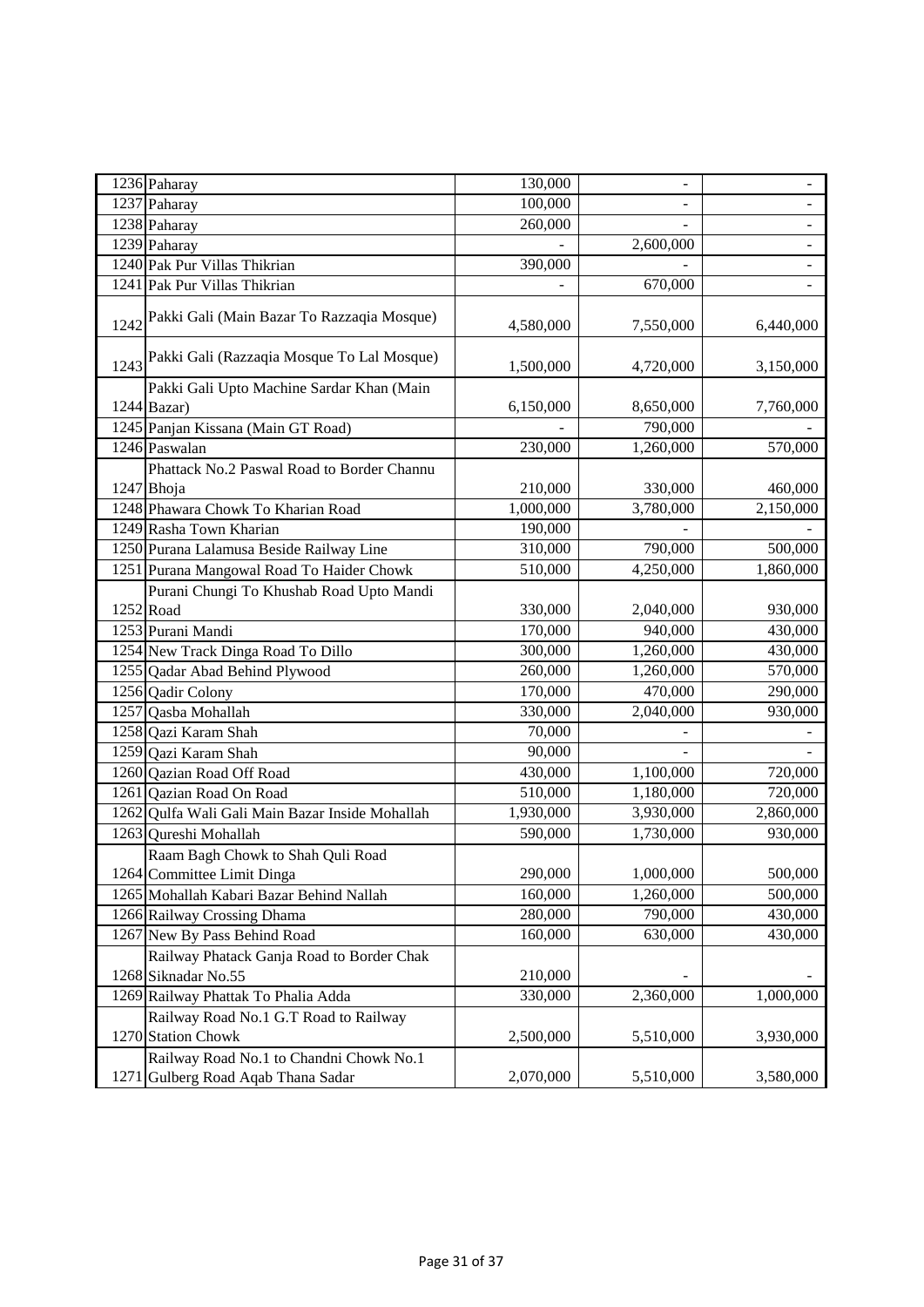| 1236 Paharay                                       | 130,000   | $\overline{\phantom{0}}$ |                |
|----------------------------------------------------|-----------|--------------------------|----------------|
| 1237 Paharay                                       | 100,000   | $\blacksquare$           | $\blacksquare$ |
| 1238 Paharay                                       | 260,000   |                          |                |
| 1239 Paharay                                       |           | 2,600,000                |                |
| 1240 Pak Pur Villas Thikrian                       | 390,000   |                          |                |
| 1241 Pak Pur Villas Thikrian                       |           | 670,000                  |                |
| Pakki Gali (Main Bazar To Razzaqia Mosque)<br>1242 | 4,580,000 | 7,550,000                | 6,440,000      |
| Pakki Gali (Razzaqia Mosque To Lal Mosque)<br>1243 | 1,500,000 | 4,720,000                | 3,150,000      |
| Pakki Gali Upto Machine Sardar Khan (Main          |           |                          |                |
| 1244 Bazar)                                        | 6,150,000 | 8,650,000                | 7,760,000      |
| 1245 Panjan Kissana (Main GT Road)                 |           | 790,000                  |                |
| 1246 Paswalan                                      | 230,000   | 1,260,000                | 570,000        |
| Phattack No.2 Paswal Road to Border Channu         |           |                          |                |
| 1247 Bhoja                                         | 210,000   | 330,000                  | 460,000        |
| 1248 Phawara Chowk To Kharian Road                 | 1,000,000 | 3,780,000                | 2,150,000      |
| 1249 Rasha Town Kharian                            | 190,000   |                          |                |
| 1250 Purana Lalamusa Beside Railway Line           | 310,000   | 790,000                  | 500,000        |
| 1251 Purana Mangowal Road To Haider Chowk          | 510,000   | 4,250,000                | 1,860,000      |
| Purani Chungi To Khushab Road Upto Mandi           |           |                          |                |
| 1252 Road                                          | 330,000   | 2,040,000                | 930,000        |
| 1253 Purani Mandi                                  | 170,000   | 940,000                  | 430,000        |
| 1254 New Track Dinga Road To Dillo                 | 300,000   | 1,260,000                | 430,000        |
| 1255 Qadar Abad Behind Plywood                     | 260,000   | 1,260,000                | 570,000        |
| 1256 Qadir Colony                                  | 170,000   | 470,000                  | 290,000        |
| 1257 Qasba Mohallah                                | 330,000   | 2,040,000                | 930,000        |
| 1258 Qazi Karam Shah                               | 70,000    |                          |                |
| 1259 Qazi Karam Shah                               | 90,000    |                          |                |
| 1260 Qazian Road Off Road                          | 430,000   | 1,100,000                | 720,000        |
| 1261 Qazian Road On Road                           | 510,000   | 1,180,000                | 720,000        |
| 1262 Qulfa Wali Gali Main Bazar Inside Mohallah    | 1,930,000 | 3,930,000                | 2,860,000      |
| 1263 Qureshi Mohallah                              | 590,000   | 1,730,000                | 930,000        |
| Raam Bagh Chowk to Shah Quli Road                  |           |                          |                |
| 1264 Committee Limit Dinga                         | 290,000   | 1,000,000                | 500,000        |
| 1265 Mohallah Kabari Bazar Behind Nallah           | 160,000   | 1,260,000                | 500,000        |
| 1266 Railway Crossing Dhama                        | 280,000   | 790,000                  | 430,000        |
| 1267 New By Pass Behind Road                       | 160,000   | 630,000                  | 430,000        |
| Railway Phatack Ganja Road to Border Chak          |           |                          |                |
| 1268 Siknadar No.55                                | 210,000   |                          |                |
| 1269 Railway Phattak To Phalia Adda                | 330,000   | 2,360,000                | 1,000,000      |
| Railway Road No.1 G.T Road to Railway              |           |                          |                |
| 1270 Station Chowk                                 | 2,500,000 | 5,510,000                | 3,930,000      |
| Railway Road No.1 to Chandni Chowk No.1            |           |                          |                |
| Gulberg Road Aqab Thana Sadar<br>1271              | 2,070,000 | 5,510,000                | 3,580,000      |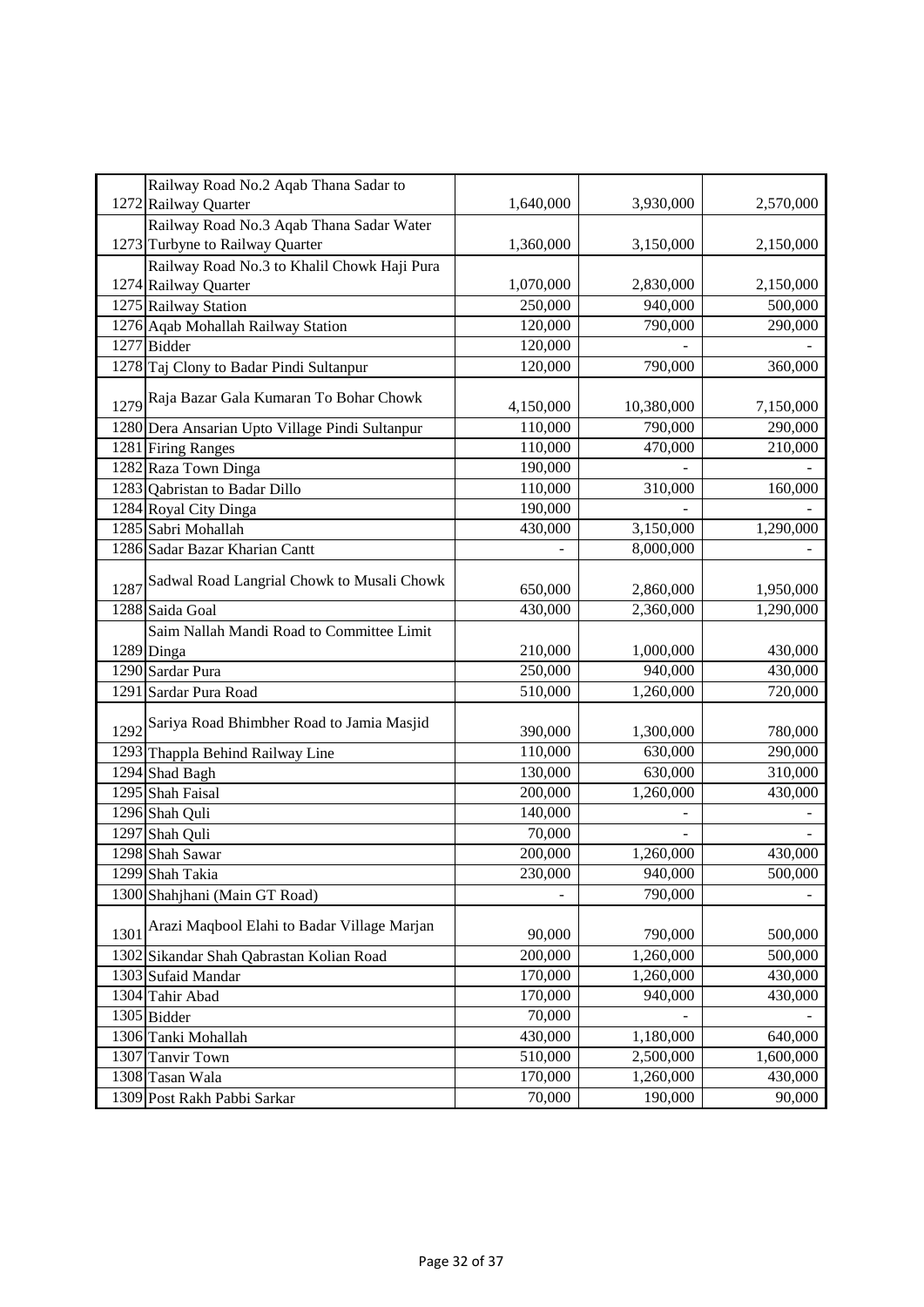|      | Railway Road No.2 Aqab Thana Sadar to<br>1272 Railway Quarter | 1,640,000 | 3,930,000  | 2,570,000 |
|------|---------------------------------------------------------------|-----------|------------|-----------|
|      | Railway Road No.3 Aqab Thana Sadar Water                      |           |            |           |
|      | 1273 Turbyne to Railway Quarter                               | 1,360,000 | 3,150,000  | 2,150,000 |
|      | Railway Road No.3 to Khalil Chowk Haji Pura                   |           |            |           |
|      | 1274 Railway Quarter                                          | 1,070,000 | 2,830,000  | 2,150,000 |
|      | 1275 Railway Station                                          | 250,000   | 940,000    | 500,000   |
|      | 1276 Aqab Mohallah Railway Station                            | 120,000   | 790,000    | 290,000   |
|      | $1277$ Bidder                                                 | 120,000   |            |           |
|      | 1278 Taj Clony to Badar Pindi Sultanpur                       | 120,000   | 790,000    | 360,000   |
| 1279 | Raja Bazar Gala Kumaran To Bohar Chowk                        | 4,150,000 | 10,380,000 | 7,150,000 |
|      | 1280 Dera Ansarian Upto Village Pindi Sultanpur               | 110,000   | 790,000    | 290,000   |
|      | 1281 Firing Ranges                                            | 110,000   | 470,000    | 210,000   |
|      | 1282 Raza Town Dinga                                          | 190,000   |            |           |
|      | 1283 Qabristan to Badar Dillo                                 | 110,000   | 310,000    | 160,000   |
|      | 1284 Royal City Dinga                                         | 190,000   |            |           |
|      | 1285 Sabri Mohallah                                           | 430,000   | 3,150,000  | 1,290,000 |
|      | 1286 Sadar Bazar Kharian Cantt                                |           | 8,000,000  |           |
|      |                                                               |           |            |           |
| 1287 | Sadwal Road Langrial Chowk to Musali Chowk                    | 650,000   | 2,860,000  | 1,950,000 |
|      | 1288 Saida Goal                                               | 430,000   | 2,360,000  | 1,290,000 |
|      | Saim Nallah Mandi Road to Committee Limit                     |           |            |           |
|      | 1289 Dinga                                                    | 210,000   | 1,000,000  | 430,000   |
|      | 1290 Sardar Pura                                              | 250,000   | 940,000    | 430,000   |
|      | 1291 Sardar Pura Road                                         | 510,000   | 1,260,000  | 720,000   |
| 1292 | Sariya Road Bhimbher Road to Jamia Masjid                     | 390,000   | 1,300,000  | 780,000   |
|      | 1293 Thappla Behind Railway Line                              | 110,000   | 630,000    | 290,000   |
|      | 1294 Shad Bagh                                                | 130,000   | 630,000    | 310,000   |
|      | 1295 Shah Faisal                                              | 200,000   | 1,260,000  | 430,000   |
|      | 1296 Shah Quli                                                | 140,000   |            |           |
|      | 1297 Shah Quli                                                | 70,000    |            |           |
|      | 1298 Shah Sawar                                               | 200,000   | 1,260,000  | 430,000   |
|      | 1299 Shah Takia                                               | 230,000   | 940,000    | 500,000   |
|      | 1300 Shahjhani (Main GT Road)                                 |           | 790,000    |           |
| 1301 | Arazi Maqbool Elahi to Badar Village Marjan                   | 90,000    | 790,000    | 500,000   |
|      | 1302 Sikandar Shah Qabrastan Kolian Road                      | 200,000   | 1,260,000  | 500,000   |
|      | 1303 Sufaid Mandar                                            | 170,000   | 1,260,000  | 430,000   |
|      | 1304 Tahir Abad                                               | 170,000   | 940,000    | 430,000   |
|      | 1305 Bidder                                                   | 70,000    |            |           |
|      | 1306 Tanki Mohallah                                           | 430,000   | 1,180,000  | 640,000   |
|      | 1307 Tanvir Town                                              | 510,000   | 2,500,000  | 1,600,000 |
|      | 1308 Tasan Wala                                               | 170,000   | 1,260,000  | 430,000   |
|      | 1309 Post Rakh Pabbi Sarkar                                   | 70,000    | 190,000    | 90,000    |
|      |                                                               |           |            |           |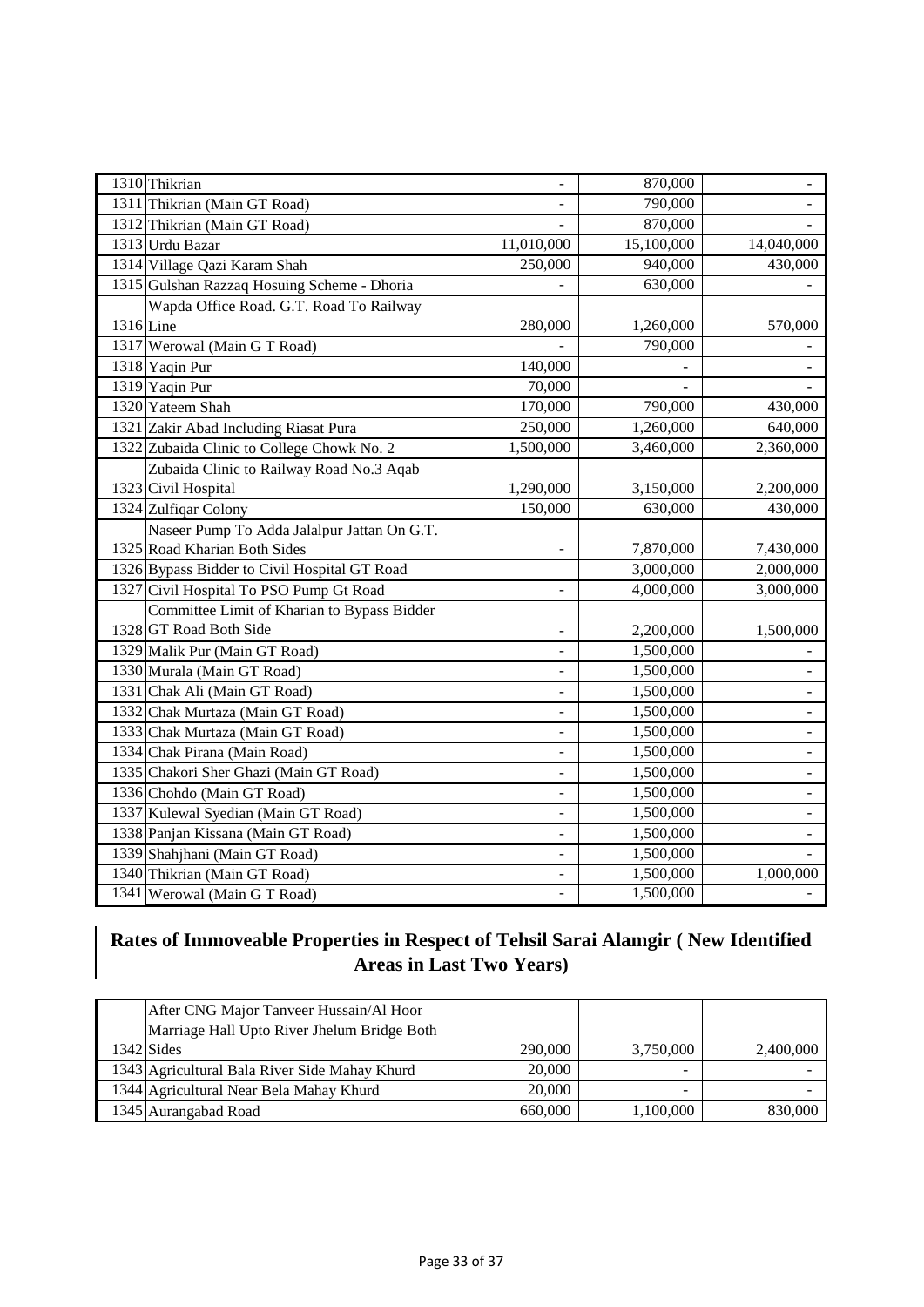| 1310 Thikrian                                |                              | 870,000    |                          |
|----------------------------------------------|------------------------------|------------|--------------------------|
| 1311 Thikrian (Main GT Road)                 |                              | 790,000    |                          |
| 1312 Thikrian (Main GT Road)                 |                              | 870,000    |                          |
| 1313 Urdu Bazar                              | 11,010,000                   | 15,100,000 | 14,040,000               |
| 1314 Village Qazi Karam Shah                 | 250,000                      | 940,000    | 430,000                  |
| 1315 Gulshan Razzaq Hosuing Scheme - Dhoria  |                              | 630,000    |                          |
| Wapda Office Road. G.T. Road To Railway      |                              |            |                          |
| 1316 Line                                    | 280,000                      | 1,260,000  | 570,000                  |
| 1317 Werowal (Main G T Road)                 |                              | 790,000    |                          |
| 1318 Yaqin Pur                               | 140,000                      |            |                          |
| 1319 Yaqin Pur                               | 70,000                       |            |                          |
| 1320 Yateem Shah                             | 170,000                      | 790,000    | 430,000                  |
| 1321 Zakir Abad Including Riasat Pura        | 250,000                      | 1,260,000  | 640,000                  |
| 1322 Zubaida Clinic to College Chowk No. 2   | 1,500,000                    | 3,460,000  | 2,360,000                |
| Zubaida Clinic to Railway Road No.3 Aqab     |                              |            |                          |
| 1323 Civil Hospital                          | 1,290,000                    | 3,150,000  | 2,200,000                |
| 1324 Zulfiqar Colony                         | 150,000                      | 630,000    | 430,000                  |
| Naseer Pump To Adda Jalalpur Jattan On G.T.  |                              |            |                          |
| 1325 Road Kharian Both Sides                 |                              | 7,870,000  | 7,430,000                |
| 1326 Bypass Bidder to Civil Hospital GT Road |                              | 3,000,000  | 2,000,000                |
| 1327 Civil Hospital To PSO Pump Gt Road      | $\overline{a}$               | 4,000,000  | 3,000,000                |
| Committee Limit of Kharian to Bypass Bidder  |                              |            |                          |
| 1328 GT Road Both Side                       |                              | 2,200,000  | 1,500,000                |
| 1329 Malik Pur (Main GT Road)                |                              | 1,500,000  |                          |
| 1330 Murala (Main GT Road)                   |                              | 1,500,000  |                          |
| 1331 Chak Ali (Main GT Road)                 |                              | 1,500,000  |                          |
| 1332 Chak Murtaza (Main GT Road)             |                              | 1,500,000  |                          |
| 1333 Chak Murtaza (Main GT Road)             | $\blacksquare$               | 1,500,000  |                          |
| 1334 Chak Pirana (Main Road)                 | $\qquad \qquad \blacksquare$ | 1,500,000  |                          |
| 1335 Chakori Sher Ghazi (Main GT Road)       | $\overline{\phantom{0}}$     | 1,500,000  |                          |
| 1336 Chohdo (Main GT Road)                   | $\overline{a}$               | 1,500,000  | $\overline{\phantom{a}}$ |
| 1337 Kulewal Syedian (Main GT Road)          | $\overline{\phantom{a}}$     | 1,500,000  | $\overline{\phantom{a}}$ |
| 1338 Panjan Kissana (Main GT Road)           | ÷.                           | 1,500,000  |                          |
| 1339 Shahjhani (Main GT Road)                |                              | 1,500,000  |                          |
| 1340 Thikrian (Main GT Road)                 |                              | 1,500,000  | 1,000,000                |
| 1341 Werowal (Main G T Road)                 | $\frac{1}{2}$                | 1,500,000  |                          |

# **Rates of Immoveable Properties in Respect of Tehsil Sarai Alamgir ( New Identified Areas in Last Two Years)**

| After CNG Major Tanveer Hussain/Al Hoor<br>Marriage Hall Upto River Jhelum Bridge Both |         |           |           |
|----------------------------------------------------------------------------------------|---------|-----------|-----------|
| $1342$ Sides                                                                           | 290,000 | 3,750,000 | 2,400,000 |
| 1343 Agricultural Bala River Side Mahay Khurd                                          | 20,000  | -         |           |
| 1344 Agricultural Near Bela Mahay Khurd                                                | 20,000  | -         |           |
| 1345 Aurangabad Road                                                                   | 660,000 | 1,100,000 | 830,000   |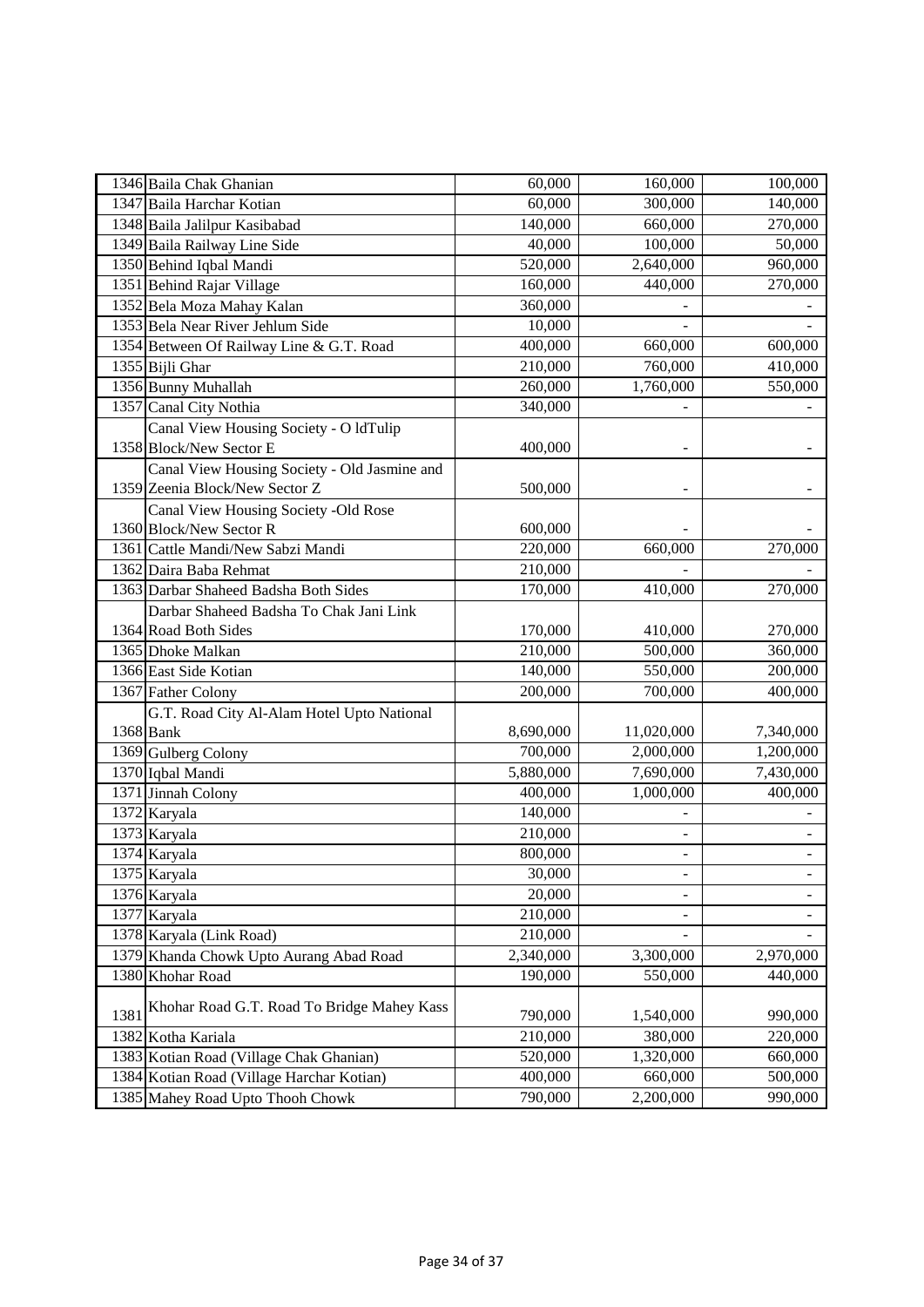| 1346 Baila Chak Ghanian   |                                              | 60,000    | 160,000                  | 100,000                  |
|---------------------------|----------------------------------------------|-----------|--------------------------|--------------------------|
| 1347 Baila Harchar Kotian |                                              | 60,000    | 300,000                  | 140,000                  |
|                           | 1348 Baila Jalilpur Kasibabad                | 140,000   | 660,000                  | 270,000                  |
|                           | 1349 Baila Railway Line Side                 | 40,000    | 100,000                  | 50,000                   |
| 1350 Behind Iqbal Mandi   |                                              | 520,000   | 2,640,000                | 960,000                  |
| 1351 Behind Rajar Village |                                              | 160,000   | 440,000                  | 270,000                  |
|                           | 1352 Bela Moza Mahay Kalan                   | 360,000   |                          |                          |
|                           | 1353 Bela Near River Jehlum Side             | 10,000    |                          |                          |
|                           | 1354 Between Of Railway Line & G.T. Road     | 400,000   | 660,000                  | 600,000                  |
| 1355 Bijli Ghar           |                                              | 210,000   | 760,000                  | 410,000                  |
| 1356 Bunny Muhallah       |                                              | 260,000   | 1,760,000                | 550,000                  |
| 1357 Canal City Nothia    |                                              | 340,000   |                          |                          |
|                           | Canal View Housing Society - O ldTulip       |           |                          |                          |
| 1358 Block/New Sector E   |                                              | 400,000   |                          |                          |
|                           | Canal View Housing Society - Old Jasmine and |           |                          |                          |
|                           | 1359 Zeenia Block/New Sector Z               | 500,000   |                          |                          |
|                           | Canal View Housing Society -Old Rose         |           |                          |                          |
| 1360 Block/New Sector R   |                                              | 600,000   |                          |                          |
|                           | 1361 Cattle Mandi/New Sabzi Mandi            | 220,000   | 660,000                  | 270,000                  |
| 1362 Daira Baba Rehmat    |                                              | 210,000   |                          |                          |
|                           | 1363 Darbar Shaheed Badsha Both Sides        | 170,000   | 410,000                  | 270,000                  |
|                           | Darbar Shaheed Badsha To Chak Jani Link      |           |                          |                          |
| 1364 Road Both Sides      |                                              | 170,000   | 410,000                  | 270,000                  |
| 1365 Dhoke Malkan         |                                              | 210,000   | 500,000                  | 360,000                  |
| 1366 East Side Kotian     |                                              | 140,000   | 550,000                  | 200,000                  |
| 1367 Father Colony        |                                              | 200,000   | 700,000                  | $\overline{400,}000$     |
|                           | G.T. Road City Al-Alam Hotel Upto National   |           |                          |                          |
| 1368 Bank                 |                                              | 8,690,000 | 11,020,000               | 7,340,000                |
| 1369 Gulberg Colony       |                                              | 700,000   | 2,000,000                | 1,200,000                |
| 1370 Iqbal Mandi          |                                              | 5,880,000 | 7,690,000                | 7,430,000                |
| 1371 Jinnah Colony        |                                              | 400,000   | 1,000,000                | 400,000                  |
| 1372 Karyala              |                                              | 140,000   |                          |                          |
| 1373 Karyala              |                                              | 210,000   |                          |                          |
| 1374 Karyala              |                                              | 800,000   | $\blacksquare$           |                          |
| 1375 Karyala              |                                              | 30,000    | $\overline{\phantom{a}}$ | $\overline{\phantom{a}}$ |
| 1376 Karyala              |                                              | 20,000    |                          |                          |
| 1377 Karyala              |                                              | 210,000   |                          |                          |
| 1378 Karyala (Link Road)  |                                              | 210,000   |                          |                          |
|                           | 1379 Khanda Chowk Upto Aurang Abad Road      | 2,340,000 | 3,300,000                | 2,970,000                |
| 1380 Khohar Road          |                                              | 190,000   | 550,000                  | 440,000                  |
|                           | Khohar Road G.T. Road To Bridge Mahey Kass   |           |                          |                          |
| 1381                      |                                              | 790,000   | 1,540,000                | 990,000                  |
| 1382 Kotha Kariala        |                                              | 210,000   | 380,000                  | 220,000                  |
|                           | 1383 Kotian Road (Village Chak Ghanian)      | 520,000   | 1,320,000                | 660,000                  |
|                           | 1384 Kotian Road (Village Harchar Kotian)    | 400,000   | 660,000                  | 500,000                  |
|                           | 1385 Mahey Road Upto Thooh Chowk             | 790,000   | 2,200,000                | 990,000                  |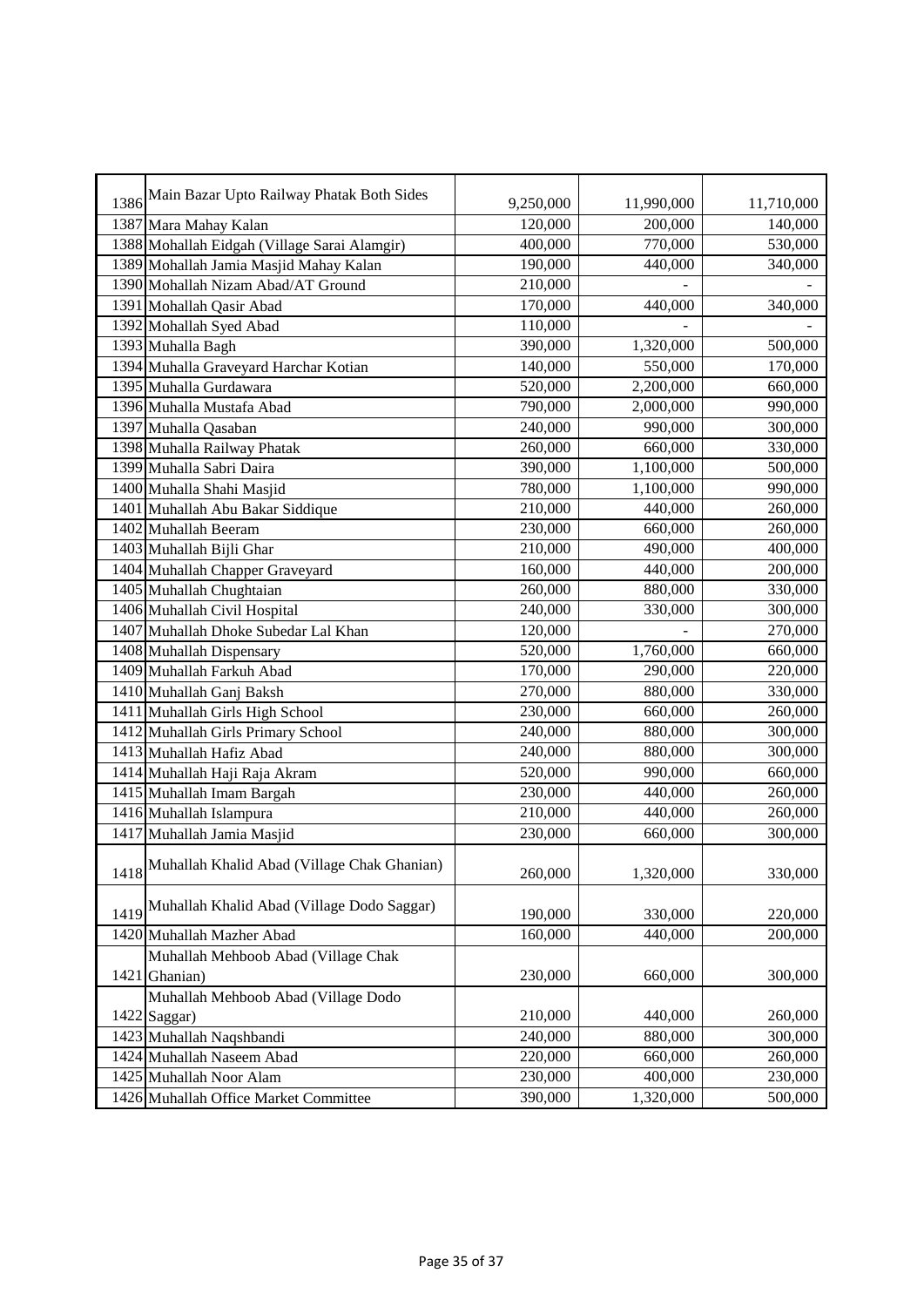| 1386<br>9,250,000<br>11,990,000<br>11,710,000<br>120,000<br>200,000<br>140,000<br>1387 Mara Mahay Kalan<br>1388 Mohallah Eidgah (Village Sarai Alamgir)<br>770,000<br>400,000<br>530,000<br>1389 Mohallah Jamia Masjid Mahay Kalan<br>190,000<br>440,000<br>340,000<br>210,000<br>1390 Mohallah Nizam Abad/AT Ground<br>170,000<br>340,000<br>1391 Mohallah Qasir Abad<br>440,000<br>110,000<br>1392 Mohallah Syed Abad<br>390,000<br>1,320,000<br>1393 Muhalla Bagh<br>500,000<br>140,000<br>550,000<br>1394 Muhalla Graveyard Harchar Kotian<br>170,000<br>520,000<br>2,200,000<br>660,000<br>1395 Muhalla Gurdawara<br>790,000<br>1396 Muhalla Mustafa Abad<br>2,000,000<br>990,000<br>1397 Muhalla Qasaban<br>240,000<br>990,000<br>300,000<br>260,000<br>660,000<br>1398 Muhalla Railway Phatak<br>330,000<br>1,100,000<br>1399 Muhalla Sabri Daira<br>390,000<br>500,000<br>1400 Muhalla Shahi Masjid<br>780,000<br>1,100,000<br>990,000<br>210,000<br>440,000<br>260,000<br>1401 Muhallah Abu Bakar Siddique<br>1402 Muhallah Beeram<br>230,000<br>660,000<br>260,000<br>210,000<br>1403 Muhallah Bijli Ghar<br>490,000<br>400,000<br>160,000<br>440,000<br>200,000<br>1404 Muhallah Chapper Graveyard<br>260,000<br>880,000<br>1405 Muhallah Chughtaian<br>330,000<br>1406 Muhallah Civil Hospital<br>240,000<br>300,000<br>330,000<br>1407 Muhallah Dhoke Subedar Lal Khan<br>120,000<br>270,000<br>520,000<br>1,760,000<br>1408 Muhallah Dispensary<br>660,000<br>170,000<br>290,000<br>1409 Muhallah Farkuh Abad<br>220,000<br>880,000<br>270,000<br>330,000<br>1410 Muhallah Ganj Baksh<br>230,000<br>660,000<br>260,000<br>1411 Muhallah Girls High School<br>240,000<br>880,000<br>300,000<br>1412 Muhallah Girls Primary School<br>1413 Muhallah Hafiz Abad<br>240,000<br>880,000<br>300,000<br>1414 Muhallah Haji Raja Akram<br>520,000<br>990,000<br>660,000<br>230,000<br>1415 Muhallah Imam Bargah<br>440,000<br>260,000<br>210,000<br>440,000<br>1416 Muhallah Islampura<br>260,000<br>230,000<br>1417 Muhallah Jamia Masjid<br>660,000<br>300,000<br>Muhallah Khalid Abad (Village Chak Ghanian)<br>1418<br>260,000<br>1,320,000<br>330,000<br>Muhallah Khalid Abad (Village Dodo Saggar)<br>1419<br>190,000<br>330,000<br>220,000<br>160,000<br>440,000<br>200,000<br>1420 Muhallah Mazher Abad<br>Muhallah Mehboob Abad (Village Chak<br>230,000<br>1421 Ghanian)<br>660,000<br>300,000<br>Muhallah Mehboob Abad (Village Dodo<br>1422 Saggar)<br>210,000<br>440,000<br>260,000<br>1423 Muhallah Naqshbandi<br>240,000<br>880,000<br>300,000<br>1424 Muhallah Naseem Abad<br>220,000<br>660,000<br>260,000<br>1425 Muhallah Noor Alam<br>230,000<br>400,000<br>230,000 |                                           |         |           |         |
|-----------------------------------------------------------------------------------------------------------------------------------------------------------------------------------------------------------------------------------------------------------------------------------------------------------------------------------------------------------------------------------------------------------------------------------------------------------------------------------------------------------------------------------------------------------------------------------------------------------------------------------------------------------------------------------------------------------------------------------------------------------------------------------------------------------------------------------------------------------------------------------------------------------------------------------------------------------------------------------------------------------------------------------------------------------------------------------------------------------------------------------------------------------------------------------------------------------------------------------------------------------------------------------------------------------------------------------------------------------------------------------------------------------------------------------------------------------------------------------------------------------------------------------------------------------------------------------------------------------------------------------------------------------------------------------------------------------------------------------------------------------------------------------------------------------------------------------------------------------------------------------------------------------------------------------------------------------------------------------------------------------------------------------------------------------------------------------------------------------------------------------------------------------------------------------------------------------------------------------------------------------------------------------------------------------------------------------------------------------------------------------------------------------------------------------------------------------------------------------------------------------------------------------------------------------------------------------------------------------------------------------------------------------------------------------------------|-------------------------------------------|---------|-----------|---------|
|                                                                                                                                                                                                                                                                                                                                                                                                                                                                                                                                                                                                                                                                                                                                                                                                                                                                                                                                                                                                                                                                                                                                                                                                                                                                                                                                                                                                                                                                                                                                                                                                                                                                                                                                                                                                                                                                                                                                                                                                                                                                                                                                                                                                                                                                                                                                                                                                                                                                                                                                                                                                                                                                                               | Main Bazar Upto Railway Phatak Both Sides |         |           |         |
|                                                                                                                                                                                                                                                                                                                                                                                                                                                                                                                                                                                                                                                                                                                                                                                                                                                                                                                                                                                                                                                                                                                                                                                                                                                                                                                                                                                                                                                                                                                                                                                                                                                                                                                                                                                                                                                                                                                                                                                                                                                                                                                                                                                                                                                                                                                                                                                                                                                                                                                                                                                                                                                                                               |                                           |         |           |         |
|                                                                                                                                                                                                                                                                                                                                                                                                                                                                                                                                                                                                                                                                                                                                                                                                                                                                                                                                                                                                                                                                                                                                                                                                                                                                                                                                                                                                                                                                                                                                                                                                                                                                                                                                                                                                                                                                                                                                                                                                                                                                                                                                                                                                                                                                                                                                                                                                                                                                                                                                                                                                                                                                                               |                                           |         |           |         |
|                                                                                                                                                                                                                                                                                                                                                                                                                                                                                                                                                                                                                                                                                                                                                                                                                                                                                                                                                                                                                                                                                                                                                                                                                                                                                                                                                                                                                                                                                                                                                                                                                                                                                                                                                                                                                                                                                                                                                                                                                                                                                                                                                                                                                                                                                                                                                                                                                                                                                                                                                                                                                                                                                               |                                           |         |           |         |
|                                                                                                                                                                                                                                                                                                                                                                                                                                                                                                                                                                                                                                                                                                                                                                                                                                                                                                                                                                                                                                                                                                                                                                                                                                                                                                                                                                                                                                                                                                                                                                                                                                                                                                                                                                                                                                                                                                                                                                                                                                                                                                                                                                                                                                                                                                                                                                                                                                                                                                                                                                                                                                                                                               |                                           |         |           |         |
|                                                                                                                                                                                                                                                                                                                                                                                                                                                                                                                                                                                                                                                                                                                                                                                                                                                                                                                                                                                                                                                                                                                                                                                                                                                                                                                                                                                                                                                                                                                                                                                                                                                                                                                                                                                                                                                                                                                                                                                                                                                                                                                                                                                                                                                                                                                                                                                                                                                                                                                                                                                                                                                                                               |                                           |         |           |         |
|                                                                                                                                                                                                                                                                                                                                                                                                                                                                                                                                                                                                                                                                                                                                                                                                                                                                                                                                                                                                                                                                                                                                                                                                                                                                                                                                                                                                                                                                                                                                                                                                                                                                                                                                                                                                                                                                                                                                                                                                                                                                                                                                                                                                                                                                                                                                                                                                                                                                                                                                                                                                                                                                                               |                                           |         |           |         |
|                                                                                                                                                                                                                                                                                                                                                                                                                                                                                                                                                                                                                                                                                                                                                                                                                                                                                                                                                                                                                                                                                                                                                                                                                                                                                                                                                                                                                                                                                                                                                                                                                                                                                                                                                                                                                                                                                                                                                                                                                                                                                                                                                                                                                                                                                                                                                                                                                                                                                                                                                                                                                                                                                               |                                           |         |           |         |
|                                                                                                                                                                                                                                                                                                                                                                                                                                                                                                                                                                                                                                                                                                                                                                                                                                                                                                                                                                                                                                                                                                                                                                                                                                                                                                                                                                                                                                                                                                                                                                                                                                                                                                                                                                                                                                                                                                                                                                                                                                                                                                                                                                                                                                                                                                                                                                                                                                                                                                                                                                                                                                                                                               |                                           |         |           |         |
|                                                                                                                                                                                                                                                                                                                                                                                                                                                                                                                                                                                                                                                                                                                                                                                                                                                                                                                                                                                                                                                                                                                                                                                                                                                                                                                                                                                                                                                                                                                                                                                                                                                                                                                                                                                                                                                                                                                                                                                                                                                                                                                                                                                                                                                                                                                                                                                                                                                                                                                                                                                                                                                                                               |                                           |         |           |         |
|                                                                                                                                                                                                                                                                                                                                                                                                                                                                                                                                                                                                                                                                                                                                                                                                                                                                                                                                                                                                                                                                                                                                                                                                                                                                                                                                                                                                                                                                                                                                                                                                                                                                                                                                                                                                                                                                                                                                                                                                                                                                                                                                                                                                                                                                                                                                                                                                                                                                                                                                                                                                                                                                                               |                                           |         |           |         |
|                                                                                                                                                                                                                                                                                                                                                                                                                                                                                                                                                                                                                                                                                                                                                                                                                                                                                                                                                                                                                                                                                                                                                                                                                                                                                                                                                                                                                                                                                                                                                                                                                                                                                                                                                                                                                                                                                                                                                                                                                                                                                                                                                                                                                                                                                                                                                                                                                                                                                                                                                                                                                                                                                               |                                           |         |           |         |
|                                                                                                                                                                                                                                                                                                                                                                                                                                                                                                                                                                                                                                                                                                                                                                                                                                                                                                                                                                                                                                                                                                                                                                                                                                                                                                                                                                                                                                                                                                                                                                                                                                                                                                                                                                                                                                                                                                                                                                                                                                                                                                                                                                                                                                                                                                                                                                                                                                                                                                                                                                                                                                                                                               |                                           |         |           |         |
|                                                                                                                                                                                                                                                                                                                                                                                                                                                                                                                                                                                                                                                                                                                                                                                                                                                                                                                                                                                                                                                                                                                                                                                                                                                                                                                                                                                                                                                                                                                                                                                                                                                                                                                                                                                                                                                                                                                                                                                                                                                                                                                                                                                                                                                                                                                                                                                                                                                                                                                                                                                                                                                                                               |                                           |         |           |         |
|                                                                                                                                                                                                                                                                                                                                                                                                                                                                                                                                                                                                                                                                                                                                                                                                                                                                                                                                                                                                                                                                                                                                                                                                                                                                                                                                                                                                                                                                                                                                                                                                                                                                                                                                                                                                                                                                                                                                                                                                                                                                                                                                                                                                                                                                                                                                                                                                                                                                                                                                                                                                                                                                                               |                                           |         |           |         |
|                                                                                                                                                                                                                                                                                                                                                                                                                                                                                                                                                                                                                                                                                                                                                                                                                                                                                                                                                                                                                                                                                                                                                                                                                                                                                                                                                                                                                                                                                                                                                                                                                                                                                                                                                                                                                                                                                                                                                                                                                                                                                                                                                                                                                                                                                                                                                                                                                                                                                                                                                                                                                                                                                               |                                           |         |           |         |
|                                                                                                                                                                                                                                                                                                                                                                                                                                                                                                                                                                                                                                                                                                                                                                                                                                                                                                                                                                                                                                                                                                                                                                                                                                                                                                                                                                                                                                                                                                                                                                                                                                                                                                                                                                                                                                                                                                                                                                                                                                                                                                                                                                                                                                                                                                                                                                                                                                                                                                                                                                                                                                                                                               |                                           |         |           |         |
|                                                                                                                                                                                                                                                                                                                                                                                                                                                                                                                                                                                                                                                                                                                                                                                                                                                                                                                                                                                                                                                                                                                                                                                                                                                                                                                                                                                                                                                                                                                                                                                                                                                                                                                                                                                                                                                                                                                                                                                                                                                                                                                                                                                                                                                                                                                                                                                                                                                                                                                                                                                                                                                                                               |                                           |         |           |         |
|                                                                                                                                                                                                                                                                                                                                                                                                                                                                                                                                                                                                                                                                                                                                                                                                                                                                                                                                                                                                                                                                                                                                                                                                                                                                                                                                                                                                                                                                                                                                                                                                                                                                                                                                                                                                                                                                                                                                                                                                                                                                                                                                                                                                                                                                                                                                                                                                                                                                                                                                                                                                                                                                                               |                                           |         |           |         |
|                                                                                                                                                                                                                                                                                                                                                                                                                                                                                                                                                                                                                                                                                                                                                                                                                                                                                                                                                                                                                                                                                                                                                                                                                                                                                                                                                                                                                                                                                                                                                                                                                                                                                                                                                                                                                                                                                                                                                                                                                                                                                                                                                                                                                                                                                                                                                                                                                                                                                                                                                                                                                                                                                               |                                           |         |           |         |
|                                                                                                                                                                                                                                                                                                                                                                                                                                                                                                                                                                                                                                                                                                                                                                                                                                                                                                                                                                                                                                                                                                                                                                                                                                                                                                                                                                                                                                                                                                                                                                                                                                                                                                                                                                                                                                                                                                                                                                                                                                                                                                                                                                                                                                                                                                                                                                                                                                                                                                                                                                                                                                                                                               |                                           |         |           |         |
|                                                                                                                                                                                                                                                                                                                                                                                                                                                                                                                                                                                                                                                                                                                                                                                                                                                                                                                                                                                                                                                                                                                                                                                                                                                                                                                                                                                                                                                                                                                                                                                                                                                                                                                                                                                                                                                                                                                                                                                                                                                                                                                                                                                                                                                                                                                                                                                                                                                                                                                                                                                                                                                                                               |                                           |         |           |         |
|                                                                                                                                                                                                                                                                                                                                                                                                                                                                                                                                                                                                                                                                                                                                                                                                                                                                                                                                                                                                                                                                                                                                                                                                                                                                                                                                                                                                                                                                                                                                                                                                                                                                                                                                                                                                                                                                                                                                                                                                                                                                                                                                                                                                                                                                                                                                                                                                                                                                                                                                                                                                                                                                                               |                                           |         |           |         |
|                                                                                                                                                                                                                                                                                                                                                                                                                                                                                                                                                                                                                                                                                                                                                                                                                                                                                                                                                                                                                                                                                                                                                                                                                                                                                                                                                                                                                                                                                                                                                                                                                                                                                                                                                                                                                                                                                                                                                                                                                                                                                                                                                                                                                                                                                                                                                                                                                                                                                                                                                                                                                                                                                               |                                           |         |           |         |
|                                                                                                                                                                                                                                                                                                                                                                                                                                                                                                                                                                                                                                                                                                                                                                                                                                                                                                                                                                                                                                                                                                                                                                                                                                                                                                                                                                                                                                                                                                                                                                                                                                                                                                                                                                                                                                                                                                                                                                                                                                                                                                                                                                                                                                                                                                                                                                                                                                                                                                                                                                                                                                                                                               |                                           |         |           |         |
|                                                                                                                                                                                                                                                                                                                                                                                                                                                                                                                                                                                                                                                                                                                                                                                                                                                                                                                                                                                                                                                                                                                                                                                                                                                                                                                                                                                                                                                                                                                                                                                                                                                                                                                                                                                                                                                                                                                                                                                                                                                                                                                                                                                                                                                                                                                                                                                                                                                                                                                                                                                                                                                                                               |                                           |         |           |         |
|                                                                                                                                                                                                                                                                                                                                                                                                                                                                                                                                                                                                                                                                                                                                                                                                                                                                                                                                                                                                                                                                                                                                                                                                                                                                                                                                                                                                                                                                                                                                                                                                                                                                                                                                                                                                                                                                                                                                                                                                                                                                                                                                                                                                                                                                                                                                                                                                                                                                                                                                                                                                                                                                                               |                                           |         |           |         |
|                                                                                                                                                                                                                                                                                                                                                                                                                                                                                                                                                                                                                                                                                                                                                                                                                                                                                                                                                                                                                                                                                                                                                                                                                                                                                                                                                                                                                                                                                                                                                                                                                                                                                                                                                                                                                                                                                                                                                                                                                                                                                                                                                                                                                                                                                                                                                                                                                                                                                                                                                                                                                                                                                               |                                           |         |           |         |
|                                                                                                                                                                                                                                                                                                                                                                                                                                                                                                                                                                                                                                                                                                                                                                                                                                                                                                                                                                                                                                                                                                                                                                                                                                                                                                                                                                                                                                                                                                                                                                                                                                                                                                                                                                                                                                                                                                                                                                                                                                                                                                                                                                                                                                                                                                                                                                                                                                                                                                                                                                                                                                                                                               |                                           |         |           |         |
|                                                                                                                                                                                                                                                                                                                                                                                                                                                                                                                                                                                                                                                                                                                                                                                                                                                                                                                                                                                                                                                                                                                                                                                                                                                                                                                                                                                                                                                                                                                                                                                                                                                                                                                                                                                                                                                                                                                                                                                                                                                                                                                                                                                                                                                                                                                                                                                                                                                                                                                                                                                                                                                                                               |                                           |         |           |         |
|                                                                                                                                                                                                                                                                                                                                                                                                                                                                                                                                                                                                                                                                                                                                                                                                                                                                                                                                                                                                                                                                                                                                                                                                                                                                                                                                                                                                                                                                                                                                                                                                                                                                                                                                                                                                                                                                                                                                                                                                                                                                                                                                                                                                                                                                                                                                                                                                                                                                                                                                                                                                                                                                                               |                                           |         |           |         |
|                                                                                                                                                                                                                                                                                                                                                                                                                                                                                                                                                                                                                                                                                                                                                                                                                                                                                                                                                                                                                                                                                                                                                                                                                                                                                                                                                                                                                                                                                                                                                                                                                                                                                                                                                                                                                                                                                                                                                                                                                                                                                                                                                                                                                                                                                                                                                                                                                                                                                                                                                                                                                                                                                               |                                           |         |           |         |
|                                                                                                                                                                                                                                                                                                                                                                                                                                                                                                                                                                                                                                                                                                                                                                                                                                                                                                                                                                                                                                                                                                                                                                                                                                                                                                                                                                                                                                                                                                                                                                                                                                                                                                                                                                                                                                                                                                                                                                                                                                                                                                                                                                                                                                                                                                                                                                                                                                                                                                                                                                                                                                                                                               |                                           |         |           |         |
|                                                                                                                                                                                                                                                                                                                                                                                                                                                                                                                                                                                                                                                                                                                                                                                                                                                                                                                                                                                                                                                                                                                                                                                                                                                                                                                                                                                                                                                                                                                                                                                                                                                                                                                                                                                                                                                                                                                                                                                                                                                                                                                                                                                                                                                                                                                                                                                                                                                                                                                                                                                                                                                                                               |                                           |         |           |         |
|                                                                                                                                                                                                                                                                                                                                                                                                                                                                                                                                                                                                                                                                                                                                                                                                                                                                                                                                                                                                                                                                                                                                                                                                                                                                                                                                                                                                                                                                                                                                                                                                                                                                                                                                                                                                                                                                                                                                                                                                                                                                                                                                                                                                                                                                                                                                                                                                                                                                                                                                                                                                                                                                                               |                                           |         |           |         |
|                                                                                                                                                                                                                                                                                                                                                                                                                                                                                                                                                                                                                                                                                                                                                                                                                                                                                                                                                                                                                                                                                                                                                                                                                                                                                                                                                                                                                                                                                                                                                                                                                                                                                                                                                                                                                                                                                                                                                                                                                                                                                                                                                                                                                                                                                                                                                                                                                                                                                                                                                                                                                                                                                               |                                           |         |           |         |
|                                                                                                                                                                                                                                                                                                                                                                                                                                                                                                                                                                                                                                                                                                                                                                                                                                                                                                                                                                                                                                                                                                                                                                                                                                                                                                                                                                                                                                                                                                                                                                                                                                                                                                                                                                                                                                                                                                                                                                                                                                                                                                                                                                                                                                                                                                                                                                                                                                                                                                                                                                                                                                                                                               |                                           |         |           |         |
|                                                                                                                                                                                                                                                                                                                                                                                                                                                                                                                                                                                                                                                                                                                                                                                                                                                                                                                                                                                                                                                                                                                                                                                                                                                                                                                                                                                                                                                                                                                                                                                                                                                                                                                                                                                                                                                                                                                                                                                                                                                                                                                                                                                                                                                                                                                                                                                                                                                                                                                                                                                                                                                                                               |                                           |         |           |         |
|                                                                                                                                                                                                                                                                                                                                                                                                                                                                                                                                                                                                                                                                                                                                                                                                                                                                                                                                                                                                                                                                                                                                                                                                                                                                                                                                                                                                                                                                                                                                                                                                                                                                                                                                                                                                                                                                                                                                                                                                                                                                                                                                                                                                                                                                                                                                                                                                                                                                                                                                                                                                                                                                                               |                                           |         |           |         |
|                                                                                                                                                                                                                                                                                                                                                                                                                                                                                                                                                                                                                                                                                                                                                                                                                                                                                                                                                                                                                                                                                                                                                                                                                                                                                                                                                                                                                                                                                                                                                                                                                                                                                                                                                                                                                                                                                                                                                                                                                                                                                                                                                                                                                                                                                                                                                                                                                                                                                                                                                                                                                                                                                               |                                           |         |           |         |
|                                                                                                                                                                                                                                                                                                                                                                                                                                                                                                                                                                                                                                                                                                                                                                                                                                                                                                                                                                                                                                                                                                                                                                                                                                                                                                                                                                                                                                                                                                                                                                                                                                                                                                                                                                                                                                                                                                                                                                                                                                                                                                                                                                                                                                                                                                                                                                                                                                                                                                                                                                                                                                                                                               |                                           |         |           |         |
|                                                                                                                                                                                                                                                                                                                                                                                                                                                                                                                                                                                                                                                                                                                                                                                                                                                                                                                                                                                                                                                                                                                                                                                                                                                                                                                                                                                                                                                                                                                                                                                                                                                                                                                                                                                                                                                                                                                                                                                                                                                                                                                                                                                                                                                                                                                                                                                                                                                                                                                                                                                                                                                                                               |                                           |         |           |         |
|                                                                                                                                                                                                                                                                                                                                                                                                                                                                                                                                                                                                                                                                                                                                                                                                                                                                                                                                                                                                                                                                                                                                                                                                                                                                                                                                                                                                                                                                                                                                                                                                                                                                                                                                                                                                                                                                                                                                                                                                                                                                                                                                                                                                                                                                                                                                                                                                                                                                                                                                                                                                                                                                                               |                                           |         |           |         |
|                                                                                                                                                                                                                                                                                                                                                                                                                                                                                                                                                                                                                                                                                                                                                                                                                                                                                                                                                                                                                                                                                                                                                                                                                                                                                                                                                                                                                                                                                                                                                                                                                                                                                                                                                                                                                                                                                                                                                                                                                                                                                                                                                                                                                                                                                                                                                                                                                                                                                                                                                                                                                                                                                               |                                           |         |           |         |
| 1426 Muhallah Office Market Committee                                                                                                                                                                                                                                                                                                                                                                                                                                                                                                                                                                                                                                                                                                                                                                                                                                                                                                                                                                                                                                                                                                                                                                                                                                                                                                                                                                                                                                                                                                                                                                                                                                                                                                                                                                                                                                                                                                                                                                                                                                                                                                                                                                                                                                                                                                                                                                                                                                                                                                                                                                                                                                                         |                                           | 390,000 | 1,320,000 | 500,000 |